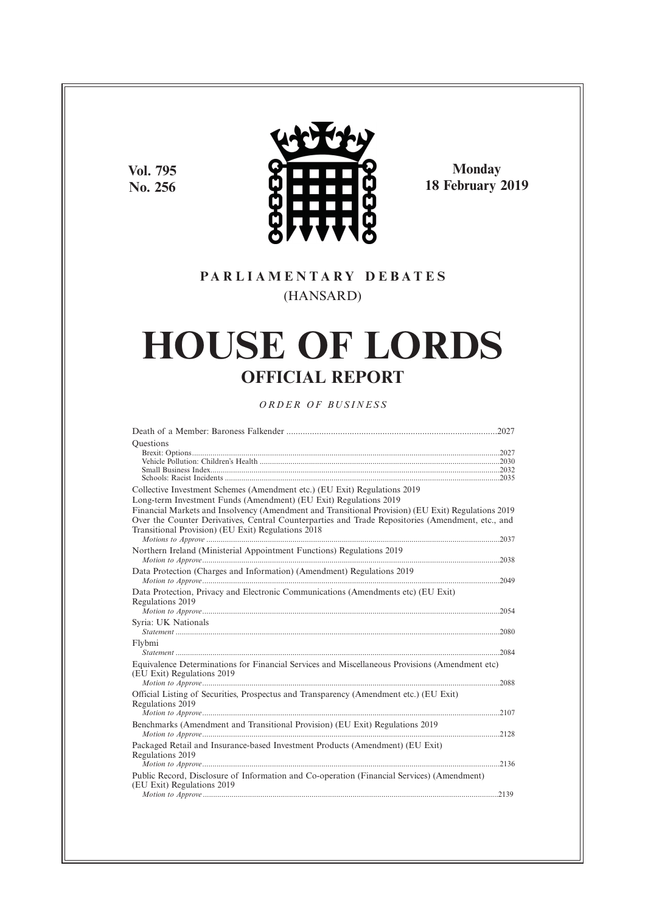**Vol. 795 No. 256**



**Monday 18 February 2019**

# **P A R L I A M E N T A R Y D E B A T E S** (HANSARD)

# **HOUSE OF LORDS OFFICIAL REPORT**

### *O R D E R O F BU S I N E S S*

| Ouestions                                                                                                                                                                                                                                                                                                                          |  |
|------------------------------------------------------------------------------------------------------------------------------------------------------------------------------------------------------------------------------------------------------------------------------------------------------------------------------------|--|
| Collective Investment Schemes (Amendment etc.) (EU Exit) Regulations 2019                                                                                                                                                                                                                                                          |  |
| Long-term Investment Funds (Amendment) (EU Exit) Regulations 2019<br>Financial Markets and Insolvency (Amendment and Transitional Provision) (EU Exit) Regulations 2019<br>Over the Counter Derivatives, Central Counterparties and Trade Repositories (Amendment, etc., and<br>Transitional Provision) (EU Exit) Regulations 2018 |  |
| Northern Ireland (Ministerial Appointment Functions) Regulations 2019                                                                                                                                                                                                                                                              |  |
| Data Protection (Charges and Information) (Amendment) Regulations 2019                                                                                                                                                                                                                                                             |  |
| Data Protection, Privacy and Electronic Communications (Amendments etc) (EU Exit)<br>Regulations 2019                                                                                                                                                                                                                              |  |
| Syria: UK Nationals                                                                                                                                                                                                                                                                                                                |  |
| Flybmi                                                                                                                                                                                                                                                                                                                             |  |
| Equivalence Determinations for Financial Services and Miscellaneous Provisions (Amendment etc)<br>(EU Exit) Regulations 2019                                                                                                                                                                                                       |  |
| Official Listing of Securities, Prospectus and Transparency (Amendment etc.) (EU Exit)<br>Regulations 2019                                                                                                                                                                                                                         |  |
|                                                                                                                                                                                                                                                                                                                                    |  |
| Benchmarks (Amendment and Transitional Provision) (EU Exit) Regulations 2019                                                                                                                                                                                                                                                       |  |
| Packaged Retail and Insurance-based Investment Products (Amendment) (EU Exit)<br>Regulations 2019                                                                                                                                                                                                                                  |  |
| Public Record, Disclosure of Information and Co-operation (Financial Services) (Amendment)<br>(EU Exit) Regulations 2019                                                                                                                                                                                                           |  |
|                                                                                                                                                                                                                                                                                                                                    |  |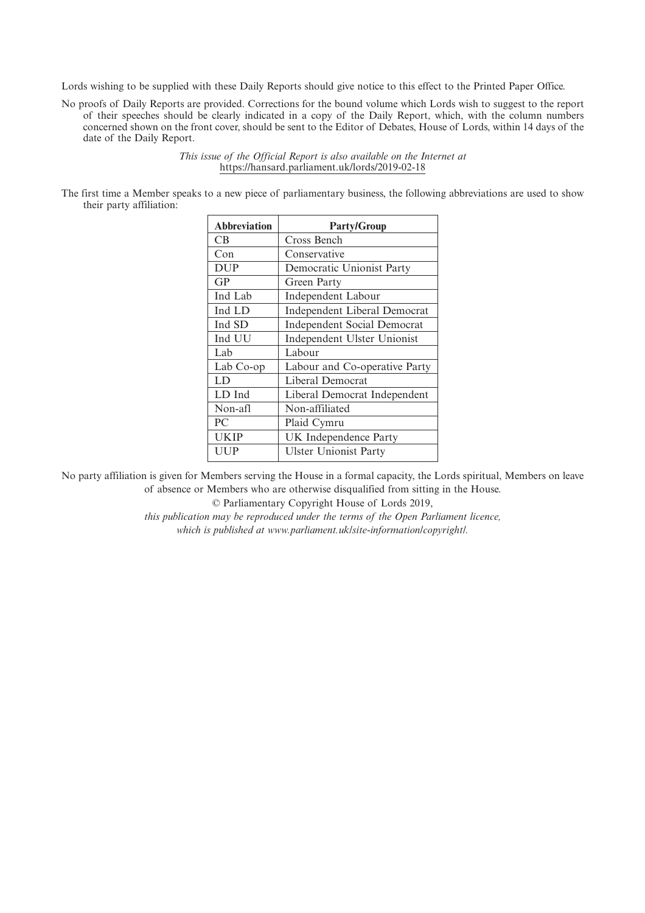Lords wishing to be supplied with these Daily Reports should give notice to this effect to the Printed Paper Office.

No proofs of Daily Reports are provided. Corrections for the bound volume which Lords wish to suggest to the report of their speeches should be clearly indicated in a copy of the Daily Report, which, with the column numbers concerned shown on the front cover, should be sent to the Editor of Debates, House of Lords, within 14 days of the date of the Daily Report.

> *This issue of the Official Report is also available on the Internet at* https://hansard.parliament.uk/lords/2019-02-18

The first time a Member speaks to a new piece of parliamentary business, the following abbreviations are used to show their party affiliation:

| <b>Abbreviation</b> | <b>Party/Group</b>                 |
|---------------------|------------------------------------|
| CВ                  | Cross Bench                        |
| Con                 | Conservative                       |
| <b>DUP</b>          | Democratic Unionist Party          |
| GP                  | Green Party                        |
| Ind Lab             | Independent Labour                 |
| Ind LD              | Independent Liberal Democrat       |
| Ind SD              | <b>Independent Social Democrat</b> |
| Ind UU              | Independent Ulster Unionist        |
| Lab                 | Labour                             |
| Lab Co-op           | Labour and Co-operative Party      |
| LD                  | Liberal Democrat                   |
| LD Ind              | Liberal Democrat Independent       |
| Non-afl             | Non-affiliated                     |
| PC                  | Plaid Cymru                        |
| UKIP                | UK Independence Party              |
| UUP                 | <b>Ulster Unionist Party</b>       |

No party affiliation is given for Members serving the House in a formal capacity, the Lords spiritual, Members on leave of absence or Members who are otherwise disqualified from sitting in the House.

© Parliamentary Copyright House of Lords 2019,

*this publication may be reproduced under the terms of the Open Parliament licence, which is published at www.parliament.uk/site-information/copyright/.*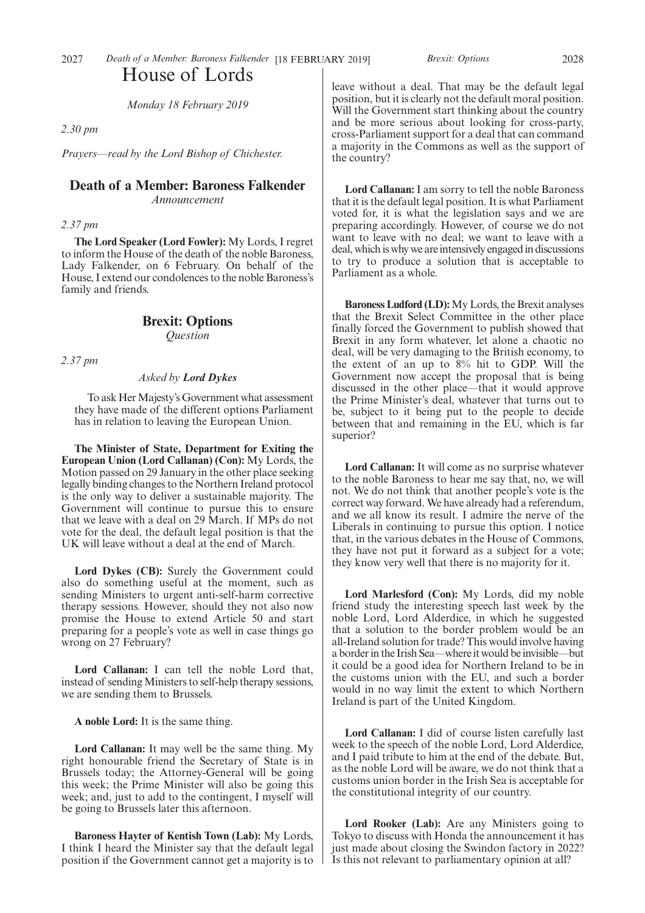*Monday 18 February 2019*

*2.30 pm*

*Prayers—read by the Lord Bishop of Chichester.*

### **Death of a Member: Baroness Falkender** *Announcement*

*2.37 pm*

**The Lord Speaker (Lord Fowler):** My Lords, I regret to inform the House of the death of the noble Baroness, Lady Falkender, on 6 February. On behalf of the House, I extend our condolences to the noble Baroness's family and friends.

### **Brexit: Options** *Question*

*2.37 pm*

### *Asked by Lord Dykes*

To ask Her Majesty's Government what assessment they have made of the different options Parliament has in relation to leaving the European Union.

**The Minister of State, Department for Exiting the European Union (Lord Callanan) (Con):** My Lords, the Motion passed on 29 January in the other place seeking legally binding changes to the Northern Ireland protocol is the only way to deliver a sustainable majority. The Government will continue to pursue this to ensure that we leave with a deal on 29 March. If MPs do not vote for the deal, the default legal position is that the UK will leave without a deal at the end of March.

**Lord Dykes (CB):** Surely the Government could also do something useful at the moment, such as sending Ministers to urgent anti-self-harm corrective therapy sessions. However, should they not also now promise the House to extend Article 50 and start preparing for a people's vote as well in case things go wrong on 27 February?

**Lord Callanan:** I can tell the noble Lord that, instead of sending Ministers to self-help therapy sessions, we are sending them to Brussels.

**A noble Lord:** It is the same thing.

**Lord Callanan:** It may well be the same thing. My right honourable friend the Secretary of State is in Brussels today; the Attorney-General will be going this week; the Prime Minister will also be going this week; and, just to add to the contingent, I myself will be going to Brussels later this afternoon.

**Baroness Hayter of Kentish Town (Lab):** My Lords, I think I heard the Minister say that the default legal position if the Government cannot get a majority is to

leave without a deal. That may be the default legal position, but it is clearly not the default moral position. Will the Government start thinking about the country and be more serious about looking for cross-party, cross-Parliament support for a deal that can command a majority in the Commons as well as the support of the country?

**Lord Callanan:** I am sorry to tell the noble Baroness that it is the default legal position. It is what Parliament voted for, it is what the legislation says and we are preparing accordingly. However, of course we do not want to leave with no deal; we want to leave with a deal, which is why we are intensively engaged in discussions to try to produce a solution that is acceptable to Parliament as a whole.

**Baroness Ludford (LD):**My Lords, the Brexit analyses that the Brexit Select Committee in the other place finally forced the Government to publish showed that Brexit in any form whatever, let alone a chaotic no deal, will be very damaging to the British economy, to the extent of an up to 8% hit to GDP. Will the Government now accept the proposal that is being discussed in the other place—that it would approve the Prime Minister's deal, whatever that turns out to be, subject to it being put to the people to decide between that and remaining in the EU, which is far superior?

**Lord Callanan:** It will come as no surprise whatever to the noble Baroness to hear me say that, no, we will not. We do not think that another people's vote is the correct way forward. We have already had a referendum, and we all know its result. I admire the nerve of the Liberals in continuing to pursue this option. I notice that, in the various debates in the House of Commons, they have not put it forward as a subject for a vote; they know very well that there is no majority for it.

**Lord Marlesford (Con):** My Lords, did my noble friend study the interesting speech last week by the noble Lord, Lord Alderdice, in which he suggested that a solution to the border problem would be an all-Ireland solution for trade? This would involve having a border in the Irish Sea—where it would be invisible—but it could be a good idea for Northern Ireland to be in the customs union with the EU, and such a border would in no way limit the extent to which Northern Ireland is part of the United Kingdom.

**Lord Callanan:** I did of course listen carefully last week to the speech of the noble Lord, Lord Alderdice, and I paid tribute to him at the end of the debate. But, as the noble Lord will be aware, we do not think that a customs union border in the Irish Sea is acceptable for the constitutional integrity of our country.

Lord Rooker (Lab): Are any Ministers going to Tokyo to discuss with Honda the announcement it has just made about closing the Swindon factory in 2022? Is this not relevant to parliamentary opinion at all?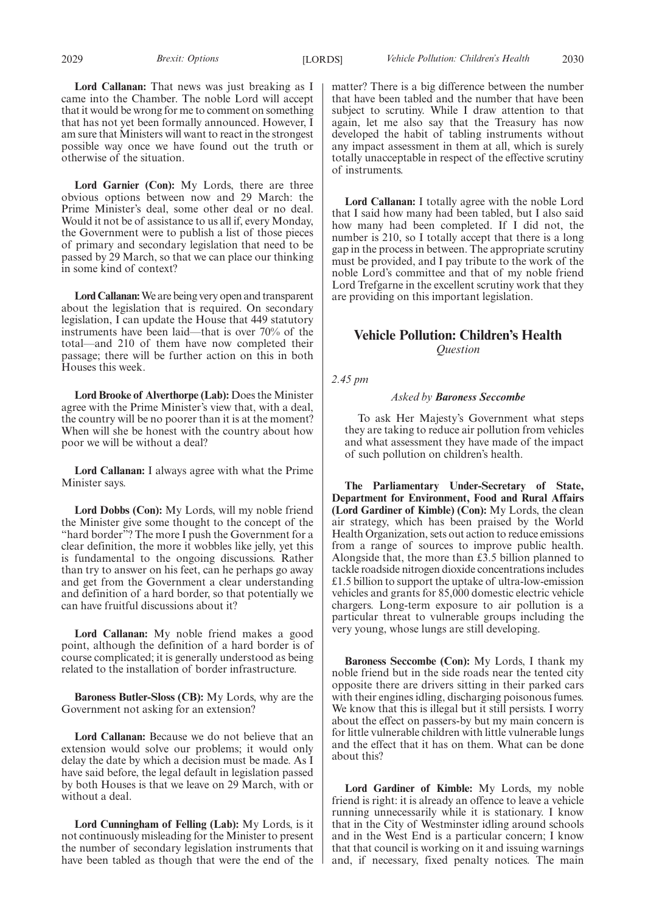**Lord Garnier (Con):** My Lords, there are three obvious options between now and 29 March: the Prime Minister's deal, some other deal or no deal. Would it not be of assistance to us all if, every Monday, the Government were to publish a list of those pieces of primary and secondary legislation that need to be passed by 29 March, so that we can place our thinking in some kind of context?

**Lord Callanan:**We are being very open and transparent about the legislation that is required. On secondary legislation, I can update the House that 449 statutory instruments have been laid—that is over 70% of the total—and 210 of them have now completed their passage; there will be further action on this in both Houses this week.

**Lord Brooke of Alverthorpe (Lab):** Does the Minister agree with the Prime Minister's view that, with a deal, the country will be no poorer than it is at the moment? When will she be honest with the country about how poor we will be without a deal?

**Lord Callanan:** I always agree with what the Prime Minister says.

**Lord Dobbs (Con):** My Lords, will my noble friend the Minister give some thought to the concept of the "hard border"? The more I push the Government for a clear definition, the more it wobbles like jelly, yet this is fundamental to the ongoing discussions. Rather than try to answer on his feet, can he perhaps go away and get from the Government a clear understanding and definition of a hard border, so that potentially we can have fruitful discussions about it?

**Lord Callanan:** My noble friend makes a good point, although the definition of a hard border is of course complicated; it is generally understood as being related to the installation of border infrastructure.

**Baroness Butler-Sloss (CB):** My Lords, why are the Government not asking for an extension?

**Lord Callanan:** Because we do not believe that an extension would solve our problems; it would only delay the date by which a decision must be made. As I have said before, the legal default in legislation passed by both Houses is that we leave on 29 March, with or without a deal.

**Lord Cunningham of Felling (Lab):** My Lords, is it not continuously misleading for the Minister to present the number of secondary legislation instruments that have been tabled as though that were the end of the matter? There is a big difference between the number that have been tabled and the number that have been subject to scrutiny. While I draw attention to that again, let me also say that the Treasury has now developed the habit of tabling instruments without any impact assessment in them at all, which is surely totally unacceptable in respect of the effective scrutiny of instruments.

**Lord Callanan:** I totally agree with the noble Lord that I said how many had been tabled, but I also said how many had been completed. If I did not, the number is 210, so I totally accept that there is a long gap in the process in between. The appropriate scrutiny must be provided, and I pay tribute to the work of the noble Lord's committee and that of my noble friend Lord Trefgarne in the excellent scrutiny work that they are providing on this important legislation.

### **Vehicle Pollution: Children's Health** *Question*

*2.45 pm*

### *Asked by Baroness Seccombe*

To ask Her Majesty's Government what steps they are taking to reduce air pollution from vehicles and what assessment they have made of the impact of such pollution on children's health.

**The Parliamentary Under-Secretary of State, Department for Environment, Food and Rural Affairs (Lord Gardiner of Kimble) (Con):** My Lords, the clean air strategy, which has been praised by the World Health Organization, sets out action to reduce emissions from a range of sources to improve public health. Alongside that, the more than £3.5 billion planned to tackle roadside nitrogen dioxide concentrations includes £1.5 billion to support the uptake of ultra-low-emission vehicles and grants for 85,000 domestic electric vehicle chargers. Long-term exposure to air pollution is a particular threat to vulnerable groups including the very young, whose lungs are still developing.

**Baroness Seccombe (Con):** My Lords, I thank my noble friend but in the side roads near the tented city opposite there are drivers sitting in their parked cars with their engines idling, discharging poisonous fumes. We know that this is illegal but it still persists. I worry about the effect on passers-by but my main concern is for little vulnerable children with little vulnerable lungs and the effect that it has on them. What can be done about this?

**Lord Gardiner of Kimble:** My Lords, my noble friend is right: it is already an offence to leave a vehicle running unnecessarily while it is stationary. I know that in the City of Westminster idling around schools and in the West End is a particular concern; I know that that council is working on it and issuing warnings and, if necessary, fixed penalty notices. The main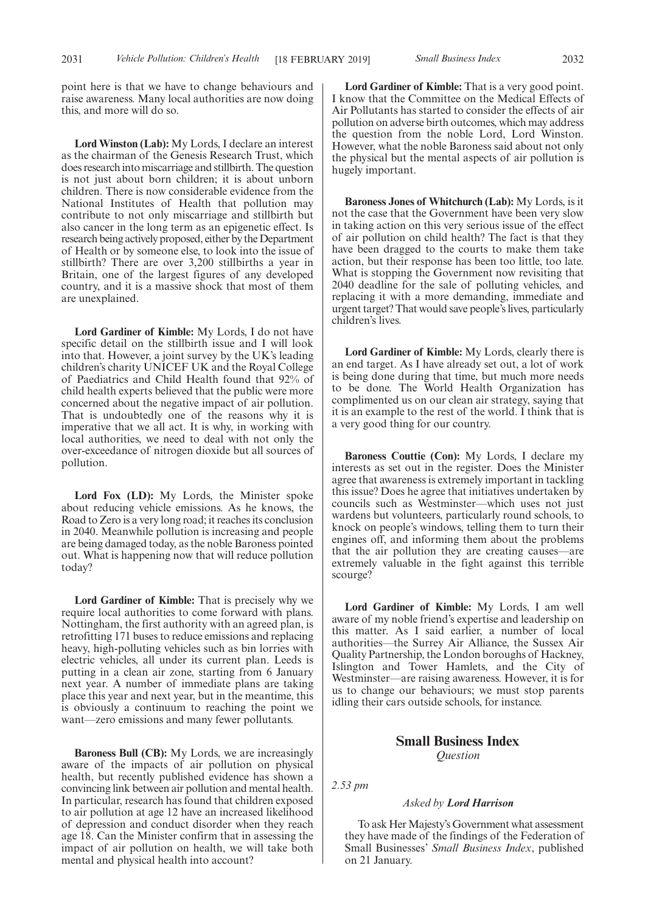point here is that we have to change behaviours and raise awareness. Many local authorities are now doing this, and more will do so.

**Lord Winston (Lab):** My Lords, I declare an interest as the chairman of the Genesis Research Trust, which does research into miscarriage and stillbirth. The question is not just about born children; it is about unborn children. There is now considerable evidence from the National Institutes of Health that pollution may contribute to not only miscarriage and stillbirth but also cancer in the long term as an epigenetic effect. Is research being actively proposed, either by the Department of Health or by someone else, to look into the issue of stillbirth? There are over 3,200 stillbirths a year in Britain, one of the largest figures of any developed country, and it is a massive shock that most of them are unexplained.

**Lord Gardiner of Kimble:** My Lords, I do not have specific detail on the stillbirth issue and I will look into that. However, a joint survey by the UK's leading children's charity UNICEF UK and the Royal College of Paediatrics and Child Health found that 92% of child health experts believed that the public were more concerned about the negative impact of air pollution. That is undoubtedly one of the reasons why it is imperative that we all act. It is why, in working with local authorities, we need to deal with not only the over-exceedance of nitrogen dioxide but all sources of pollution.

**Lord Fox (LD):** My Lords, the Minister spoke about reducing vehicle emissions. As he knows, the Road to Zero is a very long road; it reaches its conclusion in 2040. Meanwhile pollution is increasing and people are being damaged today, as the noble Baroness pointed out. What is happening now that will reduce pollution today?

**Lord Gardiner of Kimble:** That is precisely why we require local authorities to come forward with plans. Nottingham, the first authority with an agreed plan, is retrofitting 171 buses to reduce emissions and replacing heavy, high-polluting vehicles such as bin lorries with electric vehicles, all under its current plan. Leeds is putting in a clean air zone, starting from 6 January next year. A number of immediate plans are taking place this year and next year, but in the meantime, this is obviously a continuum to reaching the point we want—zero emissions and many fewer pollutants.

**Baroness Bull (CB):** My Lords, we are increasingly aware of the impacts of air pollution on physical health, but recently published evidence has shown a convincing link between air pollution and mental health. In particular, research has found that children exposed to air pollution at age 12 have an increased likelihood of depression and conduct disorder when they reach age 18. Can the Minister confirm that in assessing the impact of air pollution on health, we will take both mental and physical health into account?

**Lord Gardiner of Kimble:** That is a very good point. I know that the Committee on the Medical Effects of Air Pollutants has started to consider the effects of air pollution on adverse birth outcomes, which may address the question from the noble Lord, Lord Winston. However, what the noble Baroness said about not only the physical but the mental aspects of air pollution is hugely important.

**Baroness Jones of Whitchurch (Lab):** My Lords, is it not the case that the Government have been very slow in taking action on this very serious issue of the effect of air pollution on child health? The fact is that they have been dragged to the courts to make them take action, but their response has been too little, too late. What is stopping the Government now revisiting that 2040 deadline for the sale of polluting vehicles, and replacing it with a more demanding, immediate and urgent target? That would save people's lives, particularly children's lives.

**Lord Gardiner of Kimble:** My Lords, clearly there is an end target. As I have already set out, a lot of work is being done during that time, but much more needs to be done. The World Health Organization has complimented us on our clean air strategy, saying that it is an example to the rest of the world. I think that is a very good thing for our country.

**Baroness Couttie (Con):** My Lords, I declare my interests as set out in the register. Does the Minister agree that awareness is extremely important in tackling this issue? Does he agree that initiatives undertaken by councils such as Westminster—which uses not just wardens but volunteers, particularly round schools, to knock on people's windows, telling them to turn their engines off, and informing them about the problems that the air pollution they are creating causes—are extremely valuable in the fight against this terrible scourge?

**Lord Gardiner of Kimble:** My Lords, I am well aware of my noble friend's expertise and leadership on this matter. As I said earlier, a number of local authorities—the Surrey Air Alliance, the Sussex Air Quality Partnership, the London boroughs of Hackney, Islington and Tower Hamlets, and the City of Westminster—are raising awareness. However, it is for us to change our behaviours; we must stop parents idling their cars outside schools, for instance.

### **Small Business Index** *Question*

*2.53 pm*

### *Asked by Lord Harrison*

To ask Her Majesty's Government what assessment they have made of the findings of the Federation of Small Businesses' *Small Business Index*, published on 21 January.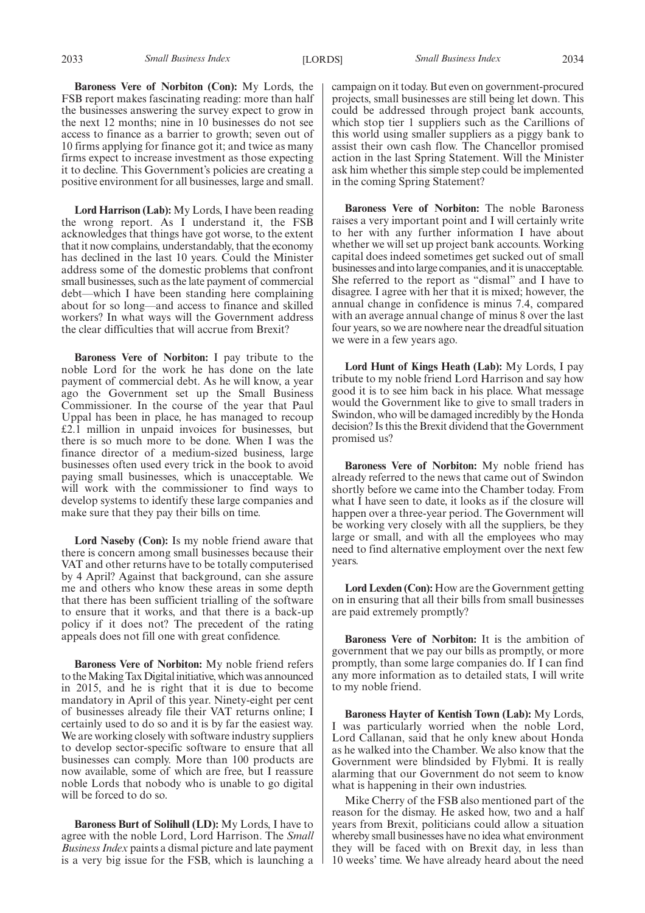**Baroness Vere of Norbiton (Con):** My Lords, the FSB report makes fascinating reading: more than half the businesses answering the survey expect to grow in the next 12 months; nine in 10 businesses do not see access to finance as a barrier to growth; seven out of 10 firms applying for finance got it; and twice as many firms expect to increase investment as those expecting it to decline. This Government's policies are creating a positive environment for all businesses, large and small.

**Lord Harrison (Lab):** My Lords, I have been reading the wrong report. As I understand it, the FSB acknowledges that things have got worse, to the extent that it now complains, understandably, that the economy has declined in the last 10 years. Could the Minister address some of the domestic problems that confront small businesses, such as the late payment of commercial debt—which I have been standing here complaining about for so long—and access to finance and skilled workers? In what ways will the Government address the clear difficulties that will accrue from Brexit?

**Baroness Vere of Norbiton:** I pay tribute to the noble Lord for the work he has done on the late payment of commercial debt. As he will know, a year ago the Government set up the Small Business Commissioner. In the course of the year that Paul Uppal has been in place, he has managed to recoup £2.1 million in unpaid invoices for businesses, but there is so much more to be done. When I was the finance director of a medium-sized business, large businesses often used every trick in the book to avoid paying small businesses, which is unacceptable. We will work with the commissioner to find ways to develop systems to identify these large companies and make sure that they pay their bills on time.

**Lord Naseby (Con):** Is my noble friend aware that there is concern among small businesses because their VAT and other returns have to be totally computerised by 4 April? Against that background, can she assure me and others who know these areas in some depth that there has been sufficient trialling of the software to ensure that it works, and that there is a back-up policy if it does not? The precedent of the rating appeals does not fill one with great confidence.

**Baroness Vere of Norbiton:** My noble friend refers to the Making Tax Digital initiative, which was announced in 2015, and he is right that it is due to become mandatory in April of this year. Ninety-eight per cent of businesses already file their VAT returns online; I certainly used to do so and it is by far the easiest way. We are working closely with software industry suppliers to develop sector-specific software to ensure that all businesses can comply. More than 100 products are now available, some of which are free, but I reassure noble Lords that nobody who is unable to go digital will be forced to do so.

**Baroness Burt of Solihull (LD):** My Lords, I have to agree with the noble Lord, Lord Harrison. The *Small Business Index* paints a dismal picture and late payment is a very big issue for the FSB, which is launching a campaign on it today. But even on government-procured projects, small businesses are still being let down. This could be addressed through project bank accounts, which stop tier 1 suppliers such as the Carillions of this world using smaller suppliers as a piggy bank to assist their own cash flow. The Chancellor promised action in the last Spring Statement. Will the Minister ask him whether this simple step could be implemented in the coming Spring Statement?

**Baroness Vere of Norbiton:** The noble Baroness raises a very important point and I will certainly write to her with any further information I have about whether we will set up project bank accounts. Working capital does indeed sometimes get sucked out of small businesses and into large companies, and it is unacceptable. She referred to the report as "dismal" and I have to disagree. I agree with her that it is mixed; however, the annual change in confidence is minus 7.4, compared with an average annual change of minus 8 over the last four years, so we are nowhere near the dreadful situation we were in a few years ago.

**Lord Hunt of Kings Heath (Lab):** My Lords, I pay tribute to my noble friend Lord Harrison and say how good it is to see him back in his place. What message would the Government like to give to small traders in Swindon, who will be damaged incredibly by the Honda decision? Is this the Brexit dividend that the Government promised us?

**Baroness Vere of Norbiton:** My noble friend has already referred to the news that came out of Swindon shortly before we came into the Chamber today. From what I have seen to date, it looks as if the closure will happen over a three-year period. The Government will be working very closely with all the suppliers, be they large or small, and with all the employees who may need to find alternative employment over the next few years.

**Lord Lexden (Con):** How are the Government getting on in ensuring that all their bills from small businesses are paid extremely promptly?

**Baroness Vere of Norbiton:** It is the ambition of government that we pay our bills as promptly, or more promptly, than some large companies do. If I can find any more information as to detailed stats, I will write to my noble friend.

**Baroness Hayter of Kentish Town (Lab):** My Lords, I was particularly worried when the noble Lord, Lord Callanan, said that he only knew about Honda as he walked into the Chamber. We also know that the Government were blindsided by Flybmi. It is really alarming that our Government do not seem to know what is happening in their own industries.

Mike Cherry of the FSB also mentioned part of the reason for the dismay. He asked how, two and a half years from Brexit, politicians could allow a situation whereby small businesses have no idea what environment they will be faced with on Brexit day, in less than 10 weeks' time. We have already heard about the need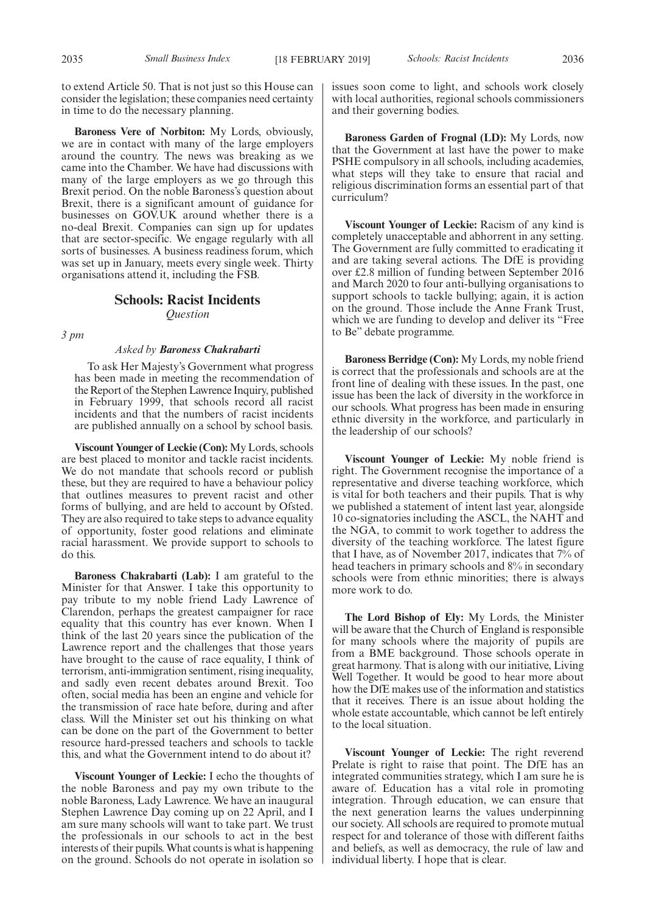to extend Article 50. That is not just so this House can consider the legislation; these companies need certainty in time to do the necessary planning.

**Baroness Vere of Norbiton:** My Lords, obviously, we are in contact with many of the large employers around the country. The news was breaking as we came into the Chamber. We have had discussions with many of the large employers as we go through this Brexit period. On the noble Baroness's question about Brexit, there is a significant amount of guidance for businesses on GOV.UK around whether there is a no-deal Brexit. Companies can sign up for updates that are sector-specific. We engage regularly with all sorts of businesses. A business readiness forum, which was set up in January, meets every single week. Thirty organisations attend it, including the FSB.

### **Schools: Racist Incidents** *Question*

*3 pm*

### *Asked by Baroness Chakrabarti*

To ask Her Majesty's Government what progress has been made in meeting the recommendation of the Report of the Stephen Lawrence Inquiry, published in February 1999, that schools record all racist incidents and that the numbers of racist incidents are published annually on a school by school basis.

**Viscount Younger of Leckie (Con):** My Lords, schools are best placed to monitor and tackle racist incidents. We do not mandate that schools record or publish these, but they are required to have a behaviour policy that outlines measures to prevent racist and other forms of bullying, and are held to account by Ofsted. They are also required to take steps to advance equality of opportunity, foster good relations and eliminate racial harassment. We provide support to schools to do this.

**Baroness Chakrabarti (Lab):** I am grateful to the Minister for that Answer. I take this opportunity to pay tribute to my noble friend Lady Lawrence of Clarendon, perhaps the greatest campaigner for race equality that this country has ever known. When I think of the last 20 years since the publication of the Lawrence report and the challenges that those years have brought to the cause of race equality, I think of terrorism, anti-immigration sentiment, rising inequality, and sadly even recent debates around Brexit. Too often, social media has been an engine and vehicle for the transmission of race hate before, during and after class. Will the Minister set out his thinking on what can be done on the part of the Government to better resource hard-pressed teachers and schools to tackle this, and what the Government intend to do about it?

**Viscount Younger of Leckie:** I echo the thoughts of the noble Baroness and pay my own tribute to the noble Baroness, Lady Lawrence. We have an inaugural Stephen Lawrence Day coming up on 22 April, and I am sure many schools will want to take part. We trust the professionals in our schools to act in the best interests of their pupils. What counts is what is happening on the ground. Schools do not operate in isolation so

issues soon come to light, and schools work closely with local authorities, regional schools commissioners and their governing bodies.

**Baroness Garden of Frognal (LD):** My Lords, now that the Government at last have the power to make PSHE compulsory in all schools, including academies, what steps will they take to ensure that racial and religious discrimination forms an essential part of that curriculum?

**Viscount Younger of Leckie:** Racism of any kind is completely unacceptable and abhorrent in any setting. The Government are fully committed to eradicating it and are taking several actions. The DfE is providing over £2.8 million of funding between September 2016 and March 2020 to four anti-bullying organisations to support schools to tackle bullying; again, it is action on the ground. Those include the Anne Frank Trust, which we are funding to develop and deliver its "Free to Be" debate programme.

**Baroness Berridge (Con):** My Lords, my noble friend is correct that the professionals and schools are at the front line of dealing with these issues. In the past, one issue has been the lack of diversity in the workforce in our schools. What progress has been made in ensuring ethnic diversity in the workforce, and particularly in the leadership of our schools?

**Viscount Younger of Leckie:** My noble friend is right. The Government recognise the importance of a representative and diverse teaching workforce, which is vital for both teachers and their pupils. That is why we published a statement of intent last year, alongside 10 co-signatories including the ASCL, the NAHT and the NGA, to commit to work together to address the diversity of the teaching workforce. The latest figure that I have, as of November 2017, indicates that 7% of head teachers in primary schools and 8% in secondary schools were from ethnic minorities; there is always more work to do.

**The Lord Bishop of Ely:** My Lords, the Minister will be aware that the Church of England is responsible for many schools where the majority of pupils are from a BME background. Those schools operate in great harmony. That is along with our initiative, Living Well Together. It would be good to hear more about how the DfE makes use of the information and statistics that it receives. There is an issue about holding the whole estate accountable, which cannot be left entirely to the local situation.

**Viscount Younger of Leckie:** The right reverend Prelate is right to raise that point. The DfE has an integrated communities strategy, which I am sure he is aware of. Education has a vital role in promoting integration. Through education, we can ensure that the next generation learns the values underpinning our society. All schools are required to promote mutual respect for and tolerance of those with different faiths and beliefs, as well as democracy, the rule of law and individual liberty. I hope that is clear.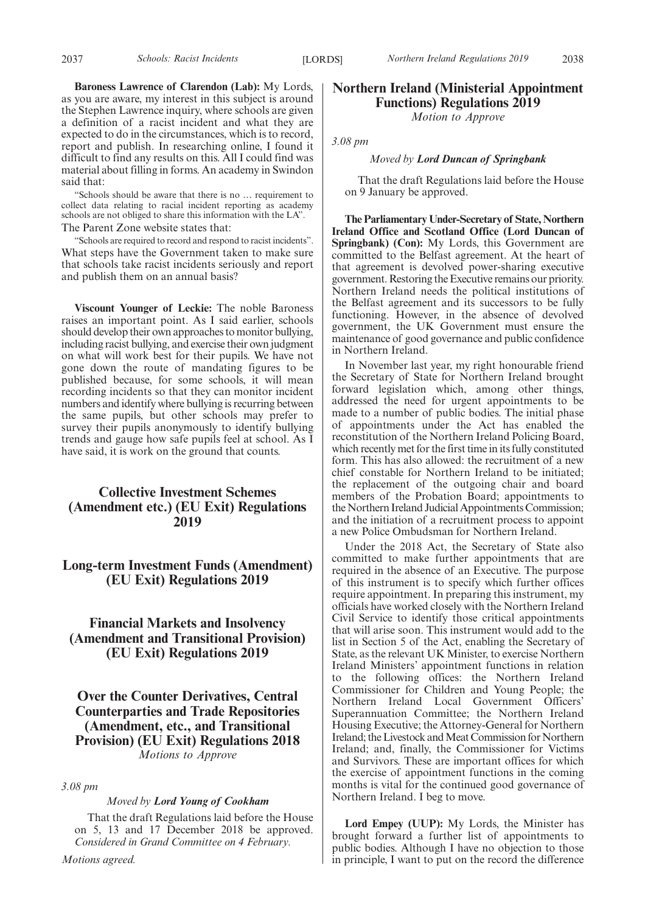**Baroness Lawrence of Clarendon (Lab):** My Lords, as you are aware, my interest in this subject is around the Stephen Lawrence inquiry, where schools are given a definition of a racist incident and what they are expected to do in the circumstances, which is to record, report and publish. In researching online, I found it difficult to find any results on this. All I could find was material about filling in forms. An academy in Swindon said that:

"Schools should be aware that there is no … requirement to collect data relating to racial incident reporting as academy schools are not obliged to share this information with the LA". The Parent Zone website states that:

"Schools are required to record and respond to racist incidents". What steps have the Government taken to make sure that schools take racist incidents seriously and report and publish them on an annual basis?

**Viscount Younger of Leckie:** The noble Baroness raises an important point. As I said earlier, schools should develop their own approaches to monitor bullying, including racist bullying, and exercise their own judgment on what will work best for their pupils. We have not gone down the route of mandating figures to be published because, for some schools, it will mean recording incidents so that they can monitor incident numbers and identify where bullying is recurring between the same pupils, but other schools may prefer to survey their pupils anonymously to identify bullying trends and gauge how safe pupils feel at school. As I have said, it is work on the ground that counts.

### **Collective Investment Schemes (Amendment etc.) (EU Exit) Regulations 2019**

### **Long-term Investment Funds (Amendment) (EU Exit) Regulations 2019**

**Financial Markets and Insolvency (Amendment and Transitional Provision) (EU Exit) Regulations 2019**

**Over the Counter Derivatives, Central Counterparties and Trade Repositories (Amendment, etc., and Transitional Provision) (EU Exit) Regulations 2018** *Motions to Approve*

*3.08 pm*

### *Moved by Lord Young of Cookham*

That the draft Regulations laid before the House on 5, 13 and 17 December 2018 be approved. *Considered in Grand Committee on 4 February.*

### **Northern Ireland (Ministerial Appointment Functions) Regulations 2019**

*Motion to Approve*

*3.08 pm*

### *Moved by Lord Duncan of Springbank*

That the draft Regulations laid before the House on 9 January be approved.

**The Parliamentary Under-Secretary of State, Northern Ireland Office and Scotland Office (Lord Duncan of Springbank) (Con):** My Lords, this Government are committed to the Belfast agreement. At the heart of that agreement is devolved power-sharing executive government. Restoring the Executive remains our priority. Northern Ireland needs the political institutions of the Belfast agreement and its successors to be fully functioning. However, in the absence of devolved government, the UK Government must ensure the maintenance of good governance and public confidence in Northern Ireland.

In November last year, my right honourable friend the Secretary of State for Northern Ireland brought forward legislation which, among other things, addressed the need for urgent appointments to be made to a number of public bodies. The initial phase of appointments under the Act has enabled the reconstitution of the Northern Ireland Policing Board, which recently met for the first time in its fully constituted form. This has also allowed: the recruitment of a new chief constable for Northern Ireland to be initiated; the replacement of the outgoing chair and board members of the Probation Board; appointments to the Northern Ireland Judicial Appointments Commission; and the initiation of a recruitment process to appoint a new Police Ombudsman for Northern Ireland.

Under the 2018 Act, the Secretary of State also committed to make further appointments that are required in the absence of an Executive. The purpose of this instrument is to specify which further offices require appointment. In preparing this instrument, my officials have worked closely with the Northern Ireland Civil Service to identify those critical appointments that will arise soon. This instrument would add to the list in Section 5 of the Act, enabling the Secretary of State, as the relevant UK Minister, to exercise Northern Ireland Ministers' appointment functions in relation to the following offices: the Northern Ireland Commissioner for Children and Young People; the Northern Ireland Local Government Officers' Superannuation Committee; the Northern Ireland Housing Executive; the Attorney-General for Northern Ireland; the Livestock and Meat Commission for Northern Ireland; and, finally, the Commissioner for Victims and Survivors. These are important offices for which the exercise of appointment functions in the coming months is vital for the continued good governance of Northern Ireland. I beg to move.

**Lord Empey (UUP):** My Lords, the Minister has brought forward a further list of appointments to public bodies. Although I have no objection to those in principle, I want to put on the record the difference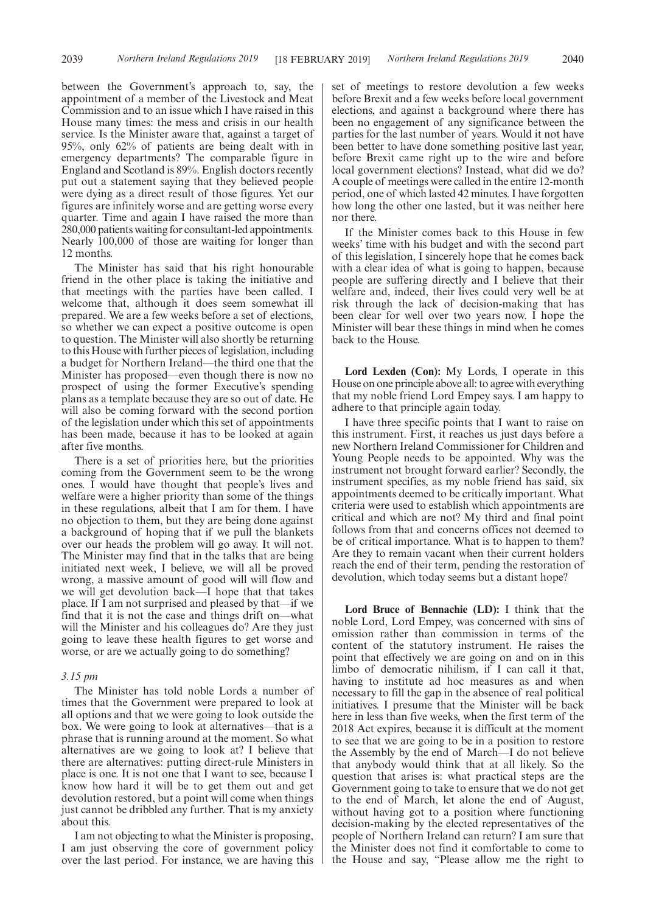between the Government's approach to, say, the appointment of a member of the Livestock and Meat Commission and to an issue which I have raised in this House many times: the mess and crisis in our health service. Is the Minister aware that, against a target of 95%, only 62% of patients are being dealt with in emergency departments? The comparable figure in England and Scotland is 89%. English doctors recently put out a statement saying that they believed people were dying as a direct result of those figures. Yet our figures are infinitely worse and are getting worse every quarter. Time and again I have raised the more than 280,000 patients waiting for consultant-led appointments. Nearly 100,000 of those are waiting for longer than 12 months.

The Minister has said that his right honourable friend in the other place is taking the initiative and that meetings with the parties have been called. I welcome that, although it does seem somewhat ill prepared. We are a few weeks before a set of elections, so whether we can expect a positive outcome is open to question. The Minister will also shortly be returning to this House with further pieces of legislation, including a budget for Northern Ireland—the third one that the Minister has proposed—even though there is now no prospect of using the former Executive's spending plans as a template because they are so out of date. He will also be coming forward with the second portion of the legislation under which this set of appointments has been made, because it has to be looked at again after five months.

There is a set of priorities here, but the priorities coming from the Government seem to be the wrong ones. I would have thought that people's lives and welfare were a higher priority than some of the things in these regulations, albeit that I am for them. I have no objection to them, but they are being done against a background of hoping that if we pull the blankets over our heads the problem will go away. It will not. The Minister may find that in the talks that are being initiated next week, I believe, we will all be proved wrong, a massive amount of good will will flow and we will get devolution back—I hope that that takes place. If I am not surprised and pleased by that—if we find that it is not the case and things drift on—what will the Minister and his colleagues do? Are they just going to leave these health figures to get worse and worse, or are we actually going to do something?

### *3.15 pm*

The Minister has told noble Lords a number of times that the Government were prepared to look at all options and that we were going to look outside the box. We were going to look at alternatives—that is a phrase that is running around at the moment. So what alternatives are we going to look at? I believe that there are alternatives: putting direct-rule Ministers in place is one. It is not one that I want to see, because I know how hard it will be to get them out and get devolution restored, but a point will come when things just cannot be dribbled any further. That is my anxiety about this.

I am not objecting to what the Minister is proposing, I am just observing the core of government policy over the last period. For instance, we are having this set of meetings to restore devolution a few weeks before Brexit and a few weeks before local government elections, and against a background where there has been no engagement of any significance between the parties for the last number of years. Would it not have been better to have done something positive last year, before Brexit came right up to the wire and before local government elections? Instead, what did we do? A couple of meetings were called in the entire 12-month period, one of which lasted 42 minutes. I have forgotten how long the other one lasted, but it was neither here nor there.

If the Minister comes back to this House in few weeks' time with his budget and with the second part of this legislation, I sincerely hope that he comes back with a clear idea of what is going to happen, because people are suffering directly and I believe that their welfare and, indeed, their lives could very well be at risk through the lack of decision-making that has been clear for well over two years now. I hope the Minister will bear these things in mind when he comes back to the House.

**Lord Lexden (Con):** My Lords, I operate in this House on one principle above all: to agree with everything that my noble friend Lord Empey says. I am happy to adhere to that principle again today.

I have three specific points that I want to raise on this instrument. First, it reaches us just days before a new Northern Ireland Commissioner for Children and Young People needs to be appointed. Why was the instrument not brought forward earlier? Secondly, the instrument specifies, as my noble friend has said, six appointments deemed to be critically important. What criteria were used to establish which appointments are critical and which are not? My third and final point follows from that and concerns offices not deemed to be of critical importance. What is to happen to them? Are they to remain vacant when their current holders reach the end of their term, pending the restoration of devolution, which today seems but a distant hope?

**Lord Bruce of Bennachie (LD):** I think that the noble Lord, Lord Empey, was concerned with sins of omission rather than commission in terms of the content of the statutory instrument. He raises the point that effectively we are going on and on in this limbo of democratic nihilism, if I can call it that, having to institute ad hoc measures as and when necessary to fill the gap in the absence of real political initiatives. I presume that the Minister will be back here in less than five weeks, when the first term of the 2018 Act expires, because it is difficult at the moment to see that we are going to be in a position to restore the Assembly by the end of March—I do not believe that anybody would think that at all likely. So the question that arises is: what practical steps are the Government going to take to ensure that we do not get to the end of March, let alone the end of August, without having got to a position where functioning decision-making by the elected representatives of the people of Northern Ireland can return? I am sure that the Minister does not find it comfortable to come to the House and say, "Please allow me the right to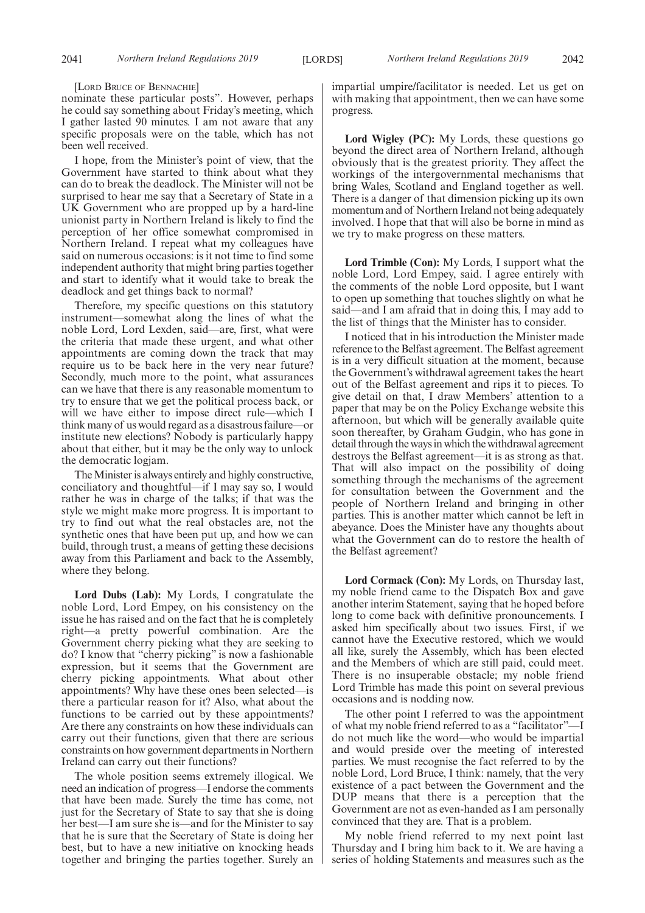[LORD BRUCE OF BENNACHIE]

nominate these particular posts". However, perhaps he could say something about Friday's meeting, which I gather lasted 90 minutes. I am not aware that any specific proposals were on the table, which has not been well received.

I hope, from the Minister's point of view, that the Government have started to think about what they can do to break the deadlock. The Minister will not be surprised to hear me say that a Secretary of State in a UK Government who are propped up by a hard-line unionist party in Northern Ireland is likely to find the perception of her office somewhat compromised in Northern Ireland. I repeat what my colleagues have said on numerous occasions: is it not time to find some independent authority that might bring parties together and start to identify what it would take to break the deadlock and get things back to normal?

Therefore, my specific questions on this statutory instrument—somewhat along the lines of what the noble Lord, Lord Lexden, said—are, first, what were the criteria that made these urgent, and what other appointments are coming down the track that may require us to be back here in the very near future? Secondly, much more to the point, what assurances can we have that there is any reasonable momentum to try to ensure that we get the political process back, or will we have either to impose direct rule—which I think many of us would regard as a disastrous failure—or institute new elections? Nobody is particularly happy about that either, but it may be the only way to unlock the democratic logjam.

The Minister is always entirely and highly constructive, conciliatory and thoughtful—if I may say so, I would rather he was in charge of the talks; if that was the style we might make more progress. It is important to try to find out what the real obstacles are, not the synthetic ones that have been put up, and how we can build, through trust, a means of getting these decisions away from this Parliament and back to the Assembly, where they belong.

**Lord Dubs (Lab):** My Lords, I congratulate the noble Lord, Lord Empey, on his consistency on the issue he has raised and on the fact that he is completely right—a pretty powerful combination. Are the Government cherry picking what they are seeking to do? I know that "cherry picking" is now a fashionable expression, but it seems that the Government are cherry picking appointments. What about other appointments? Why have these ones been selected—is there a particular reason for it? Also, what about the functions to be carried out by these appointments? Are there any constraints on how these individuals can carry out their functions, given that there are serious constraints on how government departments in Northern Ireland can carry out their functions?

The whole position seems extremely illogical. We need an indication of progress—I endorse the comments that have been made. Surely the time has come, not just for the Secretary of State to say that she is doing her best—I am sure she is—and for the Minister to say that he is sure that the Secretary of State is doing her best, but to have a new initiative on knocking heads together and bringing the parties together. Surely an impartial umpire/facilitator is needed. Let us get on with making that appointment, then we can have some progress.

**Lord Wigley (PC):** My Lords, these questions go beyond the direct area of Northern Ireland, although obviously that is the greatest priority. They affect the workings of the intergovernmental mechanisms that bring Wales, Scotland and England together as well. There is a danger of that dimension picking up its own momentum and of Northern Ireland not being adequately involved. I hope that that will also be borne in mind as we try to make progress on these matters.

**Lord Trimble (Con):** My Lords, I support what the noble Lord, Lord Empey, said. I agree entirely with the comments of the noble Lord opposite, but I want to open up something that touches slightly on what he said—and I am afraid that in doing this, I may add to the list of things that the Minister has to consider.

I noticed that in his introduction the Minister made reference to the Belfast agreement. The Belfast agreement is in a very difficult situation at the moment, because the Government's withdrawal agreement takes the heart out of the Belfast agreement and rips it to pieces. To give detail on that, I draw Members' attention to a paper that may be on the Policy Exchange website this afternoon, but which will be generally available quite soon thereafter, by Graham Gudgin, who has gone in detail through the ways in which the withdrawal agreement destroys the Belfast agreement—it is as strong as that. That will also impact on the possibility of doing something through the mechanisms of the agreement for consultation between the Government and the people of Northern Ireland and bringing in other parties. This is another matter which cannot be left in abeyance. Does the Minister have any thoughts about what the Government can do to restore the health of the Belfast agreement?

**Lord Cormack (Con):** My Lords, on Thursday last, my noble friend came to the Dispatch Box and gave another interim Statement, saying that he hoped before long to come back with definitive pronouncements. I asked him specifically about two issues. First, if we cannot have the Executive restored, which we would all like, surely the Assembly, which has been elected and the Members of which are still paid, could meet. There is no insuperable obstacle; my noble friend Lord Trimble has made this point on several previous occasions and is nodding now.

The other point I referred to was the appointment of what my noble friend referred to as a "facilitator"—I do not much like the word—who would be impartial and would preside over the meeting of interested parties. We must recognise the fact referred to by the noble Lord, Lord Bruce, I think: namely, that the very existence of a pact between the Government and the DUP means that there is a perception that the Government are not as even-handed as I am personally convinced that they are. That is a problem.

My noble friend referred to my next point last Thursday and I bring him back to it. We are having a series of holding Statements and measures such as the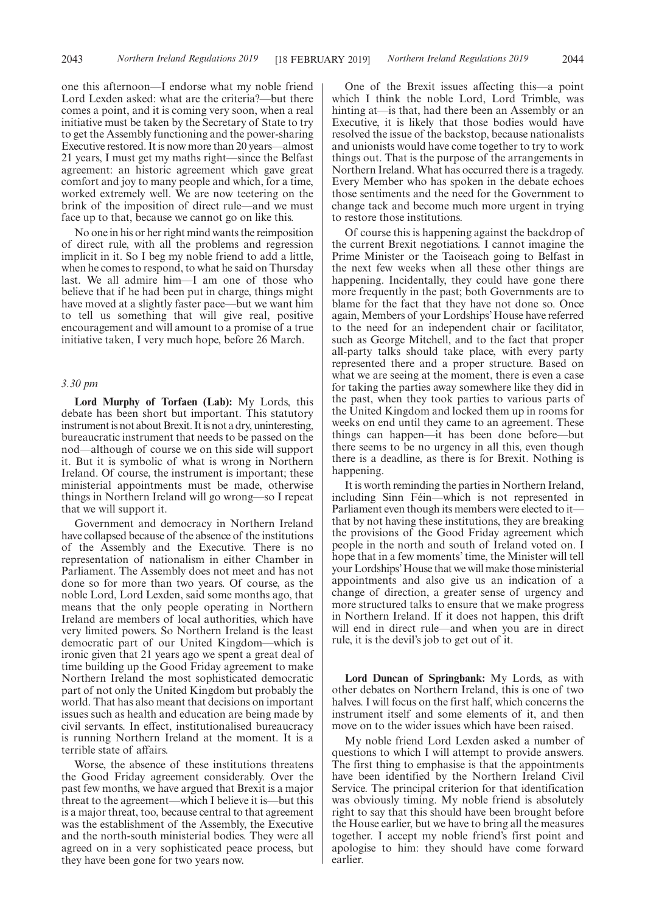one this afternoon—I endorse what my noble friend Lord Lexden asked: what are the criteria?—but there comes a point, and it is coming very soon, when a real initiative must be taken by the Secretary of State to try to get the Assembly functioning and the power-sharing Executive restored. It is now more than 20 years—almost 21 years, I must get my maths right—since the Belfast agreement: an historic agreement which gave great comfort and joy to many people and which, for a time, worked extremely well. We are now teetering on the brink of the imposition of direct rule—and we must face up to that, because we cannot go on like this.

No one in his or her right mind wants the reimposition of direct rule, with all the problems and regression implicit in it. So I beg my noble friend to add a little, when he comes to respond, to what he said on Thursday last. We all admire him—I am one of those who believe that if he had been put in charge, things might have moved at a slightly faster pace—but we want him to tell us something that will give real, positive encouragement and will amount to a promise of a true initiative taken, I very much hope, before 26 March.

### *3.30 pm*

**Lord Murphy of Torfaen (Lab):** My Lords, this debate has been short but important. This statutory instrument is not about Brexit. It is not a dry, uninteresting, bureaucratic instrument that needs to be passed on the nod—although of course we on this side will support it. But it is symbolic of what is wrong in Northern Ireland. Of course, the instrument is important; these ministerial appointments must be made, otherwise things in Northern Ireland will go wrong—so I repeat that we will support it.

Government and democracy in Northern Ireland have collapsed because of the absence of the institutions of the Assembly and the Executive. There is no representation of nationalism in either Chamber in Parliament. The Assembly does not meet and has not done so for more than two years. Of course, as the noble Lord, Lord Lexden, said some months ago, that means that the only people operating in Northern Ireland are members of local authorities, which have very limited powers. So Northern Ireland is the least democratic part of our United Kingdom—which is ironic given that 21 years ago we spent a great deal of time building up the Good Friday agreement to make Northern Ireland the most sophisticated democratic part of not only the United Kingdom but probably the world. That has also meant that decisions on important issues such as health and education are being made by civil servants. In effect, institutionalised bureaucracy is running Northern Ireland at the moment. It is a terrible state of affairs.

Worse, the absence of these institutions threatens the Good Friday agreement considerably. Over the past few months, we have argued that Brexit is a major threat to the agreement—which I believe it is—but this is a major threat, too, because central to that agreement was the establishment of the Assembly, the Executive and the north-south ministerial bodies. They were all agreed on in a very sophisticated peace process, but they have been gone for two years now.

One of the Brexit issues affecting this—a point which I think the noble Lord, Lord Trimble, was hinting at—is that, had there been an Assembly or an Executive, it is likely that those bodies would have resolved the issue of the backstop, because nationalists and unionists would have come together to try to work things out. That is the purpose of the arrangements in Northern Ireland. What has occurred there is a tragedy. Every Member who has spoken in the debate echoes those sentiments and the need for the Government to change tack and become much more urgent in trying to restore those institutions.

Of course this is happening against the backdrop of the current Brexit negotiations. I cannot imagine the Prime Minister or the Taoiseach going to Belfast in the next few weeks when all these other things are happening. Incidentally, they could have gone there more frequently in the past; both Governments are to blame for the fact that they have not done so. Once again, Members of your Lordships' House have referred to the need for an independent chair or facilitator, such as George Mitchell, and to the fact that proper all-party talks should take place, with every party represented there and a proper structure. Based on what we are seeing at the moment, there is even a case for taking the parties away somewhere like they did in the past, when they took parties to various parts of the United Kingdom and locked them up in rooms for weeks on end until they came to an agreement. These things can happen—it has been done before—but there seems to be no urgency in all this, even though there is a deadline, as there is for Brexit. Nothing is happening.

It is worth reminding the parties in Northern Ireland, including Sinn Féin—which is not represented in Parliament even though its members were elected to it that by not having these institutions, they are breaking the provisions of the Good Friday agreement which people in the north and south of Ireland voted on. I hope that in a few moments' time, the Minister will tell your Lordships'House that we will make those ministerial appointments and also give us an indication of a change of direction, a greater sense of urgency and more structured talks to ensure that we make progress in Northern Ireland. If it does not happen, this drift will end in direct rule—and when you are in direct rule, it is the devil's job to get out of it.

**Lord Duncan of Springbank:** My Lords, as with other debates on Northern Ireland, this is one of two halves. I will focus on the first half, which concerns the instrument itself and some elements of it, and then move on to the wider issues which have been raised.

My noble friend Lord Lexden asked a number of questions to which I will attempt to provide answers. The first thing to emphasise is that the appointments have been identified by the Northern Ireland Civil Service. The principal criterion for that identification was obviously timing. My noble friend is absolutely right to say that this should have been brought before the House earlier, but we have to bring all the measures together. I accept my noble friend's first point and apologise to him: they should have come forward earlier.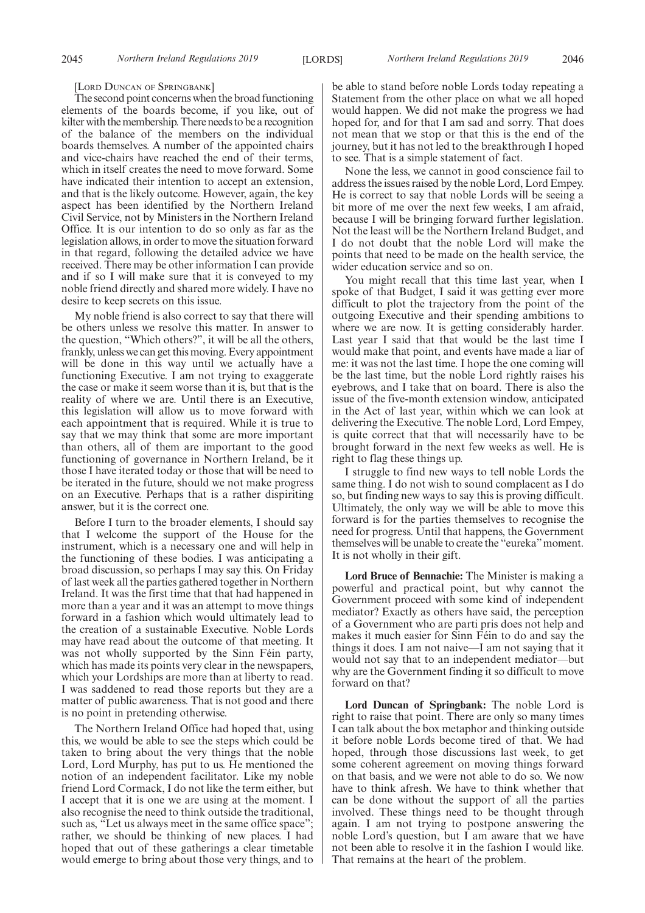#### [LORD DUNCAN OF SPRINGBANK]

The second point concerns when the broad functioning elements of the boards become, if you like, out of kilter with the membership. There needs to be a recognition of the balance of the members on the individual boards themselves. A number of the appointed chairs and vice-chairs have reached the end of their terms, which in itself creates the need to move forward. Some have indicated their intention to accept an extension, and that is the likely outcome. However, again, the key aspect has been identified by the Northern Ireland Civil Service, not by Ministers in the Northern Ireland Office. It is our intention to do so only as far as the legislation allows, in order to move the situation forward in that regard, following the detailed advice we have received. There may be other information I can provide and if so I will make sure that it is conveyed to my noble friend directly and shared more widely. I have no desire to keep secrets on this issue.

My noble friend is also correct to say that there will be others unless we resolve this matter. In answer to the question, "Which others?", it will be all the others, frankly, unless we can get this moving. Every appointment will be done in this way until we actually have a functioning Executive. I am not trying to exaggerate the case or make it seem worse than it is, but that is the reality of where we are. Until there is an Executive, this legislation will allow us to move forward with each appointment that is required. While it is true to say that we may think that some are more important than others, all of them are important to the good functioning of governance in Northern Ireland, be it those I have iterated today or those that will be need to be iterated in the future, should we not make progress on an Executive. Perhaps that is a rather dispiriting answer, but it is the correct one.

Before I turn to the broader elements, I should say that I welcome the support of the House for the instrument, which is a necessary one and will help in the functioning of these bodies. I was anticipating a broad discussion, so perhaps I may say this. On Friday of last week all the parties gathered together in Northern Ireland. It was the first time that that had happened in more than a year and it was an attempt to move things forward in a fashion which would ultimately lead to the creation of a sustainable Executive. Noble Lords may have read about the outcome of that meeting. It was not wholly supported by the Sinn Féin party, which has made its points very clear in the newspapers, which your Lordships are more than at liberty to read. I was saddened to read those reports but they are a matter of public awareness. That is not good and there is no point in pretending otherwise.

The Northern Ireland Office had hoped that, using this, we would be able to see the steps which could be taken to bring about the very things that the noble Lord, Lord Murphy, has put to us. He mentioned the notion of an independent facilitator. Like my noble friend Lord Cormack, I do not like the term either, but I accept that it is one we are using at the moment. I also recognise the need to think outside the traditional, such as, "Let us always meet in the same office space"; rather, we should be thinking of new places. I had hoped that out of these gatherings a clear timetable would emerge to bring about those very things, and to be able to stand before noble Lords today repeating a Statement from the other place on what we all hoped would happen. We did not make the progress we had hoped for, and for that I am sad and sorry. That does not mean that we stop or that this is the end of the journey, but it has not led to the breakthrough I hoped to see. That is a simple statement of fact.

None the less, we cannot in good conscience fail to address the issues raised by the noble Lord, Lord Empey. He is correct to say that noble Lords will be seeing a bit more of me over the next few weeks, I am afraid, because I will be bringing forward further legislation. Not the least will be the Northern Ireland Budget, and I do not doubt that the noble Lord will make the points that need to be made on the health service, the wider education service and so on.

You might recall that this time last year, when I spoke of that Budget, I said it was getting ever more difficult to plot the trajectory from the point of the outgoing Executive and their spending ambitions to where we are now. It is getting considerably harder. Last year I said that that would be the last time I would make that point, and events have made a liar of me: it was not the last time. I hope the one coming will be the last time, but the noble Lord rightly raises his eyebrows, and I take that on board. There is also the issue of the five-month extension window, anticipated in the Act of last year, within which we can look at delivering the Executive. The noble Lord, Lord Empey, is quite correct that that will necessarily have to be brought forward in the next few weeks as well. He is right to flag these things up.

I struggle to find new ways to tell noble Lords the same thing. I do not wish to sound complacent as I do so, but finding new ways to say this is proving difficult. Ultimately, the only way we will be able to move this forward is for the parties themselves to recognise the need for progress. Until that happens, the Government themselves will be unable to create the "eureka"moment. It is not wholly in their gift.

**Lord Bruce of Bennachie:** The Minister is making a powerful and practical point, but why cannot the Government proceed with some kind of independent mediator? Exactly as others have said, the perception of a Government who are parti pris does not help and makes it much easier for Sinn Féin to do and say the things it does. I am not naive—I am not saying that it would not say that to an independent mediator—but why are the Government finding it so difficult to move forward on that?

**Lord Duncan of Springbank:** The noble Lord is right to raise that point. There are only so many times I can talk about the box metaphor and thinking outside it before noble Lords become tired of that. We had hoped, through those discussions last week, to get some coherent agreement on moving things forward on that basis, and we were not able to do so. We now have to think afresh. We have to think whether that can be done without the support of all the parties involved. These things need to be thought through again. I am not trying to postpone answering the noble Lord's question, but I am aware that we have not been able to resolve it in the fashion I would like. That remains at the heart of the problem.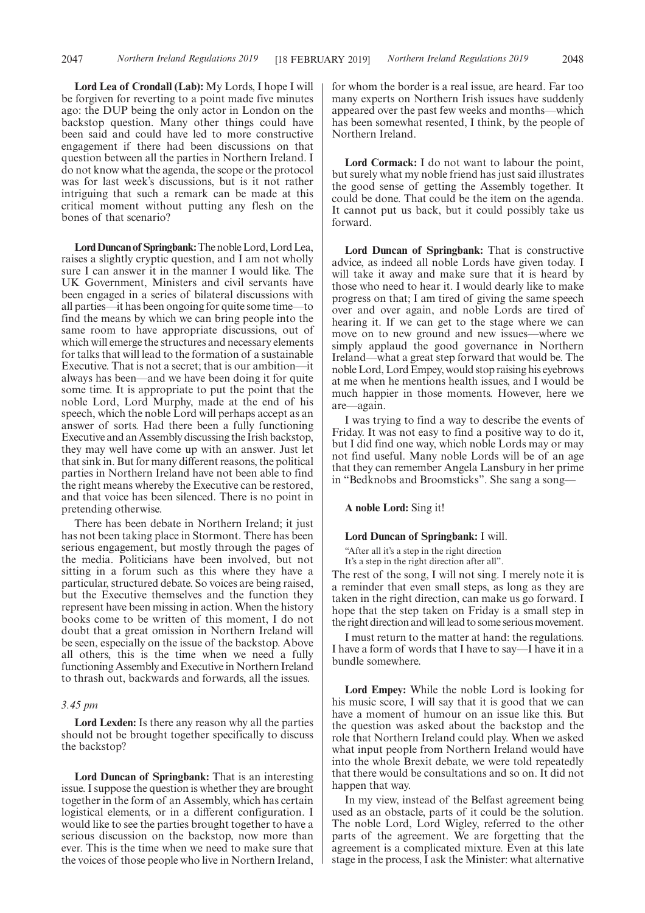**Lord Lea of Crondall (Lab):** My Lords, I hope I will be forgiven for reverting to a point made five minutes ago: the DUP being the only actor in London on the backstop question. Many other things could have been said and could have led to more constructive engagement if there had been discussions on that question between all the parties in Northern Ireland. I do not know what the agenda, the scope or the protocol was for last week's discussions, but is it not rather intriguing that such a remark can be made at this critical moment without putting any flesh on the bones of that scenario?

Lord Duncan of Springbank: The noble Lord, Lord Lea, raises a slightly cryptic question, and I am not wholly sure I can answer it in the manner I would like. The UK Government, Ministers and civil servants have been engaged in a series of bilateral discussions with all parties—it has been ongoing for quite some time—to find the means by which we can bring people into the same room to have appropriate discussions, out of which will emerge the structures and necessary elements for talks that will lead to the formation of a sustainable Executive. That is not a secret; that is our ambition—it always has been—and we have been doing it for quite some time. It is appropriate to put the point that the noble Lord, Lord Murphy, made at the end of his speech, which the noble Lord will perhaps accept as an answer of sorts. Had there been a fully functioning Executive and an Assembly discussing the Irish backstop, they may well have come up with an answer. Just let that sink in. But for many different reasons, the political parties in Northern Ireland have not been able to find the right means whereby the Executive can be restored, and that voice has been silenced. There is no point in pretending otherwise.

There has been debate in Northern Ireland; it just has not been taking place in Stormont. There has been serious engagement, but mostly through the pages of the media. Politicians have been involved, but not sitting in a forum such as this where they have a particular, structured debate. So voices are being raised, but the Executive themselves and the function they represent have been missing in action. When the history books come to be written of this moment, I do not doubt that a great omission in Northern Ireland will be seen, especially on the issue of the backstop. Above all others, this is the time when we need a fully functioning Assembly and Executive in Northern Ireland to thrash out, backwards and forwards, all the issues.

### *3.45 pm*

**Lord Lexden:** Is there any reason why all the parties should not be brought together specifically to discuss the backstop?

**Lord Duncan of Springbank:** That is an interesting issue. I suppose the question is whether they are brought together in the form of an Assembly, which has certain logistical elements, or in a different configuration. I would like to see the parties brought together to have a serious discussion on the backstop, now more than ever. This is the time when we need to make sure that the voices of those people who live in Northern Ireland, for whom the border is a real issue, are heard. Far too many experts on Northern Irish issues have suddenly appeared over the past few weeks and months—which has been somewhat resented, I think, by the people of Northern Ireland.

**Lord Cormack:** I do not want to labour the point, but surely what my noble friend has just said illustrates the good sense of getting the Assembly together. It could be done. That could be the item on the agenda. It cannot put us back, but it could possibly take us forward.

**Lord Duncan of Springbank:** That is constructive advice, as indeed all noble Lords have given today. I will take it away and make sure that it is heard by those who need to hear it. I would dearly like to make progress on that; I am tired of giving the same speech over and over again, and noble Lords are tired of hearing it. If we can get to the stage where we can move on to new ground and new issues—where we simply applaud the good governance in Northern Ireland—what a great step forward that would be. The noble Lord, Lord Empey, would stop raising his eyebrows at me when he mentions health issues, and I would be much happier in those moments. However, here we are—again.

I was trying to find a way to describe the events of Friday. It was not easy to find a positive way to do it, but I did find one way, which noble Lords may or may not find useful. Many noble Lords will be of an age that they can remember Angela Lansbury in her prime in "Bedknobs and Broomsticks". She sang a song—

### **A noble Lord:** Sing it!

#### **Lord Duncan of Springbank:** I will.

"After all it's a step in the right direction It's a step in the right direction after all".

The rest of the song, I will not sing. I merely note it is a reminder that even small steps, as long as they are taken in the right direction, can make us go forward. I hope that the step taken on Friday is a small step in the right direction and will lead to some serious movement.

I must return to the matter at hand: the regulations. I have a form of words that I have to say—I have it in a bundle somewhere.

**Lord Empey:** While the noble Lord is looking for his music score, I will say that it is good that we can have a moment of humour on an issue like this. But the question was asked about the backstop and the role that Northern Ireland could play. When we asked what input people from Northern Ireland would have into the whole Brexit debate, we were told repeatedly that there would be consultations and so on. It did not happen that way.

In my view, instead of the Belfast agreement being used as an obstacle, parts of it could be the solution. The noble Lord, Lord Wigley, referred to the other parts of the agreement. We are forgetting that the agreement is a complicated mixture. Even at this late stage in the process, I ask the Minister: what alternative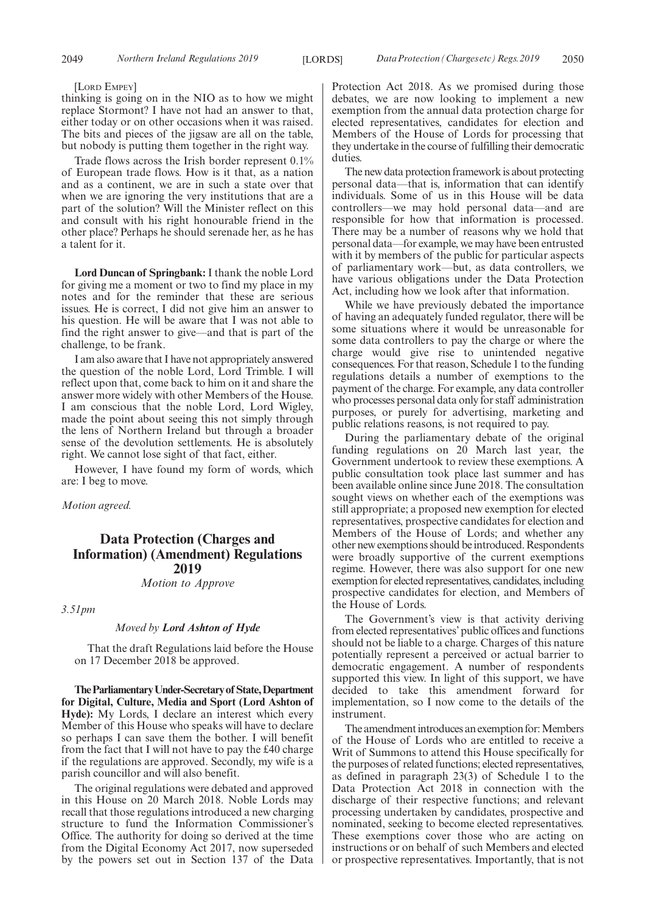#### [LORD EMPEY]

thinking is going on in the NIO as to how we might replace Stormont? I have not had an answer to that, either today or on other occasions when it was raised. The bits and pieces of the jigsaw are all on the table, but nobody is putting them together in the right way.

Trade flows across the Irish border represent 0.1% of European trade flows. How is it that, as a nation and as a continent, we are in such a state over that when we are ignoring the very institutions that are a part of the solution? Will the Minister reflect on this and consult with his right honourable friend in the other place? Perhaps he should serenade her, as he has a talent for it.

**Lord Duncan of Springbank:** I thank the noble Lord for giving me a moment or two to find my place in my notes and for the reminder that these are serious issues. He is correct, I did not give him an answer to his question. He will be aware that I was not able to find the right answer to give—and that is part of the challenge, to be frank.

I am also aware that I have not appropriately answered the question of the noble Lord, Lord Trimble. I will reflect upon that, come back to him on it and share the answer more widely with other Members of the House. I am conscious that the noble Lord, Lord Wigley, made the point about seeing this not simply through the lens of Northern Ireland but through a broader sense of the devolution settlements. He is absolutely right. We cannot lose sight of that fact, either.

However, I have found my form of words, which are: I beg to move.

*Motion agreed.*

# **Data Protection (Charges and Information) (Amendment) Regulations 2019**

*Motion to Approve*

*3.51pm*

### *Moved by Lord Ashton of Hyde*

That the draft Regulations laid before the House on 17 December 2018 be approved.

**TheParliamentaryUnder-Secretaryof State,Department for Digital, Culture, Media and Sport (Lord Ashton of Hyde):** My Lords, I declare an interest which every Member of this House who speaks will have to declare so perhaps I can save them the bother. I will benefit from the fact that I will not have to pay the £40 charge if the regulations are approved. Secondly, my wife is a parish councillor and will also benefit.

The original regulations were debated and approved in this House on 20 March 2018. Noble Lords may recall that those regulations introduced a new charging structure to fund the Information Commissioner's Office. The authority for doing so derived at the time from the Digital Economy Act 2017, now superseded by the powers set out in Section 137 of the Data Protection Act 2018. As we promised during those debates, we are now looking to implement a new exemption from the annual data protection charge for elected representatives, candidates for election and Members of the House of Lords for processing that they undertake in the course of fulfilling their democratic duties.

The new data protection framework is about protecting personal data—that is, information that can identify individuals. Some of us in this House will be data controllers—we may hold personal data—and are responsible for how that information is processed. There may be a number of reasons why we hold that personal data—for example, we may have been entrusted with it by members of the public for particular aspects of parliamentary work—but, as data controllers, we have various obligations under the Data Protection Act, including how we look after that information.

While we have previously debated the importance of having an adequately funded regulator, there will be some situations where it would be unreasonable for some data controllers to pay the charge or where the charge would give rise to unintended negative consequences. For that reason, Schedule 1 to the funding regulations details a number of exemptions to the payment of the charge. For example, any data controller who processes personal data only for staff administration purposes, or purely for advertising, marketing and public relations reasons, is not required to pay.

During the parliamentary debate of the original funding regulations on 20 March last year, the Government undertook to review these exemptions. A public consultation took place last summer and has been available online since June 2018. The consultation sought views on whether each of the exemptions was still appropriate; a proposed new exemption for elected representatives, prospective candidates for election and Members of the House of Lords; and whether any other new exemptions should be introduced. Respondents were broadly supportive of the current exemptions regime. However, there was also support for one new exemption for elected representatives, candidates, including prospective candidates for election, and Members of the House of Lords.

The Government's view is that activity deriving from elected representatives' public offices and functions should not be liable to a charge. Charges of this nature potentially represent a perceived or actual barrier to democratic engagement. A number of respondents supported this view. In light of this support, we have decided to take this amendment forward for implementation, so I now come to the details of the instrument.

The amendment introduces an exemption for: Members of the House of Lords who are entitled to receive a Writ of Summons to attend this House specifically for the purposes of related functions; elected representatives, as defined in paragraph 23(3) of Schedule 1 to the Data Protection Act 2018 in connection with the discharge of their respective functions; and relevant processing undertaken by candidates, prospective and nominated, seeking to become elected representatives. These exemptions cover those who are acting on instructions or on behalf of such Members and elected or prospective representatives. Importantly, that is not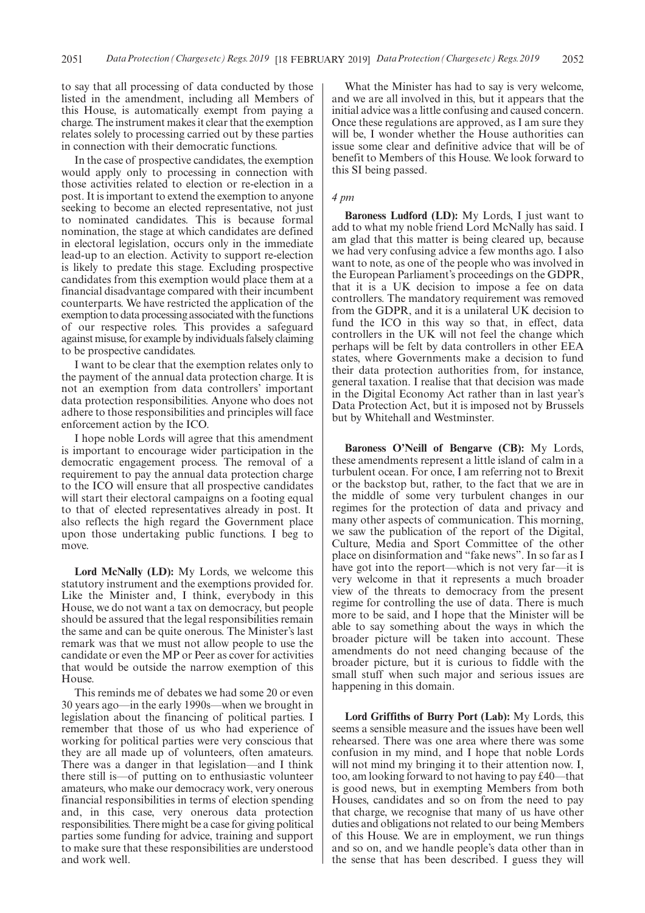to say that all processing of data conducted by those listed in the amendment, including all Members of this House, is automatically exempt from paying a charge. The instrument makes it clear that the exemption relates solely to processing carried out by these parties in connection with their democratic functions.

In the case of prospective candidates, the exemption would apply only to processing in connection with those activities related to election or re-election in a post. It is important to extend the exemption to anyone seeking to become an elected representative, not just to nominated candidates. This is because formal nomination, the stage at which candidates are defined in electoral legislation, occurs only in the immediate lead-up to an election. Activity to support re-election is likely to predate this stage. Excluding prospective candidates from this exemption would place them at a financial disadvantage compared with their incumbent counterparts. We have restricted the application of the exemption to data processing associated with the functions of our respective roles. This provides a safeguard against misuse, for example by individuals falsely claiming to be prospective candidates.

I want to be clear that the exemption relates only to the payment of the annual data protection charge. It is not an exemption from data controllers' important data protection responsibilities. Anyone who does not adhere to those responsibilities and principles will face enforcement action by the ICO.

I hope noble Lords will agree that this amendment is important to encourage wider participation in the democratic engagement process. The removal of a requirement to pay the annual data protection charge to the ICO will ensure that all prospective candidates will start their electoral campaigns on a footing equal to that of elected representatives already in post. It also reflects the high regard the Government place upon those undertaking public functions. I beg to move.

**Lord McNally (LD):** My Lords, we welcome this statutory instrument and the exemptions provided for. Like the Minister and, I think, everybody in this House, we do not want a tax on democracy, but people should be assured that the legal responsibilities remain the same and can be quite onerous. The Minister's last remark was that we must not allow people to use the candidate or even the MP or Peer as cover for activities that would be outside the narrow exemption of this House.

This reminds me of debates we had some 20 or even 30 years ago—in the early 1990s—when we brought in legislation about the financing of political parties. I remember that those of us who had experience of working for political parties were very conscious that they are all made up of volunteers, often amateurs. There was a danger in that legislation—and I think there still is—of putting on to enthusiastic volunteer amateurs, who make our democracy work, very onerous financial responsibilities in terms of election spending and, in this case, very onerous data protection responsibilities. There might be a case for giving political parties some funding for advice, training and support to make sure that these responsibilities are understood and work well.

What the Minister has had to say is very welcome, and we are all involved in this, but it appears that the initial advice was a little confusing and caused concern. Once these regulations are approved, as I am sure they will be, I wonder whether the House authorities can issue some clear and definitive advice that will be of benefit to Members of this House. We look forward to this SI being passed.

### *4 pm*

**Baroness Ludford (LD):** My Lords, I just want to add to what my noble friend Lord McNally has said. I am glad that this matter is being cleared up, because we had very confusing advice a few months ago. I also want to note, as one of the people who was involved in the European Parliament's proceedings on the GDPR, that it is a UK decision to impose a fee on data controllers. The mandatory requirement was removed from the GDPR, and it is a unilateral UK decision to fund the ICO in this way so that, in effect, data controllers in the UK will not feel the change which perhaps will be felt by data controllers in other EEA states, where Governments make a decision to fund their data protection authorities from, for instance, general taxation. I realise that that decision was made in the Digital Economy Act rather than in last year's Data Protection Act, but it is imposed not by Brussels but by Whitehall and Westminster.

**Baroness O'Neill of Bengarve (CB):** My Lords, these amendments represent a little island of calm in a turbulent ocean. For once, I am referring not to Brexit or the backstop but, rather, to the fact that we are in the middle of some very turbulent changes in our regimes for the protection of data and privacy and many other aspects of communication. This morning, we saw the publication of the report of the Digital, Culture, Media and Sport Committee of the other place on disinformation and "fake news". In so far as I have got into the report—which is not very far—it is very welcome in that it represents a much broader view of the threats to democracy from the present regime for controlling the use of data. There is much more to be said, and I hope that the Minister will be able to say something about the ways in which the broader picture will be taken into account. These amendments do not need changing because of the broader picture, but it is curious to fiddle with the small stuff when such major and serious issues are happening in this domain.

**Lord Griffiths of Burry Port (Lab):** My Lords, this seems a sensible measure and the issues have been well rehearsed. There was one area where there was some confusion in my mind, and I hope that noble Lords will not mind my bringing it to their attention now. I, too, am looking forward to not having to pay £40—that is good news, but in exempting Members from both Houses, candidates and so on from the need to pay that charge, we recognise that many of us have other duties and obligations not related to our being Members of this House. We are in employment, we run things and so on, and we handle people's data other than in the sense that has been described. I guess they will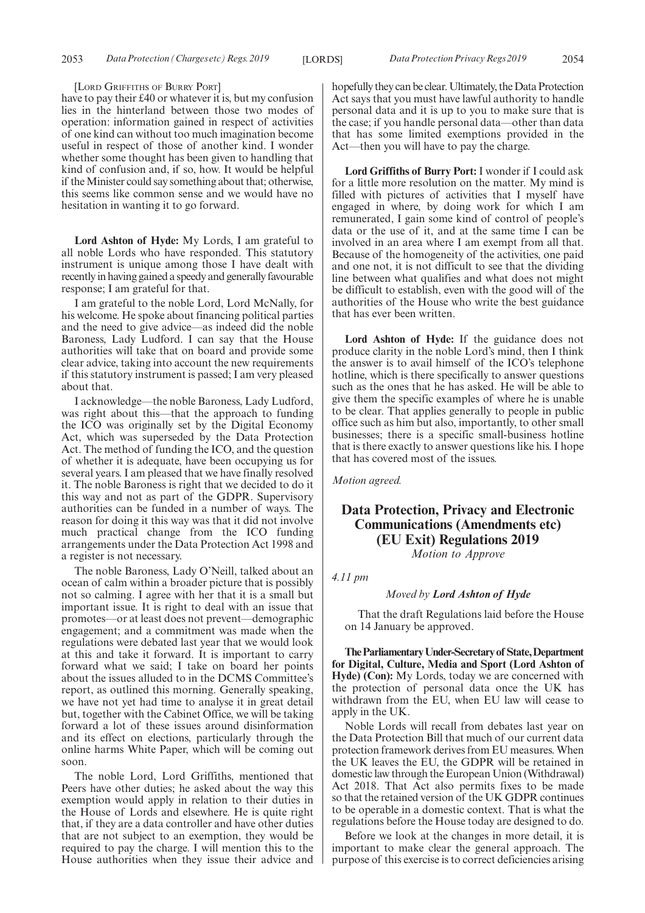[LORD GRIFFITHS OF BURRY PORT]

have to pay their £40 or whatever it is, but my confusion lies in the hinterland between those two modes of operation: information gained in respect of activities of one kind can without too much imagination become useful in respect of those of another kind. I wonder whether some thought has been given to handling that kind of confusion and, if so, how. It would be helpful if the Minister could say something about that; otherwise, this seems like common sense and we would have no hesitation in wanting it to go forward.

**Lord Ashton of Hyde:** My Lords, I am grateful to all noble Lords who have responded. This statutory instrument is unique among those I have dealt with recently in having gained a speedy and generally favourable response; I am grateful for that.

I am grateful to the noble Lord, Lord McNally, for his welcome. He spoke about financing political parties and the need to give advice—as indeed did the noble Baroness, Lady Ludford. I can say that the House authorities will take that on board and provide some clear advice, taking into account the new requirements if this statutory instrument is passed; I am very pleased about that.

I acknowledge—the noble Baroness, Lady Ludford, was right about this—that the approach to funding the ICO was originally set by the Digital Economy Act, which was superseded by the Data Protection Act. The method of funding the ICO, and the question of whether it is adequate, have been occupying us for several years. I am pleased that we have finally resolved it. The noble Baroness is right that we decided to do it this way and not as part of the GDPR. Supervisory authorities can be funded in a number of ways. The reason for doing it this way was that it did not involve much practical change from the ICO funding arrangements under the Data Protection Act 1998 and a register is not necessary.

The noble Baroness, Lady O'Neill, talked about an ocean of calm within a broader picture that is possibly not so calming. I agree with her that it is a small but important issue. It is right to deal with an issue that promotes—or at least does not prevent—demographic engagement; and a commitment was made when the regulations were debated last year that we would look at this and take it forward. It is important to carry forward what we said; I take on board her points about the issues alluded to in the DCMS Committee's report, as outlined this morning. Generally speaking, we have not yet had time to analyse it in great detail but, together with the Cabinet Office, we will be taking forward a lot of these issues around disinformation and its effect on elections, particularly through the online harms White Paper, which will be coming out soon.

The noble Lord, Lord Griffiths, mentioned that Peers have other duties; he asked about the way this exemption would apply in relation to their duties in the House of Lords and elsewhere. He is quite right that, if they are a data controller and have other duties that are not subject to an exemption, they would be required to pay the charge. I will mention this to the House authorities when they issue their advice and hopefully they can be clear. Ultimately, the Data Protection Act says that you must have lawful authority to handle personal data and it is up to you to make sure that is the case; if you handle personal data—other than data that has some limited exemptions provided in the Act—then you will have to pay the charge.

**Lord Griffiths of Burry Port:** I wonder if I could ask for a little more resolution on the matter. My mind is filled with pictures of activities that I myself have engaged in where, by doing work for which I am remunerated, I gain some kind of control of people's data or the use of it, and at the same time I can be involved in an area where I am exempt from all that. Because of the homogeneity of the activities, one paid and one not, it is not difficult to see that the dividing line between what qualifies and what does not might be difficult to establish, even with the good will of the authorities of the House who write the best guidance that has ever been written.

**Lord Ashton of Hyde:** If the guidance does not produce clarity in the noble Lord's mind, then I think the answer is to avail himself of the ICO's telephone hotline, which is there specifically to answer questions such as the ones that he has asked. He will be able to give them the specific examples of where he is unable to be clear. That applies generally to people in public office such as him but also, importantly, to other small businesses; there is a specific small-business hotline that is there exactly to answer questions like his. I hope that has covered most of the issues.

*Motion agreed.*

### **Data Protection, Privacy and Electronic Communications (Amendments etc) (EU Exit) Regulations 2019** *Motion to Approve*

*4.11 pm*

### *Moved by Lord Ashton of Hyde*

That the draft Regulations laid before the House on 14 January be approved.

**TheParliamentaryUnder-Secretaryof State,Department for Digital, Culture, Media and Sport (Lord Ashton of Hyde) (Con):** My Lords, today we are concerned with the protection of personal data once the UK has withdrawn from the EU, when EU law will cease to apply in the UK.

Noble Lords will recall from debates last year on the Data Protection Bill that much of our current data protection framework derives from EU measures. When the UK leaves the EU, the GDPR will be retained in domestic law through the European Union (Withdrawal) Act 2018. That Act also permits fixes to be made so that the retained version of the UK GDPR continues to be operable in a domestic context. That is what the regulations before the House today are designed to do.

Before we look at the changes in more detail, it is important to make clear the general approach. The purpose of this exercise is to correct deficiencies arising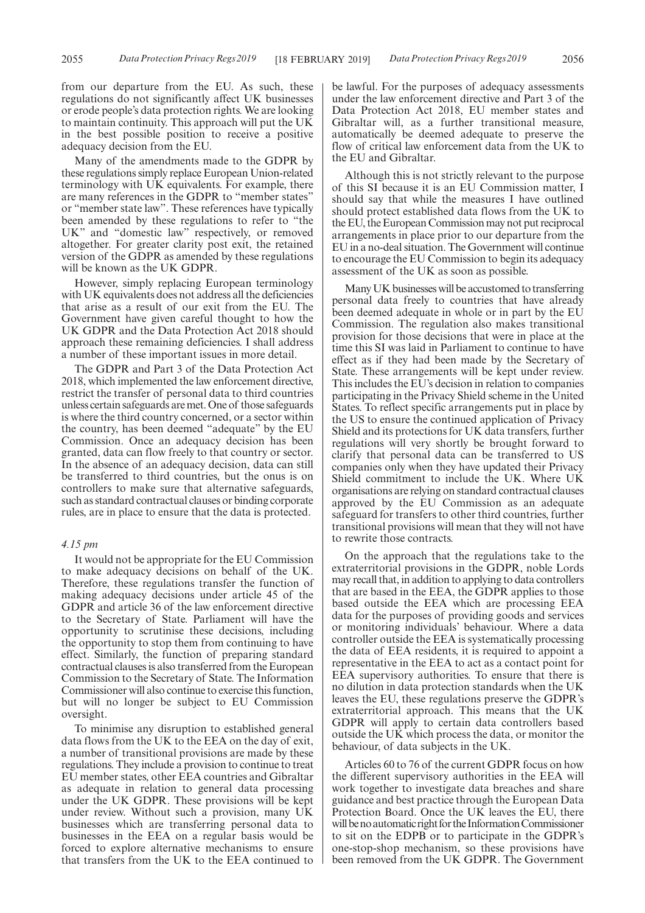from our departure from the EU. As such, these regulations do not significantly affect UK businesses or erode people's data protection rights. We are looking to maintain continuity. This approach will put the UK in the best possible position to receive a positive adequacy decision from the EU.

Many of the amendments made to the GDPR by these regulations simply replace European Union-related terminology with UK equivalents. For example, there are many references in the GDPR to "member states" or "member state law". These references have typically been amended by these regulations to refer to "the UK" and "domestic law" respectively, or removed altogether. For greater clarity post exit, the retained version of the GDPR as amended by these regulations will be known as the UK GDPR.

However, simply replacing European terminology with UK equivalents does not address all the deficiencies that arise as a result of our exit from the EU. The Government have given careful thought to how the UK GDPR and the Data Protection Act 2018 should approach these remaining deficiencies. I shall address a number of these important issues in more detail.

The GDPR and Part 3 of the Data Protection Act 2018, which implemented the law enforcement directive, restrict the transfer of personal data to third countries unless certain safeguards are met. One of those safeguards is where the third country concerned, or a sector within the country, has been deemed "adequate" by the EU Commission. Once an adequacy decision has been granted, data can flow freely to that country or sector. In the absence of an adequacy decision, data can still be transferred to third countries, but the onus is on controllers to make sure that alternative safeguards, such as standard contractual clauses or binding corporate rules, are in place to ensure that the data is protected.

### *4.15 pm*

It would not be appropriate for the EU Commission to make adequacy decisions on behalf of the UK. Therefore, these regulations transfer the function of making adequacy decisions under article 45 of the GDPR and article 36 of the law enforcement directive to the Secretary of State. Parliament will have the opportunity to scrutinise these decisions, including the opportunity to stop them from continuing to have effect. Similarly, the function of preparing standard contractual clauses is also transferred from the European Commission to the Secretary of State. The Information Commissioner will also continue to exercise this function, but will no longer be subject to EU Commission oversight.

To minimise any disruption to established general data flows from the UK to the EEA on the day of exit, a number of transitional provisions are made by these regulations. They include a provision to continue to treat EU member states, other EEA countries and Gibraltar as adequate in relation to general data processing under the UK GDPR. These provisions will be kept under review. Without such a provision, many UK businesses which are transferring personal data to businesses in the EEA on a regular basis would be forced to explore alternative mechanisms to ensure that transfers from the UK to the EEA continued to be lawful. For the purposes of adequacy assessments under the law enforcement directive and Part 3 of the Data Protection Act 2018, EU member states and Gibraltar will, as a further transitional measure, automatically be deemed adequate to preserve the flow of critical law enforcement data from the UK to the EU and Gibraltar.

Although this is not strictly relevant to the purpose of this SI because it is an EU Commission matter, I should say that while the measures I have outlined should protect established data flows from the UK to the EU, the European Commission may not put reciprocal arrangements in place prior to our departure from the EU in a no-deal situation. The Government will continue to encourage the EU Commission to begin its adequacy assessment of the UK as soon as possible.

Many UK businesses will be accustomed to transferring personal data freely to countries that have already been deemed adequate in whole or in part by the EU Commission. The regulation also makes transitional provision for those decisions that were in place at the time this SI was laid in Parliament to continue to have effect as if they had been made by the Secretary of State. These arrangements will be kept under review. This includes the EU's decision in relation to companies participating in the Privacy Shield scheme in the United States. To reflect specific arrangements put in place by the US to ensure the continued application of Privacy Shield and its protections for UK data transfers, further regulations will very shortly be brought forward to clarify that personal data can be transferred to US companies only when they have updated their Privacy Shield commitment to include the UK. Where UK organisations are relying on standard contractual clauses approved by the EU Commission as an adequate safeguard for transfers to other third countries, further transitional provisions will mean that they will not have to rewrite those contracts.

On the approach that the regulations take to the extraterritorial provisions in the GDPR, noble Lords may recall that, in addition to applying to data controllers that are based in the EEA, the GDPR applies to those based outside the EEA which are processing EEA data for the purposes of providing goods and services or monitoring individuals' behaviour. Where a data controller outside the EEA is systematically processing the data of EEA residents, it is required to appoint a representative in the EEA to act as a contact point for EEA supervisory authorities. To ensure that there is no dilution in data protection standards when the UK leaves the EU, these regulations preserve the GDPR's extraterritorial approach. This means that the UK GDPR will apply to certain data controllers based outside the UK which process the data, or monitor the behaviour, of data subjects in the UK.

Articles 60 to 76 of the current GDPR focus on how the different supervisory authorities in the EEA will work together to investigate data breaches and share guidance and best practice through the European Data Protection Board. Once the UK leaves the EU, there will be no automatic right for the Information Commissioner to sit on the EDPB or to participate in the GDPR's one-stop-shop mechanism, so these provisions have been removed from the UK GDPR. The Government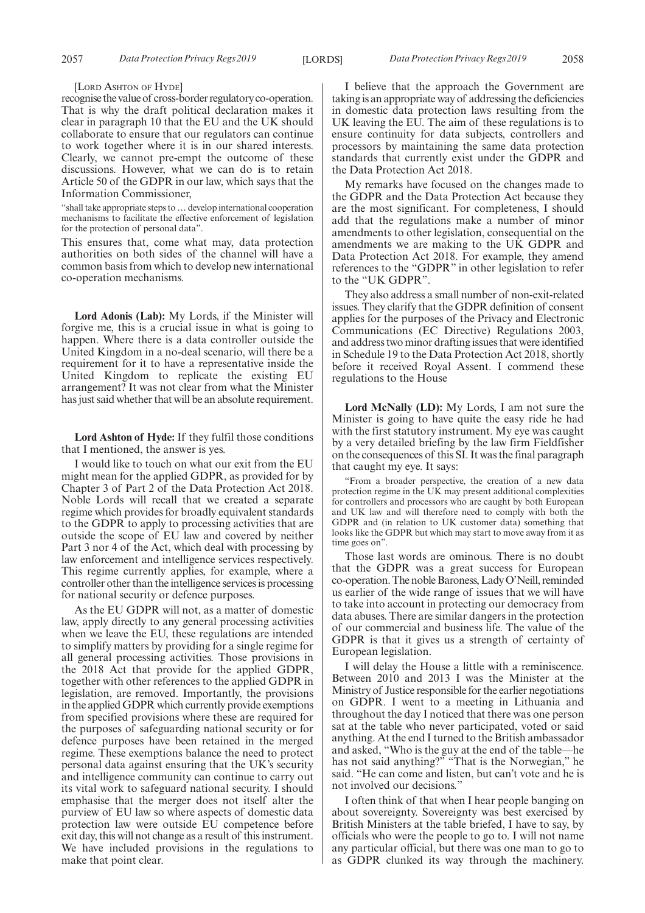#### [LORD ASHTON OF HYDE]

recognise the value of cross-border regulatory co-operation. That is why the draft political declaration makes it clear in paragraph 10 that the EU and the UK should collaborate to ensure that our regulators can continue to work together where it is in our shared interests. Clearly, we cannot pre-empt the outcome of these discussions. However, what we can do is to retain Article 50 of the GDPR in our law, which says that the Information Commissioner,

"shall take appropriate steps to…develop international cooperation mechanisms to facilitate the effective enforcement of legislation for the protection of personal data".

This ensures that, come what may, data protection authorities on both sides of the channel will have a common basis from which to develop new international co-operation mechanisms.

**Lord Adonis (Lab):** My Lords, if the Minister will forgive me, this is a crucial issue in what is going to happen. Where there is a data controller outside the United Kingdom in a no-deal scenario, will there be a requirement for it to have a representative inside the United Kingdom to replicate the existing EU arrangement? It was not clear from what the Minister has just said whether that will be an absolute requirement.

**Lord Ashton of Hyde:** If they fulfil those conditions that I mentioned, the answer is yes.

I would like to touch on what our exit from the EU might mean for the applied GDPR, as provided for by Chapter 3 of Part 2 of the Data Protection Act 2018. Noble Lords will recall that we created a separate regime which provides for broadly equivalent standards to the GDPR to apply to processing activities that are outside the scope of EU law and covered by neither Part 3 nor 4 of the Act, which deal with processing by law enforcement and intelligence services respectively. This regime currently applies, for example, where a controller other than the intelligence services is processing for national security or defence purposes.

As the EU GDPR will not, as a matter of domestic law, apply directly to any general processing activities when we leave the EU, these regulations are intended to simplify matters by providing for a single regime for all general processing activities. Those provisions in the 2018 Act that provide for the applied GDPR, together with other references to the applied GDPR in legislation, are removed. Importantly, the provisions in the applied GDPR which currently provide exemptions from specified provisions where these are required for the purposes of safeguarding national security or for defence purposes have been retained in the merged regime. These exemptions balance the need to protect personal data against ensuring that the UK's security and intelligence community can continue to carry out its vital work to safeguard national security. I should emphasise that the merger does not itself alter the purview of EU law so where aspects of domestic data protection law were outside EU competence before exit day, this will not change as a result of this instrument. We have included provisions in the regulations to make that point clear.

I believe that the approach the Government are taking is an appropriate way of addressing the deficiencies in domestic data protection laws resulting from the UK leaving the EU. The aim of these regulations is to ensure continuity for data subjects, controllers and processors by maintaining the same data protection standards that currently exist under the GDPR and the Data Protection Act 2018.

My remarks have focused on the changes made to the GDPR and the Data Protection Act because they are the most significant. For completeness, I should add that the regulations make a number of minor amendments to other legislation, consequential on the amendments we are making to the UK GDPR and Data Protection Act 2018. For example, they amend references to the "GDPR" in other legislation to refer to the "UK GDPR".

They also address a small number of non-exit-related issues. They clarify that the GDPR definition of consent applies for the purposes of the Privacy and Electronic Communications (EC Directive) Regulations 2003, and address two minor drafting issues that were identified in Schedule 19 to the Data Protection Act 2018, shortly before it received Royal Assent. I commend these regulations to the House

**Lord McNally (LD):** My Lords, I am not sure the Minister is going to have quite the easy ride he had with the first statutory instrument. My eye was caught by a very detailed briefing by the law firm Fieldfisher on the consequences of this SI. It was the final paragraph that caught my eye. It says:

"From a broader perspective, the creation of a new data protection regime in the UK may present additional complexities for controllers and processors who are caught by both European and UK law and will therefore need to comply with both the GDPR and (in relation to UK customer data) something that looks like the GDPR but which may start to move away from it as time goes on".

Those last words are ominous. There is no doubt that the GDPR was a great success for European co-operation. The noble Baroness, Lady O'Neill, reminded us earlier of the wide range of issues that we will have to take into account in protecting our democracy from data abuses. There are similar dangers in the protection of our commercial and business life. The value of the GDPR is that it gives us a strength of certainty of European legislation.

I will delay the House a little with a reminiscence. Between 2010 and 2013 I was the Minister at the Ministry of Justice responsible for the earlier negotiations on GDPR. I went to a meeting in Lithuania and throughout the day I noticed that there was one person sat at the table who never participated, voted or said anything. At the end I turned to the British ambassador and asked, "Who is the guy at the end of the table—he has not said anything?" "That is the Norwegian," he said. "He can come and listen, but can't vote and he is not involved our decisions."

I often think of that when I hear people banging on about sovereignty. Sovereignty was best exercised by British Ministers at the table briefed, I have to say, by officials who were the people to go to. I will not name any particular official, but there was one man to go to as GDPR clunked its way through the machinery.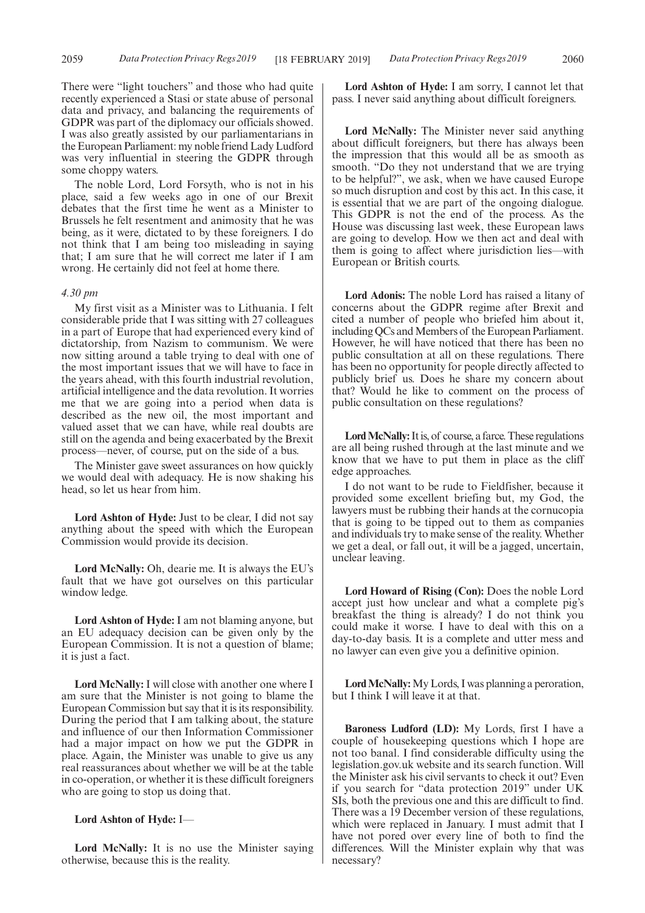There were "light touchers" and those who had quite recently experienced a Stasi or state abuse of personal data and privacy, and balancing the requirements of GDPR was part of the diplomacy our officials showed. I was also greatly assisted by our parliamentarians in the European Parliament: my noble friend Lady Ludford was very influential in steering the GDPR through some choppy waters.

The noble Lord, Lord Forsyth, who is not in his place, said a few weeks ago in one of our Brexit debates that the first time he went as a Minister to Brussels he felt resentment and animosity that he was being, as it were, dictated to by these foreigners. I do not think that I am being too misleading in saying that; I am sure that he will correct me later if I am wrong. He certainly did not feel at home there.

#### *4.30 pm*

My first visit as a Minister was to Lithuania. I felt considerable pride that I was sitting with 27 colleagues in a part of Europe that had experienced every kind of dictatorship, from Nazism to communism. We were now sitting around a table trying to deal with one of the most important issues that we will have to face in the years ahead, with this fourth industrial revolution, artificial intelligence and the data revolution. It worries me that we are going into a period when data is described as the new oil, the most important and valued asset that we can have, while real doubts are still on the agenda and being exacerbated by the Brexit process—never, of course, put on the side of a bus.

The Minister gave sweet assurances on how quickly we would deal with adequacy. He is now shaking his head, so let us hear from him.

**Lord Ashton of Hyde:** Just to be clear, I did not say anything about the speed with which the European Commission would provide its decision.

**Lord McNally:** Oh, dearie me. It is always the EU's fault that we have got ourselves on this particular window ledge.

**Lord Ashton of Hyde:** I am not blaming anyone, but an EU adequacy decision can be given only by the European Commission. It is not a question of blame; it is just a fact.

**Lord McNally:** I will close with another one where I am sure that the Minister is not going to blame the European Commission but say that it is its responsibility. During the period that I am talking about, the stature and influence of our then Information Commissioner had a major impact on how we put the GDPR in place. Again, the Minister was unable to give us any real reassurances about whether we will be at the table in co-operation, or whether it is these difficult foreigners who are going to stop us doing that.

### **Lord Ashton of Hyde:** I—

Lord McNally: It is no use the Minister saying otherwise, because this is the reality.

**Lord Ashton of Hyde:** I am sorry, I cannot let that pass. I never said anything about difficult foreigners.

**Lord McNally:** The Minister never said anything about difficult foreigners, but there has always been the impression that this would all be as smooth as smooth. "Do they not understand that we are trying to be helpful?", we ask, when we have caused Europe so much disruption and cost by this act. In this case, it is essential that we are part of the ongoing dialogue. This GDPR is not the end of the process. As the House was discussing last week, these European laws are going to develop. How we then act and deal with them is going to affect where jurisdiction lies—with European or British courts.

**Lord Adonis:** The noble Lord has raised a litany of concerns about the GDPR regime after Brexit and cited a number of people who briefed him about it, including QCs and Members of the European Parliament. However, he will have noticed that there has been no public consultation at all on these regulations. There has been no opportunity for people directly affected to publicly brief us. Does he share my concern about that? Would he like to comment on the process of public consultation on these regulations?

**Lord McNally:**It is, of course, a farce. These regulations are all being rushed through at the last minute and we know that we have to put them in place as the cliff edge approaches.

I do not want to be rude to Fieldfisher, because it provided some excellent briefing but, my God, the lawyers must be rubbing their hands at the cornucopia that is going to be tipped out to them as companies and individuals try to make sense of the reality. Whether we get a deal, or fall out, it will be a jagged, uncertain, unclear leaving.

**Lord Howard of Rising (Con):** Does the noble Lord accept just how unclear and what a complete pig's breakfast the thing is already? I do not think you could make it worse. I have to deal with this on a day-to-day basis. It is a complete and utter mess and no lawyer can even give you a definitive opinion.

**Lord McNally:**My Lords, I was planning a peroration, but I think I will leave it at that.

**Baroness Ludford (LD):** My Lords, first I have a couple of housekeeping questions which I hope are not too banal. I find considerable difficulty using the legislation.gov.uk website and its search function. Will the Minister ask his civil servants to check it out? Even if you search for "data protection 2019" under UK SIs, both the previous one and this are difficult to find. There was a 19 December version of these regulations, which were replaced in January. I must admit that I have not pored over every line of both to find the differences. Will the Minister explain why that was necessary?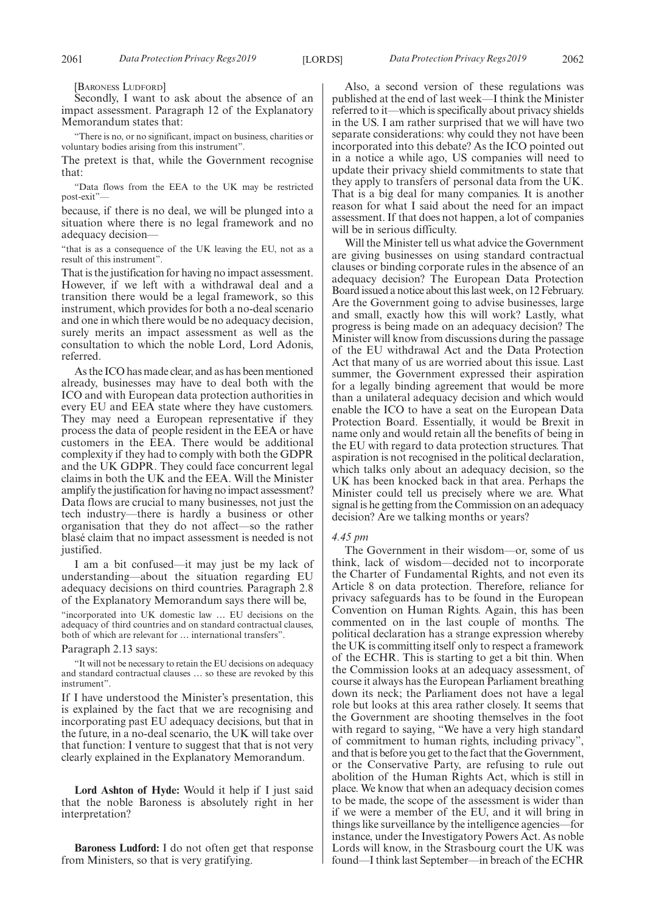[BARONESS LUDFORD]

Secondly, I want to ask about the absence of an impact assessment. Paragraph 12 of the Explanatory Memorandum states that:

"There is no, or no significant, impact on business, charities or voluntary bodies arising from this instrument".

The pretext is that, while the Government recognise that:

"Data flows from the EEA to the UK may be restricted post-exit"—

because, if there is no deal, we will be plunged into a situation where there is no legal framework and no adequacy decision—

"that is as a consequence of the UK leaving the EU, not as a result of this instrument".

That is the justification for having no impact assessment. However, if we left with a withdrawal deal and a transition there would be a legal framework, so this instrument, which provides for both a no-deal scenario and one in which there would be no adequacy decision, surely merits an impact assessment as well as the consultation to which the noble Lord, Lord Adonis, referred.

As the ICO has made clear, and as has been mentioned already, businesses may have to deal both with the ICO and with European data protection authorities in every EU and EEA state where they have customers. They may need a European representative if they process the data of people resident in the EEA or have customers in the EEA. There would be additional complexity if they had to comply with both the GDPR and the UK GDPR. They could face concurrent legal claims in both the UK and the EEA. Will the Minister amplify the justification for having no impact assessment? Data flows are crucial to many businesses, not just the tech industry—there is hardly a business or other organisation that they do not affect—so the rather blasé claim that no impact assessment is needed is not justified.

I am a bit confused—it may just be my lack of understanding—about the situation regarding EU adequacy decisions on third countries. Paragraph 2.8 of the Explanatory Memorandum says there will be,

"incorporated into UK domestic law … EU decisions on the adequacy of third countries and on standard contractual clauses, both of which are relevant for … international transfers".

Paragraph 2.13 says:

"It will not be necessary to retain the EU decisions on adequacy and standard contractual clauses … so these are revoked by this instrument".

If I have understood the Minister's presentation, this is explained by the fact that we are recognising and incorporating past EU adequacy decisions, but that in the future, in a no-deal scenario, the UK will take over that function: I venture to suggest that that is not very clearly explained in the Explanatory Memorandum.

**Lord Ashton of Hyde:** Would it help if I just said that the noble Baroness is absolutely right in her interpretation?

**Baroness Ludford:** I do not often get that response from Ministers, so that is very gratifying.

Also, a second version of these regulations was published at the end of last week—I think the Minister referred to it—which is specifically about privacy shields in the US. I am rather surprised that we will have two separate considerations: why could they not have been incorporated into this debate? As the ICO pointed out in a notice a while ago, US companies will need to update their privacy shield commitments to state that they apply to transfers of personal data from the UK. That is a big deal for many companies. It is another reason for what I said about the need for an impact assessment. If that does not happen, a lot of companies will be in serious difficulty.

Will the Minister tell us what advice the Government are giving businesses on using standard contractual clauses or binding corporate rules in the absence of an adequacy decision? The European Data Protection Board issued a notice about this last week, on 12 February. Are the Government going to advise businesses, large and small, exactly how this will work? Lastly, what progress is being made on an adequacy decision? The Minister will know from discussions during the passage of the EU withdrawal Act and the Data Protection Act that many of us are worried about this issue. Last summer, the Government expressed their aspiration for a legally binding agreement that would be more than a unilateral adequacy decision and which would enable the ICO to have a seat on the European Data Protection Board. Essentially, it would be Brexit in name only and would retain all the benefits of being in the EU with regard to data protection structures. That aspiration is not recognised in the political declaration, which talks only about an adequacy decision, so the UK has been knocked back in that area. Perhaps the Minister could tell us precisely where we are. What signal is he getting from the Commission on an adequacy decision? Are we talking months or years?

#### *4.45 pm*

The Government in their wisdom—or, some of us think, lack of wisdom—decided not to incorporate the Charter of Fundamental Rights, and not even its Article 8 on data protection. Therefore, reliance for privacy safeguards has to be found in the European Convention on Human Rights. Again, this has been commented on in the last couple of months. The political declaration has a strange expression whereby the UK is committing itself only to respect a framework of the ECHR. This is starting to get a bit thin. When the Commission looks at an adequacy assessment, of course it always has the European Parliament breathing down its neck; the Parliament does not have a legal role but looks at this area rather closely. It seems that the Government are shooting themselves in the foot with regard to saying, "We have a very high standard of commitment to human rights, including privacy", and that is before you get to the fact that the Government, or the Conservative Party, are refusing to rule out abolition of the Human Rights Act, which is still in place. We know that when an adequacy decision comes to be made, the scope of the assessment is wider than if we were a member of the EU, and it will bring in things like surveillance by the intelligence agencies—for instance, under the Investigatory Powers Act. As noble Lords will know, in the Strasbourg court the UK was found—I think last September—in breach of the ECHR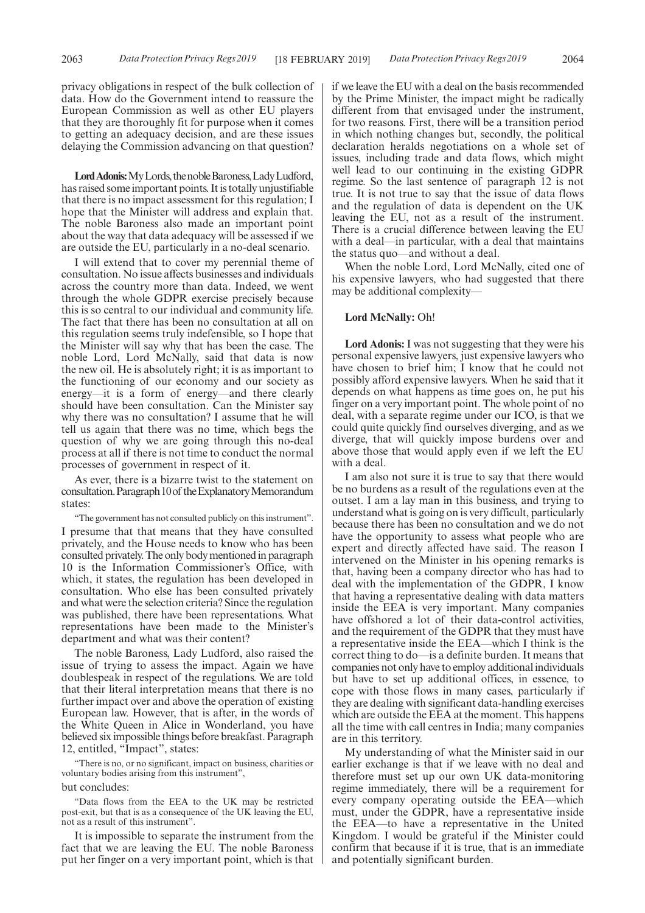privacy obligations in respect of the bulk collection of data. How do the Government intend to reassure the European Commission as well as other EU players that they are thoroughly fit for purpose when it comes to getting an adequacy decision, and are these issues delaying the Commission advancing on that question?

Lord Adonis: My Lords, the noble Baroness, Lady Ludford, has raised some important points. It is totally unjustifiable that there is no impact assessment for this regulation; I hope that the Minister will address and explain that. The noble Baroness also made an important point about the way that data adequacy will be assessed if we are outside the EU, particularly in a no-deal scenario.

I will extend that to cover my perennial theme of consultation. No issue affects businesses and individuals across the country more than data. Indeed, we went through the whole GDPR exercise precisely because this is so central to our individual and community life. The fact that there has been no consultation at all on this regulation seems truly indefensible, so I hope that the Minister will say why that has been the case. The noble Lord, Lord McNally, said that data is now the new oil. He is absolutely right; it is as important to the functioning of our economy and our society as energy—it is a form of energy—and there clearly should have been consultation. Can the Minister say why there was no consultation? I assume that he will tell us again that there was no time, which begs the question of why we are going through this no-deal process at all if there is not time to conduct the normal processes of government in respect of it.

As ever, there is a bizarre twist to the statement on consultation.Paragraph10of theExplanatoryMemorandum states:

"The government has not consulted publicly on this instrument". I presume that that means that they have consulted privately, and the House needs to know who has been consulted privately. The only body mentioned in paragraph 10 is the Information Commissioner's Office, with which, it states, the regulation has been developed in consultation. Who else has been consulted privately and what were the selection criteria? Since the regulation was published, there have been representations. What representations have been made to the Minister's department and what was their content?

The noble Baroness, Lady Ludford, also raised the issue of trying to assess the impact. Again we have doublespeak in respect of the regulations. We are told that their literal interpretation means that there is no further impact over and above the operation of existing European law. However, that is after, in the words of the White Queen in Alice in Wonderland, you have believed six impossible things before breakfast. Paragraph 12, entitled, "Impact", states:

"There is no, or no significant, impact on business, charities or voluntary bodies arising from this instrument",

### but concludes:

"Data flows from the EEA to the UK may be restricted post-exit, but that is as a consequence of the UK leaving the EU, not as a result of this instrument".

It is impossible to separate the instrument from the fact that we are leaving the EU. The noble Baroness put her finger on a very important point, which is that if we leave the EU with a deal on the basis recommended by the Prime Minister, the impact might be radically different from that envisaged under the instrument, for two reasons. First, there will be a transition period in which nothing changes but, secondly, the political declaration heralds negotiations on a whole set of issues, including trade and data flows, which might well lead to our continuing in the existing GDPR regime. So the last sentence of paragraph 12 is not true. It is not true to say that the issue of data flows and the regulation of data is dependent on the UK leaving the EU, not as a result of the instrument. There is a crucial difference between leaving the EU with a deal—in particular, with a deal that maintains the status quo—and without a deal.

When the noble Lord, Lord McNally, cited one of his expensive lawyers, who had suggested that there may be additional complexity—

### **Lord McNally:** Oh!

**Lord Adonis:** I was not suggesting that they were his personal expensive lawyers, just expensive lawyers who have chosen to brief him; I know that he could not possibly afford expensive lawyers. When he said that it depends on what happens as time goes on, he put his finger on a very important point. The whole point of no deal, with a separate regime under our ICO, is that we could quite quickly find ourselves diverging, and as we diverge, that will quickly impose burdens over and above those that would apply even if we left the EU with a deal.

I am also not sure it is true to say that there would be no burdens as a result of the regulations even at the outset. I am a lay man in this business, and trying to understand what is going on is very difficult, particularly because there has been no consultation and we do not have the opportunity to assess what people who are expert and directly affected have said. The reason I intervened on the Minister in his opening remarks is that, having been a company director who has had to deal with the implementation of the GDPR, I know that having a representative dealing with data matters inside the EEA is very important. Many companies have offshored a lot of their data-control activities, and the requirement of the GDPR that they must have a representative inside the EEA—which I think is the correct thing to do—is a definite burden. It means that companies not only have to employ additional individuals but have to set up additional offices, in essence, to cope with those flows in many cases, particularly if they are dealing with significant data-handling exercises which are outside the EEA at the moment. This happens all the time with call centres in India; many companies are in this territory.

My understanding of what the Minister said in our earlier exchange is that if we leave with no deal and therefore must set up our own UK data-monitoring regime immediately, there will be a requirement for every company operating outside the EEA—which must, under the GDPR, have a representative inside the EEA—to have a representative in the United Kingdom. I would be grateful if the Minister could confirm that because if it is true, that is an immediate and potentially significant burden.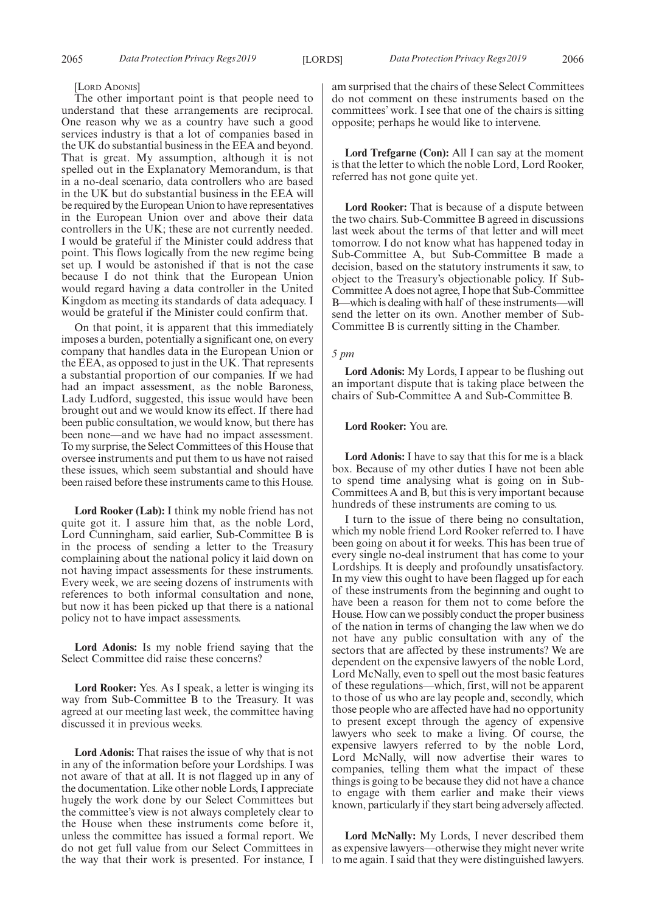#### [LORD ADONIS]

The other important point is that people need to understand that these arrangements are reciprocal. One reason why we as a country have such a good services industry is that a lot of companies based in the UK do substantial business in the EEA and beyond. That is great. My assumption, although it is not spelled out in the Explanatory Memorandum, is that in a no-deal scenario, data controllers who are based in the UK but do substantial business in the EEA will be required by the European Union to have representatives in the European Union over and above their data controllers in the UK; these are not currently needed. I would be grateful if the Minister could address that point. This flows logically from the new regime being set up. I would be astonished if that is not the case because I do not think that the European Union would regard having a data controller in the United Kingdom as meeting its standards of data adequacy. I would be grateful if the Minister could confirm that.

On that point, it is apparent that this immediately imposes a burden, potentially a significant one, on every company that handles data in the European Union or the EEA, as opposed to just in the UK. That represents a substantial proportion of our companies. If we had had an impact assessment, as the noble Baroness, Lady Ludford, suggested, this issue would have been brought out and we would know its effect. If there had been public consultation, we would know, but there has been none—and we have had no impact assessment. To my surprise, the Select Committees of this House that oversee instruments and put them to us have not raised these issues, which seem substantial and should have been raised before these instruments came to this House.

**Lord Rooker (Lab):** I think my noble friend has not quite got it. I assure him that, as the noble Lord, Lord Cunningham, said earlier, Sub-Committee B is in the process of sending a letter to the Treasury complaining about the national policy it laid down on not having impact assessments for these instruments. Every week, we are seeing dozens of instruments with references to both informal consultation and none, but now it has been picked up that there is a national policy not to have impact assessments.

**Lord Adonis:** Is my noble friend saying that the Select Committee did raise these concerns?

**Lord Rooker:** Yes. As I speak, a letter is winging its way from Sub-Committee B to the Treasury. It was agreed at our meeting last week, the committee having discussed it in previous weeks.

**Lord Adonis:** That raises the issue of why that is not in any of the information before your Lordships. I was not aware of that at all. It is not flagged up in any of the documentation. Like other noble Lords, I appreciate hugely the work done by our Select Committees but the committee's view is not always completely clear to the House when these instruments come before it, unless the committee has issued a formal report. We do not get full value from our Select Committees in the way that their work is presented. For instance, I am surprised that the chairs of these Select Committees do not comment on these instruments based on the committees' work. I see that one of the chairs is sitting opposite; perhaps he would like to intervene.

**Lord Trefgarne (Con):** All I can say at the moment is that the letter to which the noble Lord, Lord Rooker, referred has not gone quite yet.

**Lord Rooker:** That is because of a dispute between the two chairs. Sub-Committee B agreed in discussions last week about the terms of that letter and will meet tomorrow. I do not know what has happened today in Sub-Committee A, but Sub-Committee B made a decision, based on the statutory instruments it saw, to object to the Treasury's objectionable policy. If Sub-Committee A does not agree, I hope that Sub-Committee B—which is dealing with half of these instruments—will send the letter on its own. Another member of Sub-Committee B is currently sitting in the Chamber.

### *5 pm*

**Lord Adonis:** My Lords, I appear to be flushing out an important dispute that is taking place between the chairs of Sub-Committee A and Sub-Committee B.

### **Lord Rooker:** You are.

**Lord Adonis:** I have to say that this for me is a black box. Because of my other duties I have not been able to spend time analysing what is going on in Sub-Committees A and B, but this is very important because hundreds of these instruments are coming to us.

I turn to the issue of there being no consultation, which my noble friend Lord Rooker referred to. I have been going on about it for weeks. This has been true of every single no-deal instrument that has come to your Lordships. It is deeply and profoundly unsatisfactory. In my view this ought to have been flagged up for each of these instruments from the beginning and ought to have been a reason for them not to come before the House. How can we possibly conduct the proper business of the nation in terms of changing the law when we do not have any public consultation with any of the sectors that are affected by these instruments? We are dependent on the expensive lawyers of the noble Lord, Lord McNally, even to spell out the most basic features of these regulations—which, first, will not be apparent to those of us who are lay people and, secondly, which those people who are affected have had no opportunity to present except through the agency of expensive lawyers who seek to make a living. Of course, the expensive lawyers referred to by the noble Lord, Lord McNally, will now advertise their wares to companies, telling them what the impact of these things is going to be because they did not have a chance to engage with them earlier and make their views known, particularly if they start being adversely affected.

**Lord McNally:** My Lords, I never described them as expensive lawyers—otherwise they might never write to me again. I said that they were distinguished lawyers.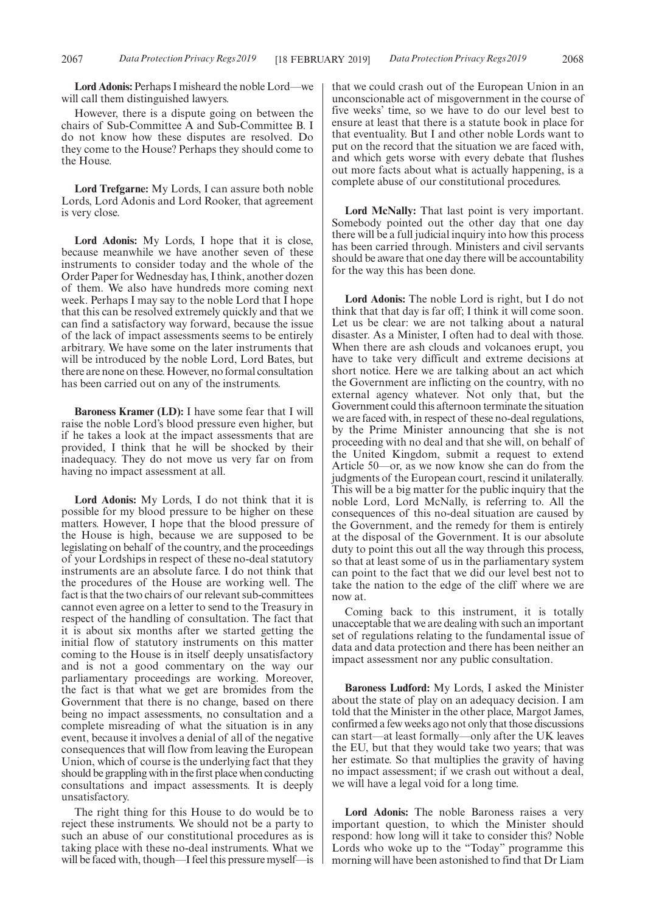**Lord Adonis:** Perhaps I misheard the noble Lord—we will call them distinguished lawyers.

However, there is a dispute going on between the chairs of Sub-Committee A and Sub-Committee B. I do not know how these disputes are resolved. Do they come to the House? Perhaps they should come to the House.

**Lord Trefgarne:** My Lords, I can assure both noble Lords, Lord Adonis and Lord Rooker, that agreement is very close.

**Lord Adonis:** My Lords, I hope that it is close, because meanwhile we have another seven of these instruments to consider today and the whole of the Order Paper for Wednesday has, I think, another dozen of them. We also have hundreds more coming next week. Perhaps I may say to the noble Lord that I hope that this can be resolved extremely quickly and that we can find a satisfactory way forward, because the issue of the lack of impact assessments seems to be entirely arbitrary. We have some on the later instruments that will be introduced by the noble Lord, Lord Bates, but there are none on these. However, no formal consultation has been carried out on any of the instruments.

**Baroness Kramer (LD):** I have some fear that I will raise the noble Lord's blood pressure even higher, but if he takes a look at the impact assessments that are provided, I think that he will be shocked by their inadequacy. They do not move us very far on from having no impact assessment at all.

**Lord Adonis:** My Lords, I do not think that it is possible for my blood pressure to be higher on these matters. However, I hope that the blood pressure of the House is high, because we are supposed to be legislating on behalf of the country, and the proceedings of your Lordships in respect of these no-deal statutory instruments are an absolute farce. I do not think that the procedures of the House are working well. The fact is that the two chairs of our relevant sub-committees cannot even agree on a letter to send to the Treasury in respect of the handling of consultation. The fact that it is about six months after we started getting the initial flow of statutory instruments on this matter coming to the House is in itself deeply unsatisfactory and is not a good commentary on the way our parliamentary proceedings are working. Moreover, the fact is that what we get are bromides from the Government that there is no change, based on there being no impact assessments, no consultation and a complete misreading of what the situation is in any event, because it involves a denial of all of the negative consequences that will flow from leaving the European Union, which of course is the underlying fact that they should be grappling with in the first place when conducting consultations and impact assessments. It is deeply unsatisfactory.

The right thing for this House to do would be to reject these instruments. We should not be a party to such an abuse of our constitutional procedures as is taking place with these no-deal instruments. What we will be faced with, though—I feel this pressure myself—is that we could crash out of the European Union in an unconscionable act of misgovernment in the course of five weeks' time, so we have to do our level best to ensure at least that there is a statute book in place for that eventuality. But I and other noble Lords want to put on the record that the situation we are faced with, and which gets worse with every debate that flushes out more facts about what is actually happening, is a complete abuse of our constitutional procedures.

**Lord McNally:** That last point is very important. Somebody pointed out the other day that one day there will be a full judicial inquiry into how this process has been carried through. Ministers and civil servants should be aware that one day there will be accountability for the way this has been done.

**Lord Adonis:** The noble Lord is right, but I do not think that that day is far off; I think it will come soon. Let us be clear: we are not talking about a natural disaster. As a Minister, I often had to deal with those. When there are ash clouds and volcanoes erupt, you have to take very difficult and extreme decisions at short notice. Here we are talking about an act which the Government are inflicting on the country, with no external agency whatever. Not only that, but the Government could this afternoon terminate the situation we are faced with, in respect of these no-deal regulations, by the Prime Minister announcing that she is not proceeding with no deal and that she will, on behalf of the United Kingdom, submit a request to extend Article 50—or, as we now know she can do from the judgments of the European court, rescind it unilaterally. This will be a big matter for the public inquiry that the noble Lord, Lord McNally, is referring to. All the consequences of this no-deal situation are caused by the Government, and the remedy for them is entirely at the disposal of the Government. It is our absolute duty to point this out all the way through this process, so that at least some of us in the parliamentary system can point to the fact that we did our level best not to take the nation to the edge of the cliff where we are now at.

Coming back to this instrument, it is totally unacceptable that we are dealing with such an important set of regulations relating to the fundamental issue of data and data protection and there has been neither an impact assessment nor any public consultation.

**Baroness Ludford:** My Lords, I asked the Minister about the state of play on an adequacy decision. I am told that the Minister in the other place, Margot James, confirmed a few weeks ago not only that those discussions can start—at least formally—only after the UK leaves the EU, but that they would take two years; that was her estimate. So that multiplies the gravity of having no impact assessment; if we crash out without a deal, we will have a legal void for a long time.

**Lord Adonis:** The noble Baroness raises a very important question, to which the Minister should respond: how long will it take to consider this? Noble Lords who woke up to the "Today" programme this morning will have been astonished to find that Dr Liam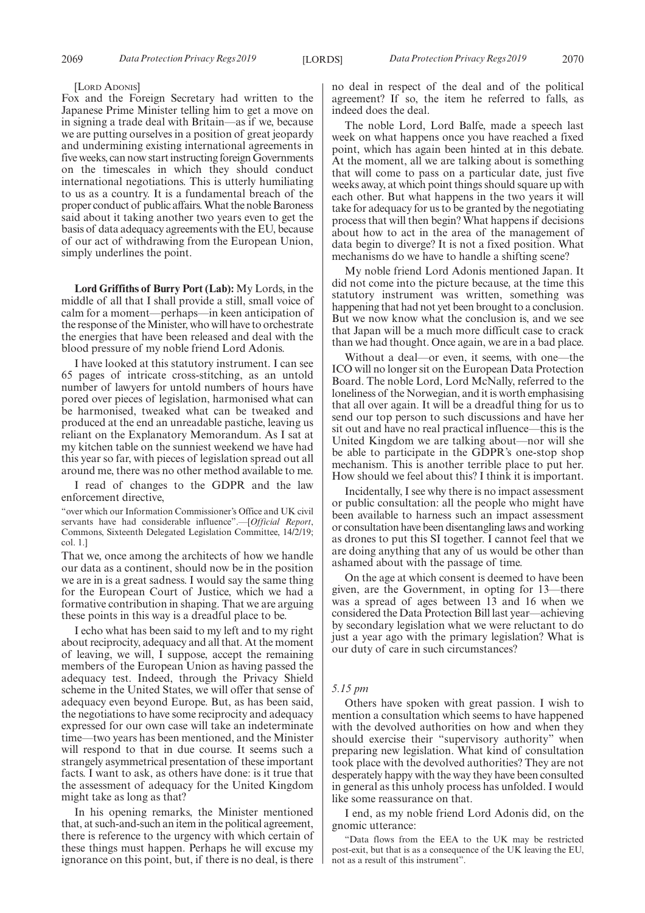#### [LORD ADONIS]

Fox and the Foreign Secretary had written to the Japanese Prime Minister telling him to get a move on in signing a trade deal with Britain—as if we, because we are putting ourselves in a position of great jeopardy and undermining existing international agreements in five weeks, can now start instructing foreign Governments on the timescales in which they should conduct international negotiations. This is utterly humiliating to us as a country. It is a fundamental breach of the proper conduct of public affairs. What the noble Baroness said about it taking another two years even to get the basis of data adequacy agreements with the EU, because of our act of withdrawing from the European Union, simply underlines the point.

**Lord Griffiths of Burry Port (Lab):** My Lords, in the middle of all that I shall provide a still, small voice of calm for a moment—perhaps—in keen anticipation of the response of the Minister, who will have to orchestrate the energies that have been released and deal with the blood pressure of my noble friend Lord Adonis.

I have looked at this statutory instrument. I can see 65 pages of intricate cross-stitching, as an untold number of lawyers for untold numbers of hours have pored over pieces of legislation, harmonised what can be harmonised, tweaked what can be tweaked and produced at the end an unreadable pastiche, leaving us reliant on the Explanatory Memorandum. As I sat at my kitchen table on the sunniest weekend we have had this year so far, with pieces of legislation spread out all around me, there was no other method available to me.

I read of changes to the GDPR and the law enforcement directive,

"over which our Information Commissioner's Office and UK civil servants have had considerable influence".—[*Official Report*, Commons, Sixteenth Delegated Legislation Committee, 14/2/19; col. 1.]

That we, once among the architects of how we handle our data as a continent, should now be in the position we are in is a great sadness. I would say the same thing for the European Court of Justice, which we had a formative contribution in shaping. That we are arguing these points in this way is a dreadful place to be.

I echo what has been said to my left and to my right about reciprocity, adequacy and all that. At the moment of leaving, we will, I suppose, accept the remaining members of the European Union as having passed the adequacy test. Indeed, through the Privacy Shield scheme in the United States, we will offer that sense of adequacy even beyond Europe. But, as has been said, the negotiations to have some reciprocity and adequacy expressed for our own case will take an indeterminate time—two years has been mentioned, and the Minister will respond to that in due course. It seems such a strangely asymmetrical presentation of these important facts. I want to ask, as others have done: is it true that the assessment of adequacy for the United Kingdom might take as long as that?

In his opening remarks, the Minister mentioned that, at such-and-such an item in the political agreement, there is reference to the urgency with which certain of these things must happen. Perhaps he will excuse my ignorance on this point, but, if there is no deal, is there no deal in respect of the deal and of the political agreement? If so, the item he referred to falls, as indeed does the deal.

The noble Lord, Lord Balfe, made a speech last week on what happens once you have reached a fixed point, which has again been hinted at in this debate. At the moment, all we are talking about is something that will come to pass on a particular date, just five weeks away, at which point things should square up with each other. But what happens in the two years it will take for adequacy for us to be granted by the negotiating process that will then begin? What happens if decisions about how to act in the area of the management of data begin to diverge? It is not a fixed position. What mechanisms do we have to handle a shifting scene?

My noble friend Lord Adonis mentioned Japan. It did not come into the picture because, at the time this statutory instrument was written, something was happening that had not yet been brought to a conclusion. But we now know what the conclusion is, and we see that Japan will be a much more difficult case to crack than we had thought. Once again, we are in a bad place.

Without a deal—or even, it seems, with one—the ICO will no longer sit on the European Data Protection Board. The noble Lord, Lord McNally, referred to the loneliness of the Norwegian, and it is worth emphasising that all over again. It will be a dreadful thing for us to send our top person to such discussions and have her sit out and have no real practical influence—this is the United Kingdom we are talking about—nor will she be able to participate in the GDPR's one-stop shop mechanism. This is another terrible place to put her. How should we feel about this? I think it is important.

Incidentally, I see why there is no impact assessment or public consultation: all the people who might have been available to harness such an impact assessment or consultation have been disentangling laws and working as drones to put this SI together. I cannot feel that we are doing anything that any of us would be other than ashamed about with the passage of time.

On the age at which consent is deemed to have been given, are the Government, in opting for 13—there was a spread of ages between 13 and 16 when we considered the Data Protection Bill last year—achieving by secondary legislation what we were reluctant to do just a year ago with the primary legislation? What is our duty of care in such circumstances?

### *5.15 pm*

Others have spoken with great passion. I wish to mention a consultation which seems to have happened with the devolved authorities on how and when they should exercise their "supervisory authority" when preparing new legislation. What kind of consultation took place with the devolved authorities? They are not desperately happy with the way they have been consulted in general as this unholy process has unfolded. I would like some reassurance on that.

I end, as my noble friend Lord Adonis did, on the gnomic utterance:

"Data flows from the EEA to the UK may be restricted post-exit, but that is as a consequence of the UK leaving the EU, not as a result of this instrument".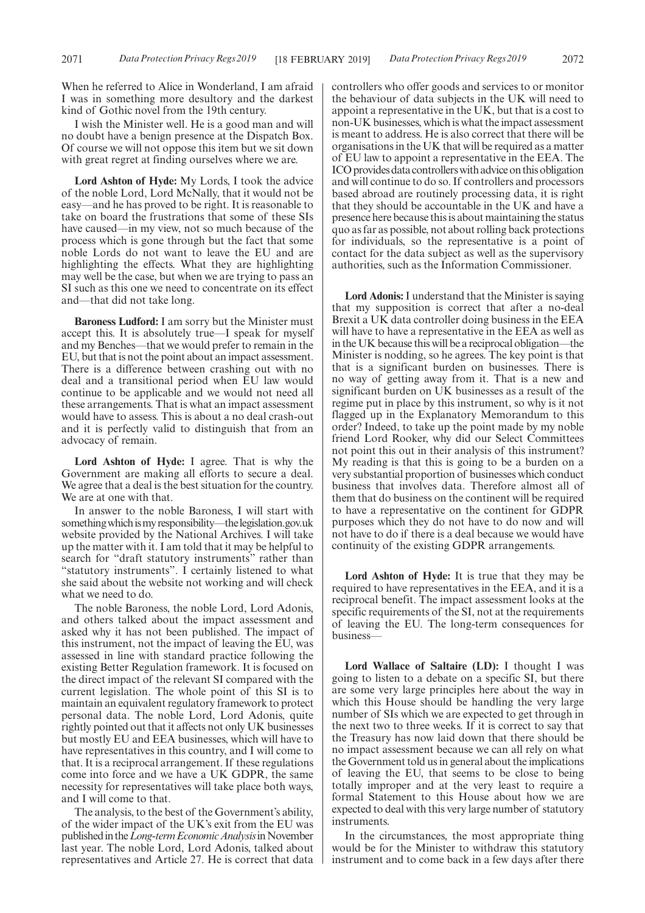When he referred to Alice in Wonderland, I am afraid I was in something more desultory and the darkest kind of Gothic novel from the 19th century.

I wish the Minister well. He is a good man and will no doubt have a benign presence at the Dispatch Box. Of course we will not oppose this item but we sit down with great regret at finding ourselves where we are.

**Lord Ashton of Hyde:** My Lords, I took the advice of the noble Lord, Lord McNally, that it would not be easy—and he has proved to be right. It is reasonable to take on board the frustrations that some of these SIs have caused—in my view, not so much because of the process which is gone through but the fact that some noble Lords do not want to leave the EU and are highlighting the effects. What they are highlighting may well be the case, but when we are trying to pass an SI such as this one we need to concentrate on its effect and—that did not take long.

**Baroness Ludford:** I am sorry but the Minister must accept this. It is absolutely true—I speak for myself and my Benches—that we would prefer to remain in the EU, but that is not the point about an impact assessment. There is a difference between crashing out with no deal and a transitional period when EU law would continue to be applicable and we would not need all these arrangements. That is what an impact assessment would have to assess. This is about a no deal crash-out and it is perfectly valid to distinguish that from an advocacy of remain.

**Lord Ashton of Hyde:** I agree. That is why the Government are making all efforts to secure a deal. We agree that a deal is the best situation for the country. We are at one with that.

In answer to the noble Baroness, I will start with something which is my responsibility—the legislation.gov.uk website provided by the National Archives. I will take up the matter with it. I am told that it may be helpful to search for "draft statutory instruments" rather than "statutory instruments". I certainly listened to what she said about the website not working and will check what we need to do.

The noble Baroness, the noble Lord, Lord Adonis, and others talked about the impact assessment and asked why it has not been published. The impact of this instrument, not the impact of leaving the EU, was assessed in line with standard practice following the existing Better Regulation framework. It is focused on the direct impact of the relevant SI compared with the current legislation. The whole point of this SI is to maintain an equivalent regulatory framework to protect personal data. The noble Lord, Lord Adonis, quite rightly pointed out that it affects not only UK businesses but mostly EU and EEA businesses, which will have to have representatives in this country, and I will come to that. It is a reciprocal arrangement. If these regulations come into force and we have a UK GDPR, the same necessity for representatives will take place both ways, and I will come to that.

The analysis, to the best of the Government's ability, of the wider impact of the UK's exit from the EU was published in the *Long-term Economic Analysis* in November last year. The noble Lord, Lord Adonis, talked about representatives and Article 27. He is correct that data controllers who offer goods and services to or monitor the behaviour of data subjects in the UK will need to appoint a representative in the UK, but that is a cost to non-UK businesses, which is what the impact assessment is meant to address. He is also correct that there will be organisations in the UK that will be required as a matter of EU law to appoint a representative in the EEA. The ICO provides data controllers with advice on this obligation and will continue to do so. If controllers and processors based abroad are routinely processing data, it is right that they should be accountable in the UK and have a presence here because this is about maintaining the status quo as far as possible, not about rolling back protections for individuals, so the representative is a point of contact for the data subject as well as the supervisory authorities, such as the Information Commissioner.

**Lord Adonis:**I understand that the Minister is saying that my supposition is correct that after a no-deal Brexit a UK data controller doing business in the EEA will have to have a representative in the EEA as well as in the UK because this will be a reciprocal obligation—the Minister is nodding, so he agrees. The key point is that that is a significant burden on businesses. There is no way of getting away from it. That is a new and significant burden on UK businesses as a result of the regime put in place by this instrument, so why is it not flagged up in the Explanatory Memorandum to this order? Indeed, to take up the point made by my noble friend Lord Rooker, why did our Select Committees not point this out in their analysis of this instrument? My reading is that this is going to be a burden on a very substantial proportion of businesses which conduct business that involves data. Therefore almost all of them that do business on the continent will be required to have a representative on the continent for GDPR purposes which they do not have to do now and will not have to do if there is a deal because we would have continuity of the existing GDPR arrangements.

**Lord Ashton of Hyde:** It is true that they may be required to have representatives in the EEA, and it is a reciprocal benefit. The impact assessment looks at the specific requirements of the SI, not at the requirements of leaving the EU. The long-term consequences for business—

**Lord Wallace of Saltaire (LD):** I thought I was going to listen to a debate on a specific SI, but there are some very large principles here about the way in which this House should be handling the very large number of SIs which we are expected to get through in the next two to three weeks. If it is correct to say that the Treasury has now laid down that there should be no impact assessment because we can all rely on what the Government told us in general about the implications of leaving the EU, that seems to be close to being totally improper and at the very least to require a formal Statement to this House about how we are expected to deal with this very large number of statutory instruments.

In the circumstances, the most appropriate thing would be for the Minister to withdraw this statutory instrument and to come back in a few days after there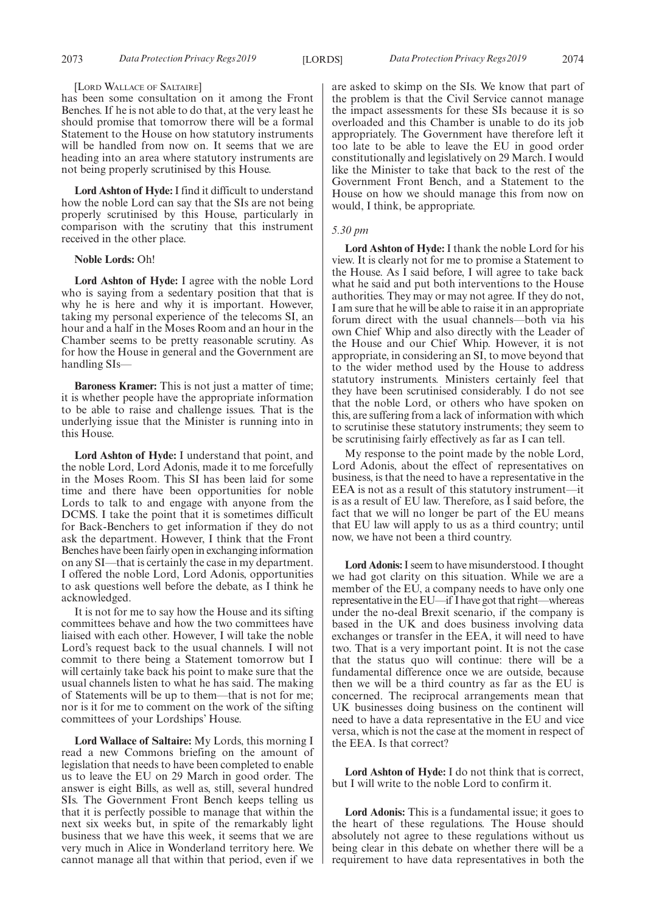#### [LORD WALLACE OF SALTAIRE]

has been some consultation on it among the Front Benches. If he is not able to do that, at the very least he should promise that tomorrow there will be a formal Statement to the House on how statutory instruments will be handled from now on. It seems that we are heading into an area where statutory instruments are not being properly scrutinised by this House.

**Lord Ashton of Hyde:**I find it difficult to understand how the noble Lord can say that the SIs are not being properly scrutinised by this House, particularly in comparison with the scrutiny that this instrument received in the other place.

### **Noble Lords:** Oh!

**Lord Ashton of Hyde:** I agree with the noble Lord who is saying from a sedentary position that that is why he is here and why it is important. However, taking my personal experience of the telecoms SI, an hour and a half in the Moses Room and an hour in the Chamber seems to be pretty reasonable scrutiny. As for how the House in general and the Government are handling SIs—

**Baroness Kramer:** This is not just a matter of time; it is whether people have the appropriate information to be able to raise and challenge issues. That is the underlying issue that the Minister is running into in this House.

**Lord Ashton of Hyde:** I understand that point, and the noble Lord, Lord Adonis, made it to me forcefully in the Moses Room. This SI has been laid for some time and there have been opportunities for noble Lords to talk to and engage with anyone from the DCMS. I take the point that it is sometimes difficult for Back-Benchers to get information if they do not ask the department. However, I think that the Front Benches have been fairly open in exchanging information on any SI—that is certainly the case in my department. I offered the noble Lord, Lord Adonis, opportunities to ask questions well before the debate, as I think he acknowledged.

It is not for me to say how the House and its sifting committees behave and how the two committees have liaised with each other. However, I will take the noble Lord's request back to the usual channels. I will not commit to there being a Statement tomorrow but I will certainly take back his point to make sure that the usual channels listen to what he has said. The making of Statements will be up to them—that is not for me; nor is it for me to comment on the work of the sifting committees of your Lordships' House.

**Lord Wallace of Saltaire:** My Lords, this morning I read a new Commons briefing on the amount of legislation that needs to have been completed to enable us to leave the EU on 29 March in good order. The answer is eight Bills, as well as, still, several hundred SIs. The Government Front Bench keeps telling us that it is perfectly possible to manage that within the next six weeks but, in spite of the remarkably light business that we have this week, it seems that we are very much in Alice in Wonderland territory here. We cannot manage all that within that period, even if we are asked to skimp on the SIs. We know that part of the problem is that the Civil Service cannot manage the impact assessments for these SIs because it is so overloaded and this Chamber is unable to do its job appropriately. The Government have therefore left it too late to be able to leave the EU in good order constitutionally and legislatively on 29 March. I would like the Minister to take that back to the rest of the Government Front Bench, and a Statement to the House on how we should manage this from now on would, I think, be appropriate.

### *5.30 pm*

**Lord Ashton of Hyde:** I thank the noble Lord for his view. It is clearly not for me to promise a Statement to the House. As I said before, I will agree to take back what he said and put both interventions to the House authorities. They may or may not agree. If they do not, I am sure that he will be able to raise it in an appropriate forum direct with the usual channels—both via his own Chief Whip and also directly with the Leader of the House and our Chief Whip. However, it is not appropriate, in considering an SI, to move beyond that to the wider method used by the House to address statutory instruments. Ministers certainly feel that they have been scrutinised considerably. I do not see that the noble Lord, or others who have spoken on this, are suffering from a lack of information with which to scrutinise these statutory instruments; they seem to be scrutinising fairly effectively as far as I can tell.

My response to the point made by the noble Lord, Lord Adonis, about the effect of representatives on business, is that the need to have a representative in the EEA is not as a result of this statutory instrument—it is as a result of EU law. Therefore, as I said before, the fact that we will no longer be part of the EU means that EU law will apply to us as a third country; until now, we have not been a third country.

**Lord Adonis:**I seem to have misunderstood. I thought we had got clarity on this situation. While we are a member of the EU, a company needs to have only one representative in the EU—if I have got that right—whereas under the no-deal Brexit scenario, if the company is based in the UK and does business involving data exchanges or transfer in the EEA, it will need to have two. That is a very important point. It is not the case that the status quo will continue: there will be a fundamental difference once we are outside, because then we will be a third country as far as the EU is concerned. The reciprocal arrangements mean that UK businesses doing business on the continent will need to have a data representative in the EU and vice versa, which is not the case at the moment in respect of the EEA. Is that correct?

**Lord Ashton of Hyde:** I do not think that is correct, but I will write to the noble Lord to confirm it.

**Lord Adonis:** This is a fundamental issue; it goes to the heart of these regulations. The House should absolutely not agree to these regulations without us being clear in this debate on whether there will be a requirement to have data representatives in both the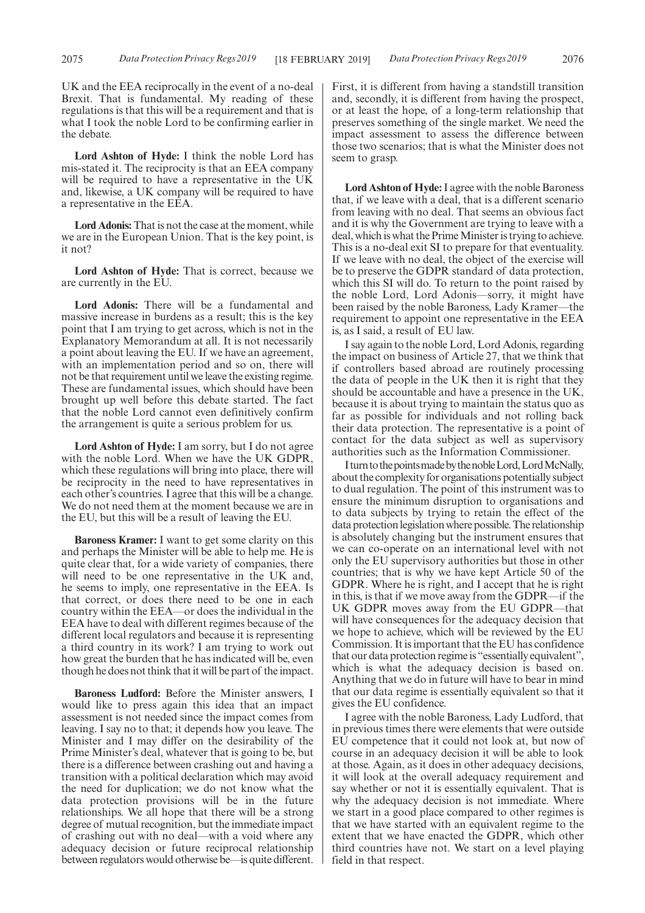UK and the EEA reciprocally in the event of a no-deal Brexit. That is fundamental. My reading of these regulations is that this will be a requirement and that is what I took the noble Lord to be confirming earlier in the debate.

**Lord Ashton of Hyde:** I think the noble Lord has mis-stated it. The reciprocity is that an EEA company will be required to have a representative in the UK and, likewise, a UK company will be required to have a representative in the EEA.

**Lord Adonis:**That is not the case at the moment, while we are in the European Union. That is the key point, is it not?

**Lord Ashton of Hyde:** That is correct, because we are currently in the EU.

**Lord Adonis:** There will be a fundamental and massive increase in burdens as a result; this is the key point that I am trying to get across, which is not in the Explanatory Memorandum at all. It is not necessarily a point about leaving the EU. If we have an agreement, with an implementation period and so on, there will not be that requirement until we leave the existing regime. These are fundamental issues, which should have been brought up well before this debate started. The fact that the noble Lord cannot even definitively confirm the arrangement is quite a serious problem for us.

**Lord Ashton of Hyde:** I am sorry, but I do not agree with the noble Lord. When we have the UK GDPR, which these regulations will bring into place, there will be reciprocity in the need to have representatives in each other's countries. I agree that this will be a change. We do not need them at the moment because we are in the EU, but this will be a result of leaving the EU.

**Baroness Kramer:** I want to get some clarity on this and perhaps the Minister will be able to help me. He is quite clear that, for a wide variety of companies, there will need to be one representative in the UK and, he seems to imply, one representative in the EEA. Is that correct, or does there need to be one in each country within the EEA—or does the individual in the EEA have to deal with different regimes because of the different local regulators and because it is representing a third country in its work? I am trying to work out how great the burden that he has indicated will be, even though he does not think that it will be part of the impact.

**Baroness Ludford:** Before the Minister answers, I would like to press again this idea that an impact assessment is not needed since the impact comes from leaving. I say no to that; it depends how you leave. The Minister and I may differ on the desirability of the Prime Minister's deal, whatever that is going to be, but there is a difference between crashing out and having a transition with a political declaration which may avoid the need for duplication; we do not know what the data protection provisions will be in the future relationships. We all hope that there will be a strong degree of mutual recognition, but the immediate impact of crashing out with no deal—with a void where any adequacy decision or future reciprocal relationship between regulators would otherwise be—is quite different. First, it is different from having a standstill transition and, secondly, it is different from having the prospect, or at least the hope, of a long-term relationship that preserves something of the single market. We need the impact assessment to assess the difference between those two scenarios; that is what the Minister does not seem to grasp.

**Lord Ashton of Hyde:**I agree with the noble Baroness that, if we leave with a deal, that is a different scenario from leaving with no deal. That seems an obvious fact and it is why the Government are trying to leave with a deal, which is what the Prime Minister is trying to achieve. This is a no-deal exit SI to prepare for that eventuality. If we leave with no deal, the object of the exercise will be to preserve the GDPR standard of data protection, which this SI will do. To return to the point raised by the noble Lord, Lord Adonis—sorry, it might have been raised by the noble Baroness, Lady Kramer—the requirement to appoint one representative in the EEA is, as I said, a result of EU law.

I say again to the noble Lord, Lord Adonis, regarding the impact on business of Article 27, that we think that if controllers based abroad are routinely processing the data of people in the UK then it is right that they should be accountable and have a presence in the UK, because it is about trying to maintain the status quo as far as possible for individuals and not rolling back their data protection. The representative is a point of contact for the data subject as well as supervisory authorities such as the Information Commissioner.

IturntothepointsmadebythenobleLord,LordMcNally, about the complexity for organisations potentially subject to dual regulation. The point of this instrument was to ensure the minimum disruption to organisations and to data subjects by trying to retain the effect of the data protection legislation where possible. The relationship is absolutely changing but the instrument ensures that we can co-operate on an international level with not only the EU supervisory authorities but those in other countries; that is why we have kept Article 50 of the GDPR. Where he is right, and I accept that he is right in this, is that if we move away from the GDPR—if the UK GDPR moves away from the EU GDPR—that will have consequences for the adequacy decision that we hope to achieve, which will be reviewed by the EU Commission. It is important that the EU has confidence that our data protection regime is "essentially equivalent", which is what the adequacy decision is based on. Anything that we do in future will have to bear in mind that our data regime is essentially equivalent so that it gives the EU confidence.

I agree with the noble Baroness, Lady Ludford, that in previous times there were elements that were outside EU competence that it could not look at, but now of course in an adequacy decision it will be able to look at those. Again, as it does in other adequacy decisions, it will look at the overall adequacy requirement and say whether or not it is essentially equivalent. That is why the adequacy decision is not immediate. Where we start in a good place compared to other regimes is that we have started with an equivalent regime to the extent that we have enacted the GDPR, which other third countries have not. We start on a level playing field in that respect.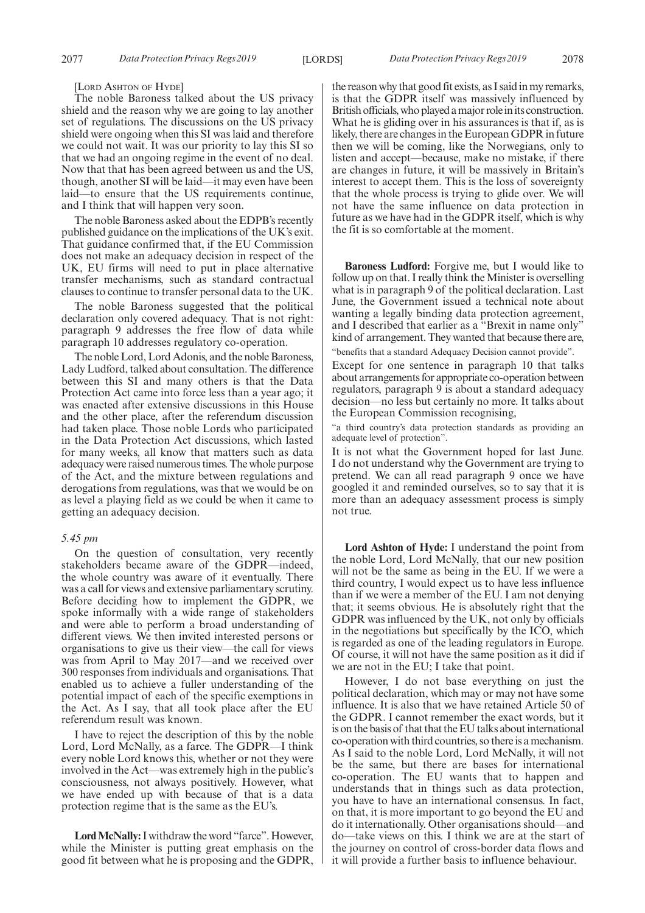[LORD ASHTON OF HYDE]

The noble Baroness talked about the US privacy shield and the reason why we are going to lay another set of regulations. The discussions on the US privacy shield were ongoing when this SI was laid and therefore we could not wait. It was our priority to lay this SI so that we had an ongoing regime in the event of no deal. Now that that has been agreed between us and the US, though, another SI will be laid—it may even have been laid—to ensure that the US requirements continue, and I think that will happen very soon.

The noble Baroness asked about the EDPB's recently published guidance on the implications of the UK's exit. That guidance confirmed that, if the EU Commission does not make an adequacy decision in respect of the UK, EU firms will need to put in place alternative transfer mechanisms, such as standard contractual clauses to continue to transfer personal data to the UK.

The noble Baroness suggested that the political declaration only covered adequacy. That is not right: paragraph 9 addresses the free flow of data while paragraph 10 addresses regulatory co-operation.

The noble Lord, Lord Adonis, and the noble Baroness, Lady Ludford, talked about consultation. The difference between this SI and many others is that the Data Protection Act came into force less than a year ago; it was enacted after extensive discussions in this House and the other place, after the referendum discussion had taken place. Those noble Lords who participated in the Data Protection Act discussions, which lasted for many weeks, all know that matters such as data adequacy were raised numerous times. The whole purpose of the Act, and the mixture between regulations and derogations from regulations, was that we would be on as level a playing field as we could be when it came to getting an adequacy decision.

#### *5.45 pm*

On the question of consultation, very recently stakeholders became aware of the GDPR—indeed, the whole country was aware of it eventually. There was a call for views and extensive parliamentary scrutiny. Before deciding how to implement the GDPR, we spoke informally with a wide range of stakeholders and were able to perform a broad understanding of different views. We then invited interested persons or organisations to give us their view—the call for views was from April to May 2017—and we received over 300 responses from individuals and organisations. That enabled us to achieve a fuller understanding of the potential impact of each of the specific exemptions in the Act. As I say, that all took place after the EU referendum result was known.

I have to reject the description of this by the noble Lord, Lord McNally, as a farce. The GDPR—I think every noble Lord knows this, whether or not they were involved in the Act—was extremely high in the public's consciousness, not always positively. However, what we have ended up with because of that is a data protection regime that is the same as the EU's.

**Lord McNally:**I withdraw the word "farce". However, while the Minister is putting great emphasis on the good fit between what he is proposing and the GDPR, the reason why that good fit exists, as I said in my remarks, is that the GDPR itself was massively influenced by British officials, who played a major role in its construction. What he is gliding over in his assurances is that if, as is likely, there are changes in the European GDPR in future then we will be coming, like the Norwegians, only to listen and accept—because, make no mistake, if there are changes in future, it will be massively in Britain's interest to accept them. This is the loss of sovereignty that the whole process is trying to glide over. We will not have the same influence on data protection in future as we have had in the GDPR itself, which is why the fit is so comfortable at the moment.

**Baroness Ludford:** Forgive me, but I would like to follow up on that. I really think the Minister is overselling what is in paragraph 9 of the political declaration. Last June, the Government issued a technical note about wanting a legally binding data protection agreement, and I described that earlier as a "Brexit in name only" kind of arrangement. They wanted that because there are, "benefits that a standard Adequacy Decision cannot provide".

Except for one sentence in paragraph 10 that talks about arrangements for appropriate co-operation between regulators, paragraph 9 is about a standard adequacy decision—no less but certainly no more. It talks about the European Commission recognising,

"a third country's data protection standards as providing an adequate level of protection".

It is not what the Government hoped for last June. I do not understand why the Government are trying to pretend. We can all read paragraph 9 once we have googled it and reminded ourselves, so to say that it is more than an adequacy assessment process is simply not true.

**Lord Ashton of Hyde:** I understand the point from the noble Lord, Lord McNally, that our new position will not be the same as being in the EU. If we were a third country, I would expect us to have less influence than if we were a member of the EU. I am not denying that; it seems obvious. He is absolutely right that the GDPR was influenced by the UK, not only by officials in the negotiations but specifically by the ICO, which is regarded as one of the leading regulators in Europe. Of course, it will not have the same position as it did if we are not in the EU; I take that point.

However, I do not base everything on just the political declaration, which may or may not have some influence. It is also that we have retained Article 50 of the GDPR. I cannot remember the exact words, but it is on the basis of that that the EU talks about international co-operation with third countries, so there is a mechanism. As I said to the noble Lord, Lord McNally, it will not be the same, but there are bases for international co-operation. The EU wants that to happen and understands that in things such as data protection, you have to have an international consensus. In fact, on that, it is more important to go beyond the EU and do it internationally. Other organisations should—and do—take views on this. I think we are at the start of the journey on control of cross-border data flows and it will provide a further basis to influence behaviour.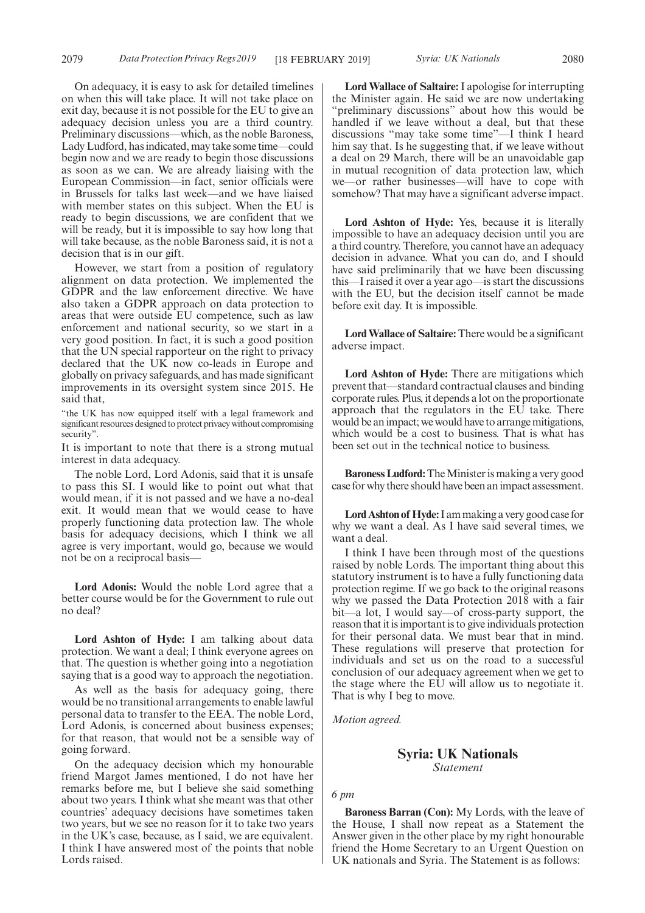On adequacy, it is easy to ask for detailed timelines on when this will take place. It will not take place on exit day, because it is not possible for the EU to give an adequacy decision unless you are a third country. Preliminary discussions—which, as the noble Baroness, Lady Ludford, has indicated, may take some time—could begin now and we are ready to begin those discussions as soon as we can. We are already liaising with the European Commission—in fact, senior officials were in Brussels for talks last week—and we have liaised with member states on this subject. When the EU is ready to begin discussions, we are confident that we will be ready, but it is impossible to say how long that will take because, as the noble Baroness said, it is not a decision that is in our gift.

However, we start from a position of regulatory alignment on data protection. We implemented the GDPR and the law enforcement directive. We have also taken a GDPR approach on data protection to areas that were outside EU competence, such as law enforcement and national security, so we start in a very good position. In fact, it is such a good position that the UN special rapporteur on the right to privacy declared that the UK now co-leads in Europe and globally on privacy safeguards, and has made significant improvements in its oversight system since 2015. He said that,

"the UK has now equipped itself with a legal framework and significant resources designed to protect privacy without compromising security".

It is important to note that there is a strong mutual interest in data adequacy.

The noble Lord, Lord Adonis, said that it is unsafe to pass this SI. I would like to point out what that would mean, if it is not passed and we have a no-deal exit. It would mean that we would cease to have properly functioning data protection law. The whole basis for adequacy decisions, which I think we all agree is very important, would go, because we would not be on a reciprocal basis—

**Lord Adonis:** Would the noble Lord agree that a better course would be for the Government to rule out no deal?

**Lord Ashton of Hyde:** I am talking about data protection. We want a deal; I think everyone agrees on that. The question is whether going into a negotiation saying that is a good way to approach the negotiation.

As well as the basis for adequacy going, there would be no transitional arrangements to enable lawful personal data to transfer to the EEA. The noble Lord, Lord Adonis, is concerned about business expenses; for that reason, that would not be a sensible way of going forward.

On the adequacy decision which my honourable friend Margot James mentioned, I do not have her remarks before me, but I believe she said something about two years. I think what she meant was that other countries' adequacy decisions have sometimes taken two years, but we see no reason for it to take two years in the UK's case, because, as I said, we are equivalent. I think I have answered most of the points that noble Lords raised.

**Lord Wallace of Saltaire:**I apologise for interrupting the Minister again. He said we are now undertaking 'preliminary discussions" about how this would be handled if we leave without a deal, but that these discussions "may take some time"—I think I heard him say that. Is he suggesting that, if we leave without a deal on 29 March, there will be an unavoidable gap in mutual recognition of data protection law, which we—or rather businesses—will have to cope with somehow? That may have a significant adverse impact.

**Lord Ashton of Hyde:** Yes, because it is literally impossible to have an adequacy decision until you are a third country. Therefore, you cannot have an adequacy decision in advance. What you can do, and I should have said preliminarily that we have been discussing this—I raised it over a year ago—is start the discussions with the EU, but the decision itself cannot be made before exit day. It is impossible.

**Lord Wallace of Saltaire:** There would be a significant adverse impact.

**Lord Ashton of Hyde:** There are mitigations which prevent that—standard contractual clauses and binding corporate rules. Plus, it depends a lot on the proportionate approach that the regulators in the EU take. There would be an impact; we would have to arrange mitigations, which would be a cost to business. That is what has been set out in the technical notice to business.

**Baroness Ludford:**The Minister is making a very good case for why there should have been an impact assessment.

**Lord Ashton of Hyde:**I am making a very good case for why we want a deal. As I have said several times, we want a deal.

I think I have been through most of the questions raised by noble Lords. The important thing about this statutory instrument is to have a fully functioning data protection regime. If we go back to the original reasons why we passed the Data Protection 2018 with a fair bit—a lot, I would say—of cross-party support, the reason that it is important is to give individuals protection for their personal data. We must bear that in mind. These regulations will preserve that protection for individuals and set us on the road to a successful conclusion of our adequacy agreement when we get to the stage where the EU will allow us to negotiate it. That is why I beg to move.

*Motion agreed.*

### **Syria: UK Nationals** *Statement*

### *6 pm*

**Baroness Barran (Con):** My Lords, with the leave of the House, I shall now repeat as a Statement the Answer given in the other place by my right honourable friend the Home Secretary to an Urgent Question on UK nationals and Syria. The Statement is as follows: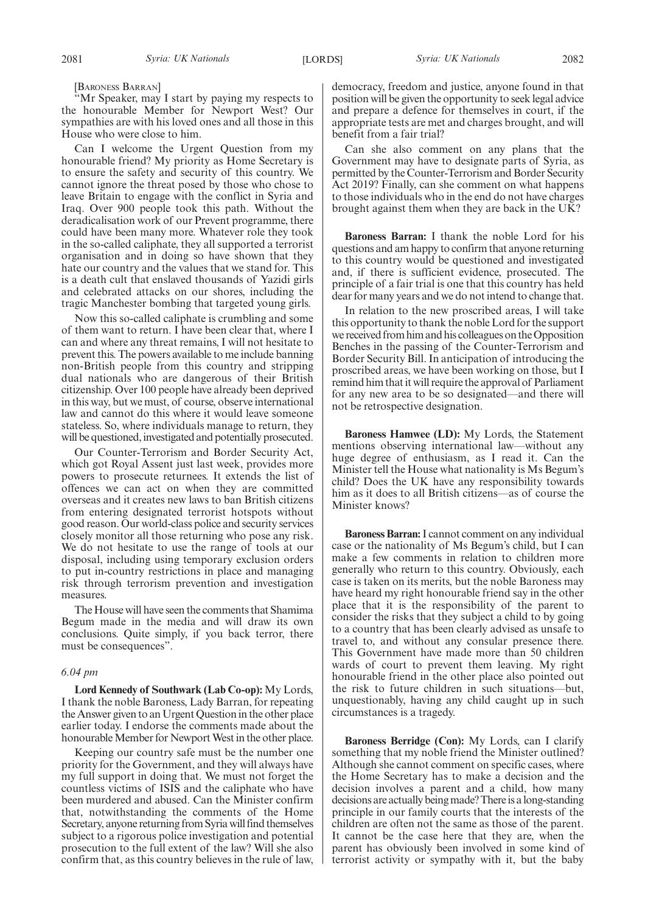'Mr Speaker, may I start by paying my respects to the honourable Member for Newport West? Our sympathies are with his loved ones and all those in this House who were close to him.

Can I welcome the Urgent Question from my honourable friend? My priority as Home Secretary is to ensure the safety and security of this country. We cannot ignore the threat posed by those who chose to leave Britain to engage with the conflict in Syria and Iraq. Over 900 people took this path. Without the deradicalisation work of our Prevent programme, there could have been many more. Whatever role they took in the so-called caliphate, they all supported a terrorist organisation and in doing so have shown that they hate our country and the values that we stand for. This is a death cult that enslaved thousands of Yazidi girls and celebrated attacks on our shores, including the tragic Manchester bombing that targeted young girls.

Now this so-called caliphate is crumbling and some of them want to return. I have been clear that, where I can and where any threat remains, I will not hesitate to prevent this. The powers available to me include banning non-British people from this country and stripping dual nationals who are dangerous of their British citizenship. Over 100 people have already been deprived in this way, but we must, of course, observe international law and cannot do this where it would leave someone stateless. So, where individuals manage to return, they will be questioned, investigated and potentially prosecuted.

Our Counter-Terrorism and Border Security Act, which got Royal Assent just last week, provides more powers to prosecute returnees. It extends the list of offences we can act on when they are committed overseas and it creates new laws to ban British citizens from entering designated terrorist hotspots without good reason. Our world-class police and security services closely monitor all those returning who pose any risk. We do not hesitate to use the range of tools at our disposal, including using temporary exclusion orders to put in-country restrictions in place and managing risk through terrorism prevention and investigation measures.

The House will have seen the comments that Shamima Begum made in the media and will draw its own conclusions. Quite simply, if you back terror, there must be consequences".

### *6.04 pm*

**Lord Kennedy of Southwark (Lab Co-op):** My Lords, I thank the noble Baroness, Lady Barran, for repeating the Answer given to an Urgent Question in the other place earlier today. I endorse the comments made about the honourable Member for Newport West in the other place.

Keeping our country safe must be the number one priority for the Government, and they will always have my full support in doing that. We must not forget the countless victims of ISIS and the caliphate who have been murdered and abused. Can the Minister confirm that, notwithstanding the comments of the Home Secretary, anyone returning from Syria will find themselves subject to a rigorous police investigation and potential prosecution to the full extent of the law? Will she also confirm that, as this country believes in the rule of law, democracy, freedom and justice, anyone found in that position will be given the opportunity to seek legal advice and prepare a defence for themselves in court, if the appropriate tests are met and charges brought, and will benefit from a fair trial?

Can she also comment on any plans that the Government may have to designate parts of Syria, as permitted by the Counter-Terrorism and Border Security Act 2019? Finally, can she comment on what happens to those individuals who in the end do not have charges brought against them when they are back in the UK?

**Baroness Barran:** I thank the noble Lord for his questions and am happy to confirm that anyone returning to this country would be questioned and investigated and, if there is sufficient evidence, prosecuted. The principle of a fair trial is one that this country has held dear for many years and we do not intend to change that.

In relation to the new proscribed areas, I will take this opportunity to thank the noble Lord for the support we received from him and his colleagues on the Opposition Benches in the passing of the Counter-Terrorism and Border Security Bill. In anticipation of introducing the proscribed areas, we have been working on those, but I remind him that it will require the approval of Parliament for any new area to be so designated—and there will not be retrospective designation.

**Baroness Hamwee (LD):** My Lords, the Statement mentions observing international law—without any huge degree of enthusiasm, as I read it. Can the Minister tell the House what nationality is Ms Begum's child? Does the UK have any responsibility towards him as it does to all British citizens—as of course the Minister knows?

**Baroness Barran:**I cannot comment on any individual case or the nationality of Ms Begum's child, but I can make a few comments in relation to children more generally who return to this country. Obviously, each case is taken on its merits, but the noble Baroness may have heard my right honourable friend say in the other place that it is the responsibility of the parent to consider the risks that they subject a child to by going to a country that has been clearly advised as unsafe to travel to, and without any consular presence there. This Government have made more than 50 children wards of court to prevent them leaving. My right honourable friend in the other place also pointed out the risk to future children in such situations—but, unquestionably, having any child caught up in such circumstances is a tragedy.

**Baroness Berridge (Con):** My Lords, can I clarify something that my noble friend the Minister outlined? Although she cannot comment on specific cases, where the Home Secretary has to make a decision and the decision involves a parent and a child, how many decisions are actually being made? There is a long-standing principle in our family courts that the interests of the children are often not the same as those of the parent. It cannot be the case here that they are, when the parent has obviously been involved in some kind of terrorist activity or sympathy with it, but the baby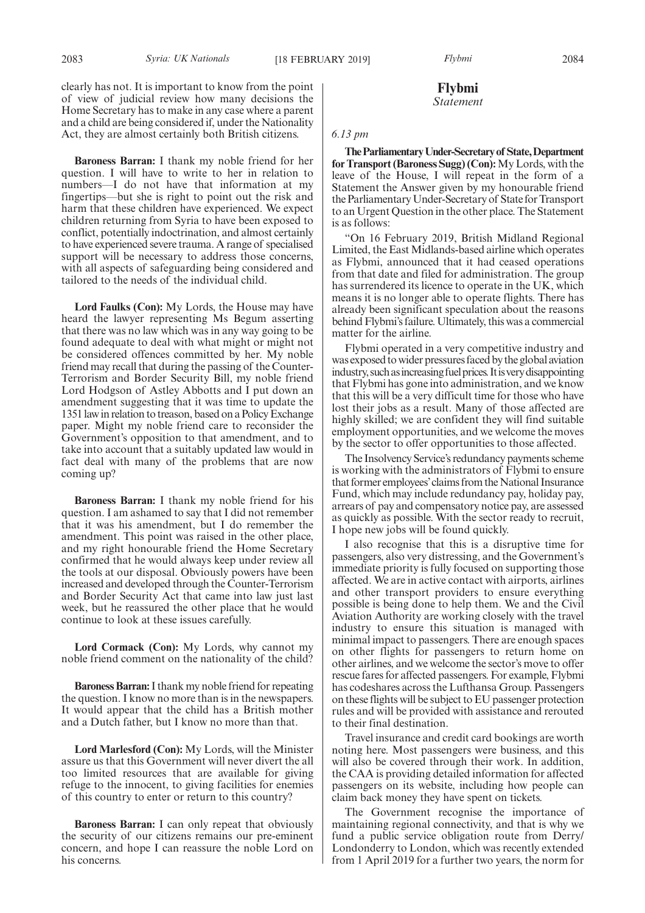clearly has not. It is important to know from the point of view of judicial review how many decisions the Home Secretary has to make in any case where a parent and a child are being considered if, under the Nationality Act, they are almost certainly both British citizens.

**Baroness Barran:** I thank my noble friend for her question. I will have to write to her in relation to numbers—I do not have that information at my fingertips—but she is right to point out the risk and harm that these children have experienced. We expect children returning from Syria to have been exposed to conflict, potentially indoctrination, and almost certainly to have experienced severe trauma. A range of specialised support will be necessary to address those concerns, with all aspects of safeguarding being considered and tailored to the needs of the individual child.

**Lord Faulks (Con):** My Lords, the House may have heard the lawyer representing Ms Begum asserting that there was no law which was in any way going to be found adequate to deal with what might or might not be considered offences committed by her. My noble friend may recall that during the passing of the Counter-Terrorism and Border Security Bill, my noble friend Lord Hodgson of Astley Abbotts and I put down an amendment suggesting that it was time to update the 1351 law in relation to treason, based on a Policy Exchange paper. Might my noble friend care to reconsider the Government's opposition to that amendment, and to take into account that a suitably updated law would in fact deal with many of the problems that are now coming up?

**Baroness Barran:** I thank my noble friend for his question. I am ashamed to say that I did not remember that it was his amendment, but I do remember the amendment. This point was raised in the other place, and my right honourable friend the Home Secretary confirmed that he would always keep under review all the tools at our disposal. Obviously powers have been increased and developed through the Counter-Terrorism and Border Security Act that came into law just last week, but he reassured the other place that he would continue to look at these issues carefully.

**Lord Cormack (Con):** My Lords, why cannot my noble friend comment on the nationality of the child?

**Baroness Barran:**I thank my noble friend for repeating the question. I know no more than is in the newspapers. It would appear that the child has a British mother and a Dutch father, but I know no more than that.

**Lord Marlesford (Con):** My Lords, will the Minister assure us that this Government will never divert the all too limited resources that are available for giving refuge to the innocent, to giving facilities for enemies of this country to enter or return to this country?

**Baroness Barran:** I can only repeat that obviously the security of our citizens remains our pre-eminent concern, and hope I can reassure the noble Lord on his concerns.

### **Flybmi** *Statement*

### *6.13 pm*

**TheParliamentaryUnder-Secretaryof State,Department for Transport (Baroness Sugg) (Con):**My Lords, with the leave of the House, I will repeat in the form of a Statement the Answer given by my honourable friend the Parliamentary Under-Secretary of State for Transport to an Urgent Question in the other place. The Statement is as follows:

"On 16 February 2019, British Midland Regional Limited, the East Midlands-based airline which operates as Flybmi, announced that it had ceased operations from that date and filed for administration. The group has surrendered its licence to operate in the UK, which means it is no longer able to operate flights. There has already been significant speculation about the reasons behind Flybmi's failure. Ultimately, this was a commercial matter for the airline.

Flybmi operated in a very competitive industry and was exposed to wider pressures faced by the global aviation industry, such as increasing fuel prices. It is very disappointing that Flybmi has gone into administration, and we know that this will be a very difficult time for those who have lost their jobs as a result. Many of those affected are highly skilled; we are confident they will find suitable employment opportunities, and we welcome the moves by the sector to offer opportunities to those affected.

The Insolvency Service's redundancy payments scheme is working with the administrators of Flybmi to ensure that former employees'claims from the National Insurance Fund, which may include redundancy pay, holiday pay, arrears of pay and compensatory notice pay, are assessed as quickly as possible. With the sector ready to recruit, I hope new jobs will be found quickly.

I also recognise that this is a disruptive time for passengers, also very distressing, and the Government's immediate priority is fully focused on supporting those affected. We are in active contact with airports, airlines and other transport providers to ensure everything possible is being done to help them. We and the Civil Aviation Authority are working closely with the travel industry to ensure this situation is managed with minimal impact to passengers. There are enough spaces on other flights for passengers to return home on other airlines, and we welcome the sector's move to offer rescue fares for affected passengers. For example, Flybmi has codeshares across the Lufthansa Group. Passengers on these flights will be subject to EU passenger protection rules and will be provided with assistance and rerouted to their final destination.

Travel insurance and credit card bookings are worth noting here. Most passengers were business, and this will also be covered through their work. In addition, the CAA is providing detailed information for affected passengers on its website, including how people can claim back money they have spent on tickets.

The Government recognise the importance of maintaining regional connectivity, and that is why we fund a public service obligation route from Derry/ Londonderry to London, which was recently extended from 1 April 2019 for a further two years, the norm for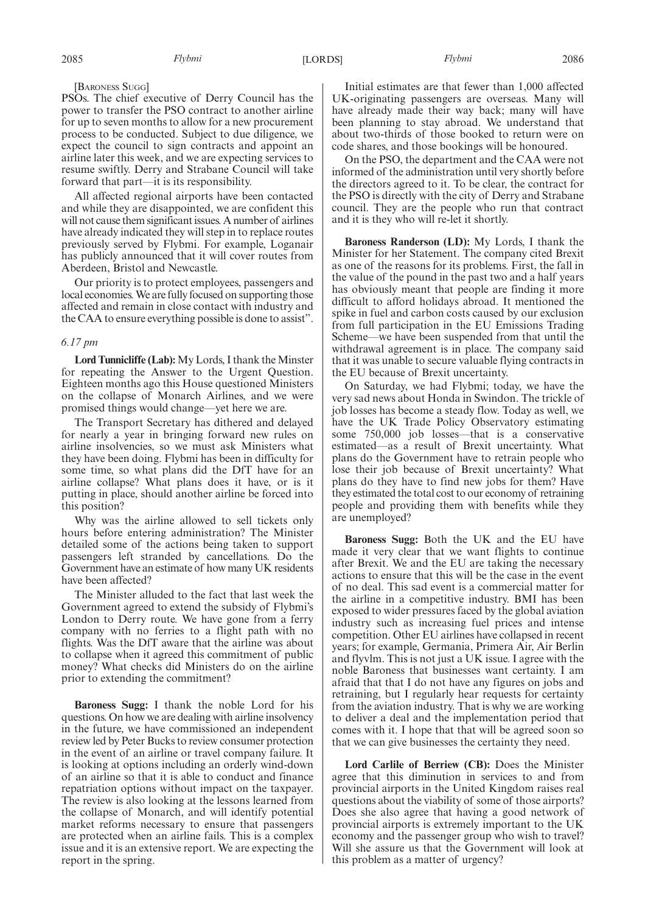### [BARONESS SUGG]

PSOs. The chief executive of Derry Council has the power to transfer the PSO contract to another airline for up to seven months to allow for a new procurement process to be conducted. Subject to due diligence, we expect the council to sign contracts and appoint an airline later this week, and we are expecting services to resume swiftly. Derry and Strabane Council will take forward that part—it is its responsibility.

All affected regional airports have been contacted and while they are disappointed, we are confident this will not cause them significant issues. A number of airlines have already indicated they will step in to replace routes previously served by Flybmi. For example, Loganair has publicly announced that it will cover routes from Aberdeen, Bristol and Newcastle.

Our priority is to protect employees, passengers and local economies. We are fully focused on supporting those affected and remain in close contact with industry and the CAA to ensure everything possible is done to assist".

#### *6.17 pm*

**Lord Tunnicliffe (Lab):**My Lords, I thank the Minster for repeating the Answer to the Urgent Question. Eighteen months ago this House questioned Ministers on the collapse of Monarch Airlines, and we were promised things would change—yet here we are.

The Transport Secretary has dithered and delayed for nearly a year in bringing forward new rules on airline insolvencies, so we must ask Ministers what they have been doing. Flybmi has been in difficulty for some time, so what plans did the DfT have for an airline collapse? What plans does it have, or is it putting in place, should another airline be forced into this position?

Why was the airline allowed to sell tickets only hours before entering administration? The Minister detailed some of the actions being taken to support passengers left stranded by cancellations. Do the Government have an estimate of how many UK residents have been affected?

The Minister alluded to the fact that last week the Government agreed to extend the subsidy of Flybmi's London to Derry route. We have gone from a ferry company with no ferries to a flight path with no flights. Was the DfT aware that the airline was about to collapse when it agreed this commitment of public money? What checks did Ministers do on the airline prior to extending the commitment?

**Baroness Sugg:** I thank the noble Lord for his questions. On how we are dealing with airline insolvency in the future, we have commissioned an independent review led by Peter Bucks to review consumer protection in the event of an airline or travel company failure. It is looking at options including an orderly wind-down of an airline so that it is able to conduct and finance repatriation options without impact on the taxpayer. The review is also looking at the lessons learned from the collapse of Monarch, and will identify potential market reforms necessary to ensure that passengers are protected when an airline fails. This is a complex issue and it is an extensive report. We are expecting the report in the spring.

Initial estimates are that fewer than 1,000 affected UK-originating passengers are overseas. Many will have already made their way back; many will have been planning to stay abroad. We understand that about two-thirds of those booked to return were on code shares, and those bookings will be honoured.

On the PSO, the department and the CAA were not informed of the administration until very shortly before the directors agreed to it. To be clear, the contract for the PSO is directly with the city of Derry and Strabane council. They are the people who run that contract and it is they who will re-let it shortly.

**Baroness Randerson (LD):** My Lords, I thank the Minister for her Statement. The company cited Brexit as one of the reasons for its problems. First, the fall in the value of the pound in the past two and a half years has obviously meant that people are finding it more difficult to afford holidays abroad. It mentioned the spike in fuel and carbon costs caused by our exclusion from full participation in the EU Emissions Trading Scheme—we have been suspended from that until the withdrawal agreement is in place. The company said that it was unable to secure valuable flying contracts in the EU because of Brexit uncertainty.

On Saturday, we had Flybmi; today, we have the very sad news about Honda in Swindon. The trickle of job losses has become a steady flow. Today as well, we have the UK Trade Policy Observatory estimating some 750,000 job losses—that is a conservative estimated—as a result of Brexit uncertainty. What plans do the Government have to retrain people who lose their job because of Brexit uncertainty? What plans do they have to find new jobs for them? Have they estimated the total cost to our economy of retraining people and providing them with benefits while they are unemployed?

**Baroness Sugg:** Both the UK and the EU have made it very clear that we want flights to continue after Brexit. We and the EU are taking the necessary actions to ensure that this will be the case in the event of no deal. This sad event is a commercial matter for the airline in a competitive industry. BMI has been exposed to wider pressures faced by the global aviation industry such as increasing fuel prices and intense competition. Other EU airlines have collapsed in recent years; for example, Germania, Primera Air, Air Berlin and flyvlm. This is not just a UK issue. I agree with the noble Baroness that businesses want certainty. I am afraid that that I do not have any figures on jobs and retraining, but I regularly hear requests for certainty from the aviation industry. That is why we are working to deliver a deal and the implementation period that comes with it. I hope that that will be agreed soon so that we can give businesses the certainty they need.

**Lord Carlile of Berriew (CB):** Does the Minister agree that this diminution in services to and from provincial airports in the United Kingdom raises real questions about the viability of some of those airports? Does she also agree that having a good network of provincial airports is extremely important to the UK economy and the passenger group who wish to travel? Will she assure us that the Government will look at this problem as a matter of urgency?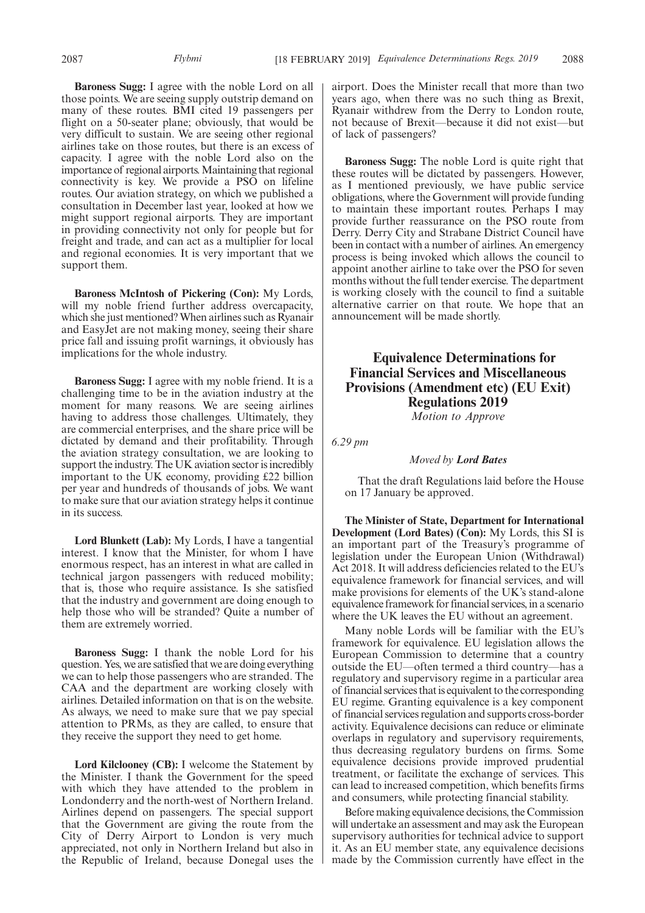**Baroness Sugg:** I agree with the noble Lord on all those points. We are seeing supply outstrip demand on many of these routes. BMI cited 19 passengers per flight on a 50-seater plane; obviously, that would be very difficult to sustain. We are seeing other regional airlines take on those routes, but there is an excess of capacity. I agree with the noble Lord also on the importance of regional airports. Maintaining that regional connectivity is key. We provide a PSO on lifeline routes. Our aviation strategy, on which we published a consultation in December last year, looked at how we might support regional airports. They are important in providing connectivity not only for people but for freight and trade, and can act as a multiplier for local and regional economies. It is very important that we support them.

**Baroness McIntosh of Pickering (Con):** My Lords, will my noble friend further address overcapacity, which she just mentioned? When airlines such as Ryanair and EasyJet are not making money, seeing their share price fall and issuing profit warnings, it obviously has implications for the whole industry.

**Baroness Sugg:** I agree with my noble friend. It is a challenging time to be in the aviation industry at the moment for many reasons. We are seeing airlines having to address those challenges. Ultimately, they are commercial enterprises, and the share price will be dictated by demand and their profitability. Through the aviation strategy consultation, we are looking to support the industry. The UK aviation sector is incredibly important to the UK economy, providing £22 billion per year and hundreds of thousands of jobs. We want to make sure that our aviation strategy helps it continue in its success.

**Lord Blunkett (Lab):** My Lords, I have a tangential interest. I know that the Minister, for whom I have enormous respect, has an interest in what are called in technical jargon passengers with reduced mobility; that is, those who require assistance. Is she satisfied that the industry and government are doing enough to help those who will be stranded? Quite a number of them are extremely worried.

**Baroness Sugg:** I thank the noble Lord for his question. Yes, we are satisfied that we are doing everything we can to help those passengers who are stranded. The CAA and the department are working closely with airlines. Detailed information on that is on the website. As always, we need to make sure that we pay special attention to PRMs, as they are called, to ensure that they receive the support they need to get home.

**Lord Kilclooney (CB):** I welcome the Statement by the Minister. I thank the Government for the speed with which they have attended to the problem in Londonderry and the north-west of Northern Ireland. Airlines depend on passengers. The special support that the Government are giving the route from the City of Derry Airport to London is very much appreciated, not only in Northern Ireland but also in the Republic of Ireland, because Donegal uses the airport. Does the Minister recall that more than two years ago, when there was no such thing as Brexit, Ryanair withdrew from the Derry to London route, not because of Brexit—because it did not exist—but of lack of passengers?

**Baroness Sugg:** The noble Lord is quite right that these routes will be dictated by passengers. However, as I mentioned previously, we have public service obligations, where the Government will provide funding to maintain these important routes. Perhaps I may provide further reassurance on the PSO route from Derry. Derry City and Strabane District Council have been in contact with a number of airlines. An emergency process is being invoked which allows the council to appoint another airline to take over the PSO for seven months without the full tender exercise. The department is working closely with the council to find a suitable alternative carrier on that route. We hope that an announcement will be made shortly.

# **Equivalence Determinations for Financial Services and Miscellaneous Provisions (Amendment etc) (EU Exit) Regulations 2019**

*Motion to Approve*

*6.29 pm*

*Moved by Lord Bates*

That the draft Regulations laid before the House on 17 January be approved.

**The Minister of State, Department for International Development (Lord Bates) (Con):** My Lords, this SI is an important part of the Treasury's programme of legislation under the European Union (Withdrawal) Act 2018. It will address deficiencies related to the EU's equivalence framework for financial services, and will make provisions for elements of the UK's stand-alone equivalence framework for financial services, in a scenario where the UK leaves the EU without an agreement.

Many noble Lords will be familiar with the EU's framework for equivalence. EU legislation allows the European Commission to determine that a country outside the EU—often termed a third country—has a regulatory and supervisory regime in a particular area of financial services that is equivalent to the corresponding EU regime. Granting equivalence is a key component of financial services regulation and supports cross-border activity. Equivalence decisions can reduce or eliminate overlaps in regulatory and supervisory requirements, thus decreasing regulatory burdens on firms. Some equivalence decisions provide improved prudential treatment, or facilitate the exchange of services. This can lead to increased competition, which benefits firms and consumers, while protecting financial stability.

Before making equivalence decisions, the Commission will undertake an assessment and may ask the European supervisory authorities for technical advice to support it. As an EU member state, any equivalence decisions made by the Commission currently have effect in the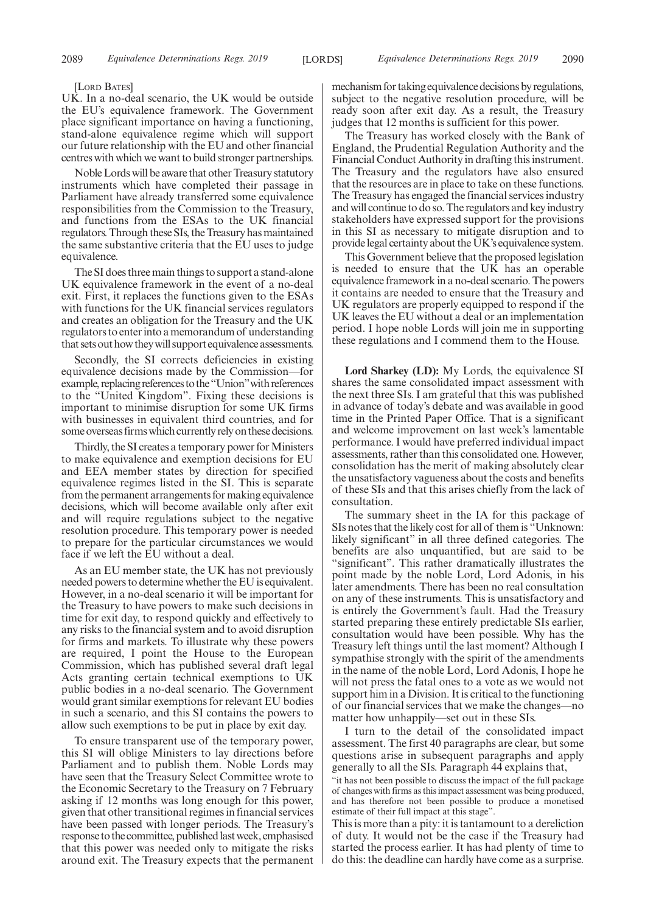#### [LORD BATES]

UK. In a no-deal scenario, the UK would be outside the EU's equivalence framework. The Government place significant importance on having a functioning, stand-alone equivalence regime which will support our future relationship with the EU and other financial centres with which we want to build stronger partnerships.

Noble Lords will be aware that other Treasury statutory instruments which have completed their passage in Parliament have already transferred some equivalence responsibilities from the Commission to the Treasury, and functions from the ESAs to the UK financial regulators. Through these SIs, the Treasury has maintained the same substantive criteria that the EU uses to judge equivalence.

The SI does three main things to support a stand-alone UK equivalence framework in the event of a no-deal exit. First, it replaces the functions given to the ESAs with functions for the UK financial services regulators and creates an obligation for the Treasury and the UK regulators to enter into a memorandum of understanding that sets out how they will support equivalence assessments.

Secondly, the SI corrects deficiencies in existing equivalence decisions made by the Commission—for example, replacing references to the "Union" with references to the "United Kingdom". Fixing these decisions is important to minimise disruption for some UK firms with businesses in equivalent third countries, and for some overseas firms which currently rely on these decisions.

Thirdly, the SI creates a temporary power for Ministers to make equivalence and exemption decisions for EU and EEA member states by direction for specified equivalence regimes listed in the SI. This is separate from the permanent arrangements for making equivalence decisions, which will become available only after exit and will require regulations subject to the negative resolution procedure. This temporary power is needed to prepare for the particular circumstances we would face if we left the EU without a deal.

As an EU member state, the UK has not previously needed powers to determine whether the EU is equivalent. However, in a no-deal scenario it will be important for the Treasury to have powers to make such decisions in time for exit day, to respond quickly and effectively to any risks to the financial system and to avoid disruption for firms and markets. To illustrate why these powers are required, I point the House to the European Commission, which has published several draft legal Acts granting certain technical exemptions to UK public bodies in a no-deal scenario. The Government would grant similar exemptions for relevant EU bodies in such a scenario, and this SI contains the powers to allow such exemptions to be put in place by exit day.

To ensure transparent use of the temporary power, this SI will oblige Ministers to lay directions before Parliament and to publish them. Noble Lords may have seen that the Treasury Select Committee wrote to the Economic Secretary to the Treasury on 7 February asking if 12 months was long enough for this power, given that other transitional regimes in financial services have been passed with longer periods. The Treasury's response to the committee, published last week, emphasised that this power was needed only to mitigate the risks around exit. The Treasury expects that the permanent

mechanism for taking equivalence decisions by regulations, subject to the negative resolution procedure, will be ready soon after exit day. As a result, the Treasury judges that 12 months is sufficient for this power.

The Treasury has worked closely with the Bank of England, the Prudential Regulation Authority and the Financial Conduct Authority in drafting this instrument. The Treasury and the regulators have also ensured that the resources are in place to take on these functions. The Treasury has engaged the financial services industry and will continue to do so. The regulators and key industry stakeholders have expressed support for the provisions in this SI as necessary to mitigate disruption and to provide legal certainty about the UK's equivalence system.

This Government believe that the proposed legislation is needed to ensure that the UK has an operable equivalence framework in a no-deal scenario. The powers it contains are needed to ensure that the Treasury and UK regulators are properly equipped to respond if the UK leaves the EU without a deal or an implementation period. I hope noble Lords will join me in supporting these regulations and I commend them to the House.

**Lord Sharkey (LD):** My Lords, the equivalence SI shares the same consolidated impact assessment with the next three SIs. I am grateful that this was published in advance of today's debate and was available in good time in the Printed Paper Office. That is a significant and welcome improvement on last week's lamentable performance. I would have preferred individual impact assessments, rather than this consolidated one. However, consolidation has the merit of making absolutely clear the unsatisfactory vagueness about the costs and benefits of these SIs and that this arises chiefly from the lack of consultation.

The summary sheet in the IA for this package of SIs notes that the likely cost for all of them is "Unknown: likely significant" in all three defined categories. The benefits are also unquantified, but are said to be "significant". This rather dramatically illustrates the point made by the noble Lord, Lord Adonis, in his later amendments. There has been no real consultation on any of these instruments. This is unsatisfactory and is entirely the Government's fault. Had the Treasury started preparing these entirely predictable SIs earlier, consultation would have been possible. Why has the Treasury left things until the last moment? Although I sympathise strongly with the spirit of the amendments in the name of the noble Lord, Lord Adonis, I hope he will not press the fatal ones to a vote as we would not support him in a Division. It is critical to the functioning of our financial services that we make the changes—no matter how unhappily—set out in these SIs.

I turn to the detail of the consolidated impact assessment. The first 40 paragraphs are clear, but some questions arise in subsequent paragraphs and apply generally to all the SIs. Paragraph 44 explains that,

"it has not been possible to discuss the impact of the full package of changes with firms as this impact assessment was being produced, and has therefore not been possible to produce a monetised estimate of their full impact at this stage".

This is more than a pity: it is tantamount to a dereliction of duty. It would not be the case if the Treasury had started the process earlier. It has had plenty of time to do this: the deadline can hardly have come as a surprise.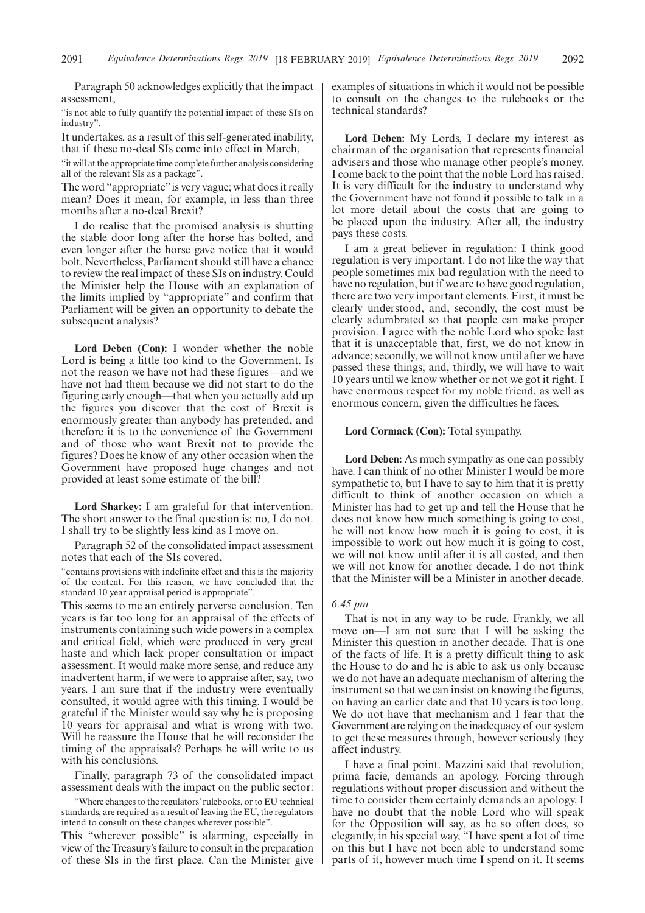Paragraph 50 acknowledges explicitly that the impact assessment,

"is not able to fully quantify the potential impact of these SIs on industry".

It undertakes, as a result of this self-generated inability, that if these no-deal SIs come into effect in March,

"it will at the appropriate time complete further analysis considering all of the relevant SIs as a package".

The word "appropriate"is very vague; what does it really mean? Does it mean, for example, in less than three months after a no-deal Brexit?

I do realise that the promised analysis is shutting the stable door long after the horse has bolted, and even longer after the horse gave notice that it would bolt. Nevertheless, Parliament should still have a chance to review the real impact of these SIs on industry. Could the Minister help the House with an explanation of the limits implied by "appropriate" and confirm that Parliament will be given an opportunity to debate the subsequent analysis?

**Lord Deben (Con):** I wonder whether the noble Lord is being a little too kind to the Government. Is not the reason we have not had these figures—and we have not had them because we did not start to do the figuring early enough—that when you actually add up the figures you discover that the cost of Brexit is enormously greater than anybody has pretended, and therefore it is to the convenience of the Government and of those who want Brexit not to provide the figures? Does he know of any other occasion when the Government have proposed huge changes and not provided at least some estimate of the bill?

**Lord Sharkey:** I am grateful for that intervention. The short answer to the final question is: no, I do not. I shall try to be slightly less kind as I move on.

Paragraph 52 of the consolidated impact assessment notes that each of the SIs covered,

"contains provisions with indefinite effect and this is the majority of the content. For this reason, we have concluded that the standard 10 year appraisal period is appropriate".

This seems to me an entirely perverse conclusion. Ten years is far too long for an appraisal of the effects of instruments containing such wide powers in a complex and critical field, which were produced in very great haste and which lack proper consultation or impact assessment. It would make more sense, and reduce any inadvertent harm, if we were to appraise after, say, two years. I am sure that if the industry were eventually consulted, it would agree with this timing. I would be grateful if the Minister would say why he is proposing 10 years for appraisal and what is wrong with two. Will he reassure the House that he will reconsider the timing of the appraisals? Perhaps he will write to us with his conclusions.

Finally, paragraph 73 of the consolidated impact assessment deals with the impact on the public sector:

"Where changes to the regulators' rulebooks, or to EU technical standards, are required as a result of leaving the EU, the regulators intend to consult on these changes wherever possible".

This "wherever possible" is alarming, especially in view of the Treasury's failure to consult in the preparation of these SIs in the first place. Can the Minister give examples of situations in which it would not be possible to consult on the changes to the rulebooks or the technical standards?

**Lord Deben:** My Lords, I declare my interest as chairman of the organisation that represents financial advisers and those who manage other people's money. I come back to the point that the noble Lord has raised. It is very difficult for the industry to understand why the Government have not found it possible to talk in a lot more detail about the costs that are going to be placed upon the industry. After all, the industry pays these costs.

I am a great believer in regulation: I think good regulation is very important. I do not like the way that people sometimes mix bad regulation with the need to have no regulation, but if we are to have good regulation, there are two very important elements. First, it must be clearly understood, and, secondly, the cost must be clearly adumbrated so that people can make proper provision. I agree with the noble Lord who spoke last that it is unacceptable that, first, we do not know in advance; secondly, we will not know until after we have passed these things; and, thirdly, we will have to wait 10 years until we know whether or not we got it right. I have enormous respect for my noble friend, as well as enormous concern, given the difficulties he faces.

### **Lord Cormack (Con):** Total sympathy.

**Lord Deben:** As much sympathy as one can possibly have. I can think of no other Minister I would be more sympathetic to, but I have to say to him that it is pretty difficult to think of another occasion on which a Minister has had to get up and tell the House that he does not know how much something is going to cost, he will not know how much it is going to cost, it is impossible to work out how much it is going to cost, we will not know until after it is all costed, and then we will not know for another decade. I do not think that the Minister will be a Minister in another decade.

### *6.45 pm*

That is not in any way to be rude. Frankly, we all move on—I am not sure that I will be asking the Minister this question in another decade. That is one of the facts of life. It is a pretty difficult thing to ask the House to do and he is able to ask us only because we do not have an adequate mechanism of altering the instrument so that we can insist on knowing the figures, on having an earlier date and that 10 years is too long. We do not have that mechanism and I fear that the Government are relying on the inadequacy of our system to get these measures through, however seriously they affect industry.

I have a final point. Mazzini said that revolution, prima facie, demands an apology. Forcing through regulations without proper discussion and without the time to consider them certainly demands an apology. I have no doubt that the noble Lord who will speak for the Opposition will say, as he so often does, so elegantly, in his special way, "I have spent a lot of time on this but I have not been able to understand some parts of it, however much time I spend on it. It seems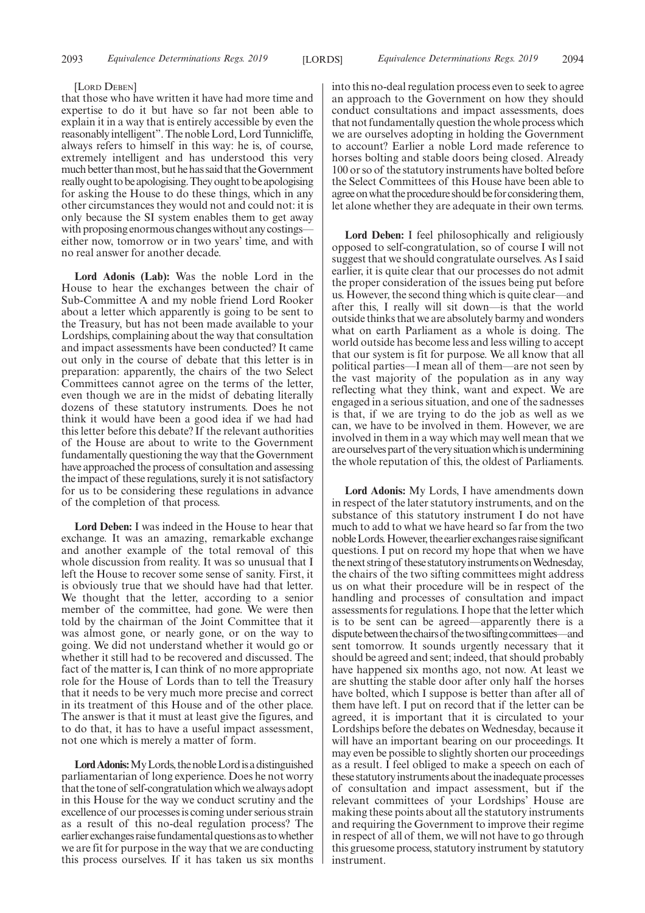#### [LORD DEBEN]

that those who have written it have had more time and expertise to do it but have so far not been able to explain it in a way that is entirely accessible by even the reasonably intelligent". The noble Lord, Lord Tunnicliffe, always refers to himself in this way: he is, of course, extremely intelligent and has understood this very much better than most, but he has said that the Government really ought to be apologising. They ought to be apologising for asking the House to do these things, which in any other circumstances they would not and could not: it is only because the SI system enables them to get away with proposing enormous changes without any costings either now, tomorrow or in two years' time, and with no real answer for another decade.

**Lord Adonis (Lab):** Was the noble Lord in the House to hear the exchanges between the chair of Sub-Committee A and my noble friend Lord Rooker about a letter which apparently is going to be sent to the Treasury, but has not been made available to your Lordships, complaining about the way that consultation and impact assessments have been conducted? It came out only in the course of debate that this letter is in preparation: apparently, the chairs of the two Select Committees cannot agree on the terms of the letter, even though we are in the midst of debating literally dozens of these statutory instruments. Does he not think it would have been a good idea if we had had this letter before this debate? If the relevant authorities of the House are about to write to the Government fundamentally questioning the way that the Government have approached the process of consultation and assessing the impact of these regulations, surely it is not satisfactory for us to be considering these regulations in advance of the completion of that process.

**Lord Deben:** I was indeed in the House to hear that exchange. It was an amazing, remarkable exchange and another example of the total removal of this whole discussion from reality. It was so unusual that I left the House to recover some sense of sanity. First, it is obviously true that we should have had that letter. We thought that the letter, according to a senior member of the committee, had gone. We were then told by the chairman of the Joint Committee that it was almost gone, or nearly gone, or on the way to going. We did not understand whether it would go or whether it still had to be recovered and discussed. The fact of the matter is, I can think of no more appropriate role for the House of Lords than to tell the Treasury that it needs to be very much more precise and correct in its treatment of this House and of the other place. The answer is that it must at least give the figures, and to do that, it has to have a useful impact assessment, not one which is merely a matter of form.

Lord Adonis: My Lords, the noble Lord is a distinguished parliamentarian of long experience. Does he not worry that the tone of self-congratulation which we always adopt in this House for the way we conduct scrutiny and the excellence of our processes is coming under serious strain as a result of this no-deal regulation process? The earlier exchanges raise fundamental questions as to whether we are fit for purpose in the way that we are conducting this process ourselves. If it has taken us six months

into this no-deal regulation process even to seek to agree an approach to the Government on how they should conduct consultations and impact assessments, does that not fundamentally question the whole process which we are ourselves adopting in holding the Government to account? Earlier a noble Lord made reference to horses bolting and stable doors being closed. Already 100 or so of the statutory instruments have bolted before the Select Committees of this House have been able to agree on what the procedure should be for considering them, let alone whether they are adequate in their own terms.

**Lord Deben:** I feel philosophically and religiously opposed to self-congratulation, so of course I will not suggest that we should congratulate ourselves. As I said earlier, it is quite clear that our processes do not admit the proper consideration of the issues being put before us. However, the second thing which is quite clear—and after this, I really will sit down—is that the world outside thinks that we are absolutely barmy and wonders what on earth Parliament as a whole is doing. The world outside has become less and less willing to accept that our system is fit for purpose. We all know that all political parties—I mean all of them—are not seen by the vast majority of the population as in any way reflecting what they think, want and expect. We are engaged in a serious situation, and one of the sadnesses is that, if we are trying to do the job as well as we can, we have to be involved in them. However, we are involved in them in a way which may well mean that we are ourselves part of the very situation which is undermining the whole reputation of this, the oldest of Parliaments.

**Lord Adonis:** My Lords, I have amendments down in respect of the later statutory instruments, and on the substance of this statutory instrument I do not have much to add to what we have heard so far from the two noble Lords. However, the earlier exchanges raise significant questions. I put on record my hope that when we have the next string of these statutory instruments on Wednesday, the chairs of the two sifting committees might address us on what their procedure will be in respect of the handling and processes of consultation and impact assessments for regulations. I hope that the letter which is to be sent can be agreed—apparently there is a dispute between the chairs of the two sifting committees—and sent tomorrow. It sounds urgently necessary that it should be agreed and sent; indeed, that should probably have happened six months ago, not now. At least we are shutting the stable door after only half the horses have bolted, which I suppose is better than after all of them have left. I put on record that if the letter can be agreed, it is important that it is circulated to your Lordships before the debates on Wednesday, because it will have an important bearing on our proceedings. It may even be possible to slightly shorten our proceedings as a result. I feel obliged to make a speech on each of these statutory instruments about the inadequate processes of consultation and impact assessment, but if the relevant committees of your Lordships' House are making these points about all the statutory instruments and requiring the Government to improve their regime in respect of all of them, we will not have to go through this gruesome process, statutory instrument by statutory instrument.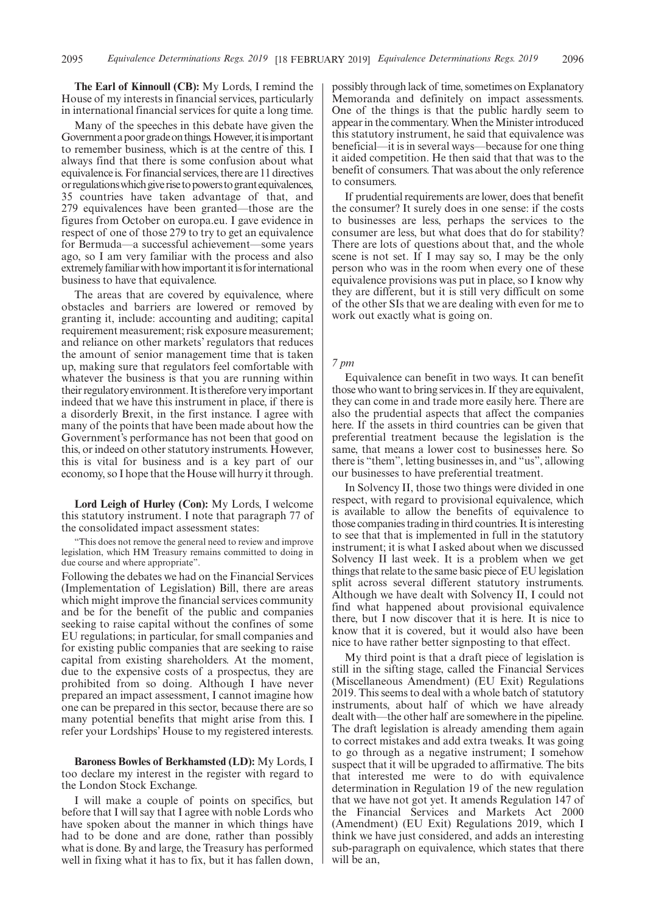**The Earl of Kinnoull (CB):** My Lords, I remind the House of my interests in financial services, particularly in international financial services for quite a long time.

Many of the speeches in this debate have given the Government a poor grade on things. However, it is important to remember business, which is at the centre of this. I always find that there is some confusion about what equivalence is. For financial services, there are 11 directives or regulations which give rise to powers to grant equivalences, 35 countries have taken advantage of that, and 279 equivalences have been granted—those are the figures from October on europa.eu. I gave evidence in respect of one of those 279 to try to get an equivalence for Bermuda—a successful achievement—some years ago, so I am very familiar with the process and also extremely familiar with how important it is for international business to have that equivalence.

The areas that are covered by equivalence, where obstacles and barriers are lowered or removed by granting it, include: accounting and auditing; capital requirement measurement; risk exposure measurement; and reliance on other markets' regulators that reduces the amount of senior management time that is taken up, making sure that regulators feel comfortable with whatever the business is that you are running within their regulatory environment. It is therefore very important indeed that we have this instrument in place, if there is a disorderly Brexit, in the first instance. I agree with many of the points that have been made about how the Government's performance has not been that good on this, or indeed on other statutory instruments. However, this is vital for business and is a key part of our economy, so I hope that the House will hurry it through.

**Lord Leigh of Hurley (Con):** My Lords, I welcome this statutory instrument. I note that paragraph 77 of the consolidated impact assessment states:

This does not remove the general need to review and improve legislation, which HM Treasury remains committed to doing in due course and where appropriate".

Following the debates we had on the Financial Services (Implementation of Legislation) Bill, there are areas which might improve the financial services community and be for the benefit of the public and companies seeking to raise capital without the confines of some EU regulations; in particular, for small companies and for existing public companies that are seeking to raise capital from existing shareholders. At the moment, due to the expensive costs of a prospectus, they are prohibited from so doing. Although I have never prepared an impact assessment, I cannot imagine how one can be prepared in this sector, because there are so many potential benefits that might arise from this. I refer your Lordships' House to my registered interests.

**Baroness Bowles of Berkhamsted (LD):** My Lords, I too declare my interest in the register with regard to the London Stock Exchange.

I will make a couple of points on specifics, but before that I will say that I agree with noble Lords who have spoken about the manner in which things have had to be done and are done, rather than possibly what is done. By and large, the Treasury has performed well in fixing what it has to fix, but it has fallen down, possibly through lack of time, sometimes on Explanatory Memoranda and definitely on impact assessments. One of the things is that the public hardly seem to appear in the commentary. When the Minister introduced this statutory instrument, he said that equivalence was beneficial—it is in several ways—because for one thing it aided competition. He then said that that was to the benefit of consumers. That was about the only reference to consumers.

If prudential requirements are lower, does that benefit the consumer? It surely does in one sense: if the costs to businesses are less, perhaps the services to the consumer are less, but what does that do for stability? There are lots of questions about that, and the whole scene is not set. If I may say so, I may be the only person who was in the room when every one of these equivalence provisions was put in place, so I know why they are different, but it is still very difficult on some of the other SIs that we are dealing with even for me to work out exactly what is going on.

### *7 pm*

Equivalence can benefit in two ways. It can benefit those who want to bring services in. If they are equivalent, they can come in and trade more easily here. There are also the prudential aspects that affect the companies here. If the assets in third countries can be given that preferential treatment because the legislation is the same, that means a lower cost to businesses here. So there is "them", letting businesses in, and "us", allowing our businesses to have preferential treatment.

In Solvency II, those two things were divided in one respect, with regard to provisional equivalence, which is available to allow the benefits of equivalence to those companies trading in third countries. It is interesting to see that that is implemented in full in the statutory instrument; it is what I asked about when we discussed Solvency II last week. It is a problem when we get things that relate to the same basic piece of EU legislation split across several different statutory instruments. Although we have dealt with Solvency II, I could not find what happened about provisional equivalence there, but I now discover that it is here. It is nice to know that it is covered, but it would also have been nice to have rather better signposting to that effect.

My third point is that a draft piece of legislation is still in the sifting stage, called the Financial Services (Miscellaneous Amendment) (EU Exit) Regulations 2019. This seems to deal with a whole batch of statutory instruments, about half of which we have already dealt with—the other half are somewhere in the pipeline. The draft legislation is already amending them again to correct mistakes and add extra tweaks. It was going to go through as a negative instrument; I somehow suspect that it will be upgraded to affirmative. The bits that interested me were to do with equivalence determination in Regulation 19 of the new regulation that we have not got yet. It amends Regulation 147 of the Financial Services and Markets Act 2000 (Amendment) (EU Exit) Regulations 2019, which I think we have just considered, and adds an interesting sub-paragraph on equivalence, which states that there will be an.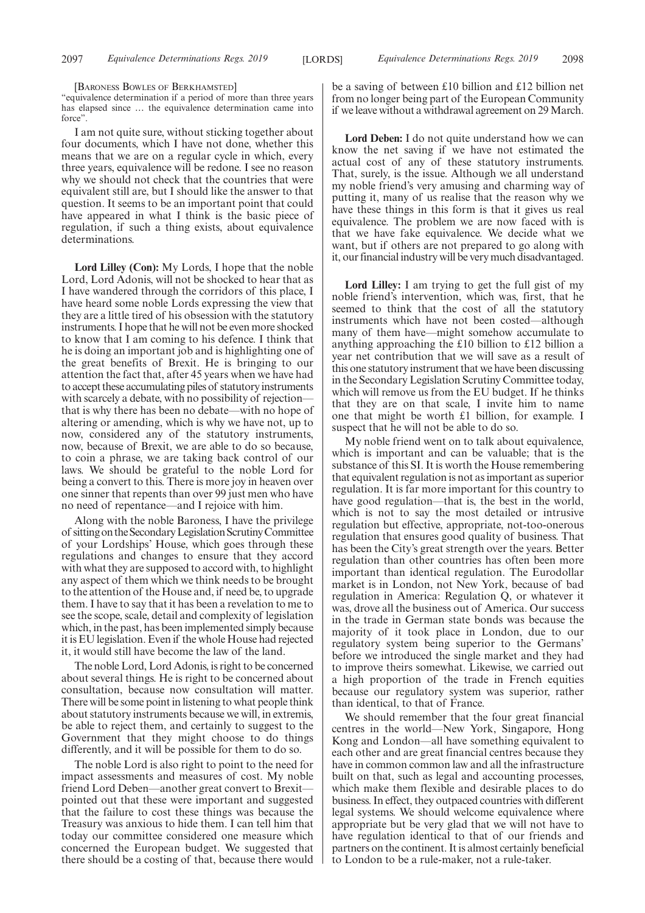[BARONESS BOWLES OF BERKHAMSTED]

"equivalence determination if a period of more than three years has elapsed since … the equivalence determination came into force".

I am not quite sure, without sticking together about four documents, which I have not done, whether this means that we are on a regular cycle in which, every three years, equivalence will be redone. I see no reason why we should not check that the countries that were equivalent still are, but I should like the answer to that question. It seems to be an important point that could have appeared in what I think is the basic piece of regulation, if such a thing exists, about equivalence determinations.

**Lord Lilley (Con):** My Lords, I hope that the noble Lord, Lord Adonis, will not be shocked to hear that as I have wandered through the corridors of this place, I have heard some noble Lords expressing the view that they are a little tired of his obsession with the statutory instruments. I hope that he will not be even more shocked to know that I am coming to his defence. I think that he is doing an important job and is highlighting one of the great benefits of Brexit. He is bringing to our attention the fact that, after 45 years when we have had to accept these accumulating piles of statutory instruments with scarcely a debate, with no possibility of rejection that is why there has been no debate—with no hope of altering or amending, which is why we have not, up to now, considered any of the statutory instruments, now, because of Brexit, we are able to do so because, to coin a phrase, we are taking back control of our laws. We should be grateful to the noble Lord for being a convert to this. There is more joy in heaven over one sinner that repents than over 99 just men who have no need of repentance—and I rejoice with him.

Along with the noble Baroness, I have the privilege of sittingontheSecondaryLegislationScrutinyCommittee of your Lordships' House, which goes through these regulations and changes to ensure that they accord with what they are supposed to accord with, to highlight any aspect of them which we think needs to be brought to the attention of the House and, if need be, to upgrade them. I have to say that it has been a revelation to me to see the scope, scale, detail and complexity of legislation which, in the past, has been implemented simply because it is EU legislation. Even if the whole House had rejected it, it would still have become the law of the land.

The noble Lord, Lord Adonis, is right to be concerned about several things. He is right to be concerned about consultation, because now consultation will matter. There will be some point in listening to what people think about statutory instruments because we will, in extremis, be able to reject them, and certainly to suggest to the Government that they might choose to do things differently, and it will be possible for them to do so.

The noble Lord is also right to point to the need for impact assessments and measures of cost. My noble friend Lord Deben—another great convert to Brexit pointed out that these were important and suggested that the failure to cost these things was because the Treasury was anxious to hide them. I can tell him that today our committee considered one measure which concerned the European budget. We suggested that there should be a costing of that, because there would

be a saving of between £10 billion and £12 billion net from no longer being part of the European Community if we leave without a withdrawal agreement on 29 March.

**Lord Deben:** I do not quite understand how we can know the net saving if we have not estimated the actual cost of any of these statutory instruments. That, surely, is the issue. Although we all understand my noble friend's very amusing and charming way of putting it, many of us realise that the reason why we have these things in this form is that it gives us real equivalence. The problem we are now faced with is that we have fake equivalence. We decide what we want, but if others are not prepared to go along with it, our financial industry will be very much disadvantaged.

**Lord Lilley:** I am trying to get the full gist of my noble friend's intervention, which was, first, that he seemed to think that the cost of all the statutory instruments which have not been costed—although many of them have—might somehow accumulate to anything approaching the £10 billion to £12 billion a year net contribution that we will save as a result of this one statutory instrument that we have been discussing in the Secondary Legislation Scrutiny Committee today, which will remove us from the EU budget. If he thinks that they are on that scale, I invite him to name one that might be worth £1 billion, for example. I suspect that he will not be able to do so.

My noble friend went on to talk about equivalence, which is important and can be valuable; that is the substance of this SI. It is worth the House remembering that equivalent regulation is not as important as superior regulation. It is far more important for this country to have good regulation—that is, the best in the world, which is not to say the most detailed or intrusive regulation but effective, appropriate, not-too-onerous regulation that ensures good quality of business. That has been the City's great strength over the years. Better regulation than other countries has often been more important than identical regulation. The Eurodollar market is in London, not New York, because of bad regulation in America: Regulation Q, or whatever it was, drove all the business out of America. Our success in the trade in German state bonds was because the majority of it took place in London, due to our regulatory system being superior to the Germans' before we introduced the single market and they had to improve theirs somewhat. Likewise, we carried out a high proportion of the trade in French equities because our regulatory system was superior, rather than identical, to that of France.

We should remember that the four great financial centres in the world—New York, Singapore, Hong Kong and London—all have something equivalent to each other and are great financial centres because they have in common common law and all the infrastructure built on that, such as legal and accounting processes, which make them flexible and desirable places to do business. In effect, they outpaced countries with different legal systems. We should welcome equivalence where appropriate but be very glad that we will not have to have regulation identical to that of our friends and partners on the continent. It is almost certainly beneficial to London to be a rule-maker, not a rule-taker.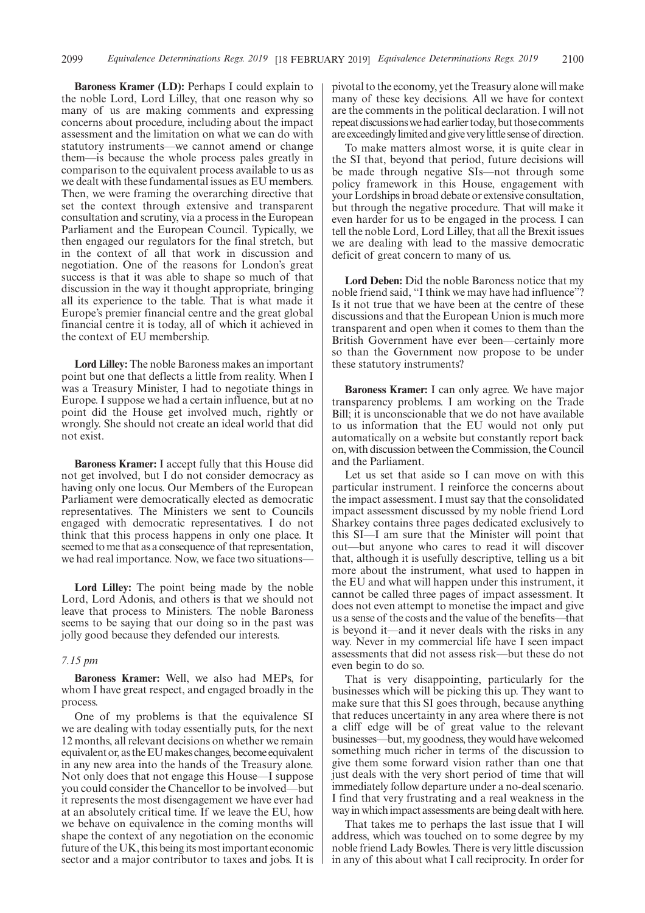**Baroness Kramer (LD):** Perhaps I could explain to the noble Lord, Lord Lilley, that one reason why so many of us are making comments and expressing concerns about procedure, including about the impact assessment and the limitation on what we can do with statutory instruments—we cannot amend or change them—is because the whole process pales greatly in comparison to the equivalent process available to us as we dealt with these fundamental issues as EU members. Then, we were framing the overarching directive that set the context through extensive and transparent consultation and scrutiny, via a process in the European Parliament and the European Council. Typically, we then engaged our regulators for the final stretch, but in the context of all that work in discussion and negotiation. One of the reasons for London's great success is that it was able to shape so much of that discussion in the way it thought appropriate, bringing all its experience to the table. That is what made it Europe's premier financial centre and the great global financial centre it is today, all of which it achieved in the context of EU membership.

**Lord Lilley:** The noble Baroness makes an important point but one that deflects a little from reality. When I was a Treasury Minister, I had to negotiate things in Europe. I suppose we had a certain influence, but at no point did the House get involved much, rightly or wrongly. She should not create an ideal world that did not exist.

**Baroness Kramer:** I accept fully that this House did not get involved, but I do not consider democracy as having only one locus. Our Members of the European Parliament were democratically elected as democratic representatives. The Ministers we sent to Councils engaged with democratic representatives. I do not think that this process happens in only one place. It seemed to me that as a consequence of that representation, we had real importance. Now, we face two situations—

**Lord Lilley:** The point being made by the noble Lord, Lord Adonis, and others is that we should not leave that process to Ministers. The noble Baroness seems to be saying that our doing so in the past was jolly good because they defended our interests.

### *7.15 pm*

**Baroness Kramer:** Well, we also had MEPs, for whom I have great respect, and engaged broadly in the process.

One of my problems is that the equivalence SI we are dealing with today essentially puts, for the next 12 months, all relevant decisions on whether we remain equivalent or, as the EU makes changes, become equivalent in any new area into the hands of the Treasury alone. Not only does that not engage this House—I suppose you could consider the Chancellor to be involved—but it represents the most disengagement we have ever had at an absolutely critical time. If we leave the EU, how we behave on equivalence in the coming months will shape the context of any negotiation on the economic future of the UK, this being its most important economic sector and a major contributor to taxes and jobs. It is pivotal to the economy, yet the Treasury alone will make many of these key decisions. All we have for context are the comments in the political declaration. I will not repeat discussions we had earlier today, but those comments are exceedingly limited and give very little sense of direction.

To make matters almost worse, it is quite clear in the SI that, beyond that period, future decisions will be made through negative SIs—not through some policy framework in this House, engagement with your Lordships in broad debate or extensive consultation, but through the negative procedure. That will make it even harder for us to be engaged in the process. I can tell the noble Lord, Lord Lilley, that all the Brexit issues we are dealing with lead to the massive democratic deficit of great concern to many of us.

**Lord Deben:** Did the noble Baroness notice that my noble friend said, "I think we may have had influence"? Is it not true that we have been at the centre of these discussions and that the European Union is much more transparent and open when it comes to them than the British Government have ever been—certainly more so than the Government now propose to be under these statutory instruments?

**Baroness Kramer:** I can only agree. We have major transparency problems. I am working on the Trade Bill; it is unconscionable that we do not have available to us information that the EU would not only put automatically on a website but constantly report back on, with discussion between the Commission, the Council and the Parliament.

Let us set that aside so I can move on with this particular instrument. I reinforce the concerns about the impact assessment. I must say that the consolidated impact assessment discussed by my noble friend Lord Sharkey contains three pages dedicated exclusively to this SI—I am sure that the Minister will point that out—but anyone who cares to read it will discover that, although it is usefully descriptive, telling us a bit more about the instrument, what used to happen in the EU and what will happen under this instrument, it cannot be called three pages of impact assessment. It does not even attempt to monetise the impact and give us a sense of the costs and the value of the benefits—that is beyond it—and it never deals with the risks in any way. Never in my commercial life have I seen impact assessments that did not assess risk—but these do not even begin to do so.

That is very disappointing, particularly for the businesses which will be picking this up. They want to make sure that this SI goes through, because anything that reduces uncertainty in any area where there is not a cliff edge will be of great value to the relevant businesses—but, my goodness, they would have welcomed something much richer in terms of the discussion to give them some forward vision rather than one that just deals with the very short period of time that will immediately follow departure under a no-deal scenario. I find that very frustrating and a real weakness in the way in which impact assessments are being dealt with here.

That takes me to perhaps the last issue that I will address, which was touched on to some degree by my noble friend Lady Bowles. There is very little discussion in any of this about what I call reciprocity. In order for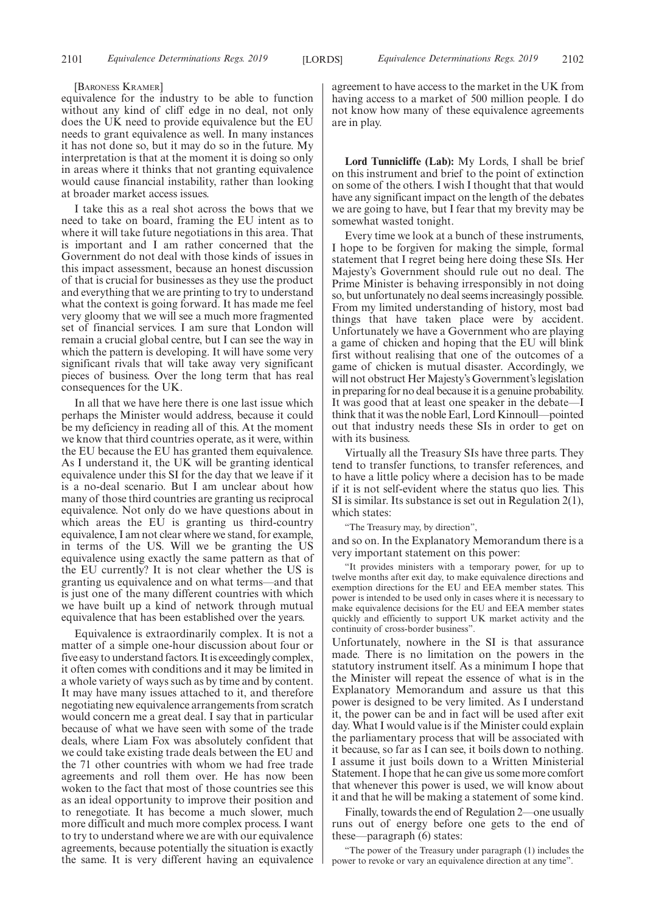#### [BARONESS KRAMER]

equivalence for the industry to be able to function without any kind of cliff edge in no deal, not only does the UK need to provide equivalence but the EU needs to grant equivalence as well. In many instances it has not done so, but it may do so in the future. My interpretation is that at the moment it is doing so only in areas where it thinks that not granting equivalence would cause financial instability, rather than looking at broader market access issues.

I take this as a real shot across the bows that we need to take on board, framing the EU intent as to where it will take future negotiations in this area. That is important and I am rather concerned that the Government do not deal with those kinds of issues in this impact assessment, because an honest discussion of that is crucial for businesses as they use the product and everything that we are printing to try to understand what the context is going forward. It has made me feel very gloomy that we will see a much more fragmented set of financial services. I am sure that London will remain a crucial global centre, but I can see the way in which the pattern is developing. It will have some very significant rivals that will take away very significant pieces of business. Over the long term that has real consequences for the UK.

In all that we have here there is one last issue which perhaps the Minister would address, because it could be my deficiency in reading all of this. At the moment we know that third countries operate, as it were, within the EU because the EU has granted them equivalence. As I understand it, the UK will be granting identical equivalence under this SI for the day that we leave if it is a no-deal scenario. But I am unclear about how many of those third countries are granting us reciprocal equivalence. Not only do we have questions about in which areas the EU is granting us third-country equivalence, I am not clear where we stand, for example, in terms of the US. Will we be granting the US equivalence using exactly the same pattern as that of the EU currently? It is not clear whether the US is granting us equivalence and on what terms—and that is just one of the many different countries with which we have built up a kind of network through mutual equivalence that has been established over the years.

Equivalence is extraordinarily complex. It is not a matter of a simple one-hour discussion about four or five easy to understand factors. It is exceedingly complex, it often comes with conditions and it may be limited in a whole variety of ways such as by time and by content. It may have many issues attached to it, and therefore negotiating new equivalence arrangements from scratch would concern me a great deal. I say that in particular because of what we have seen with some of the trade deals, where Liam Fox was absolutely confident that we could take existing trade deals between the EU and the 71 other countries with whom we had free trade agreements and roll them over. He has now been woken to the fact that most of those countries see this as an ideal opportunity to improve their position and to renegotiate. It has become a much slower, much more difficult and much more complex process. I want to try to understand where we are with our equivalence agreements, because potentially the situation is exactly the same. It is very different having an equivalence agreement to have access to the market in the UK from having access to a market of 500 million people. I do not know how many of these equivalence agreements are in play.

**Lord Tunnicliffe (Lab):** My Lords, I shall be brief on this instrument and brief to the point of extinction on some of the others. I wish I thought that that would have any significant impact on the length of the debates we are going to have, but I fear that my brevity may be somewhat wasted tonight.

Every time we look at a bunch of these instruments, I hope to be forgiven for making the simple, formal statement that I regret being here doing these SIs. Her Majesty's Government should rule out no deal. The Prime Minister is behaving irresponsibly in not doing so, but unfortunately no deal seems increasingly possible. From my limited understanding of history, most bad things that have taken place were by accident. Unfortunately we have a Government who are playing a game of chicken and hoping that the EU will blink first without realising that one of the outcomes of a game of chicken is mutual disaster. Accordingly, we will not obstruct Her Majesty's Government's legislation in preparing for no deal because it is a genuine probability. It was good that at least one speaker in the debate—I think that it was the noble Earl, Lord Kinnoull—pointed out that industry needs these SIs in order to get on with its business.

Virtually all the Treasury SIs have three parts. They tend to transfer functions, to transfer references, and to have a little policy where a decision has to be made if it is not self-evident where the status quo lies. This SI is similar. Its substance is set out in Regulation 2(1), which states:

"The Treasury may, by direction",

and so on. In the Explanatory Memorandum there is a very important statement on this power:

"It provides ministers with a temporary power, for up to twelve months after exit day, to make equivalence directions and exemption directions for the EU and EEA member states. This power is intended to be used only in cases where it is necessary to make equivalence decisions for the EU and EEA member states quickly and efficiently to support UK market activity and the continuity of cross-border business".

Unfortunately, nowhere in the SI is that assurance made. There is no limitation on the powers in the statutory instrument itself. As a minimum I hope that the Minister will repeat the essence of what is in the Explanatory Memorandum and assure us that this power is designed to be very limited. As I understand it, the power can be and in fact will be used after exit day. What I would value is if the Minister could explain the parliamentary process that will be associated with it because, so far as I can see, it boils down to nothing. I assume it just boils down to a Written Ministerial Statement. I hope that he can give us some more comfort that whenever this power is used, we will know about it and that he will be making a statement of some kind.

Finally, towards the end of Regulation 2—one usually runs out of energy before one gets to the end of these—paragraph (6) states:

"The power of the Treasury under paragraph (1) includes the power to revoke or vary an equivalence direction at any time".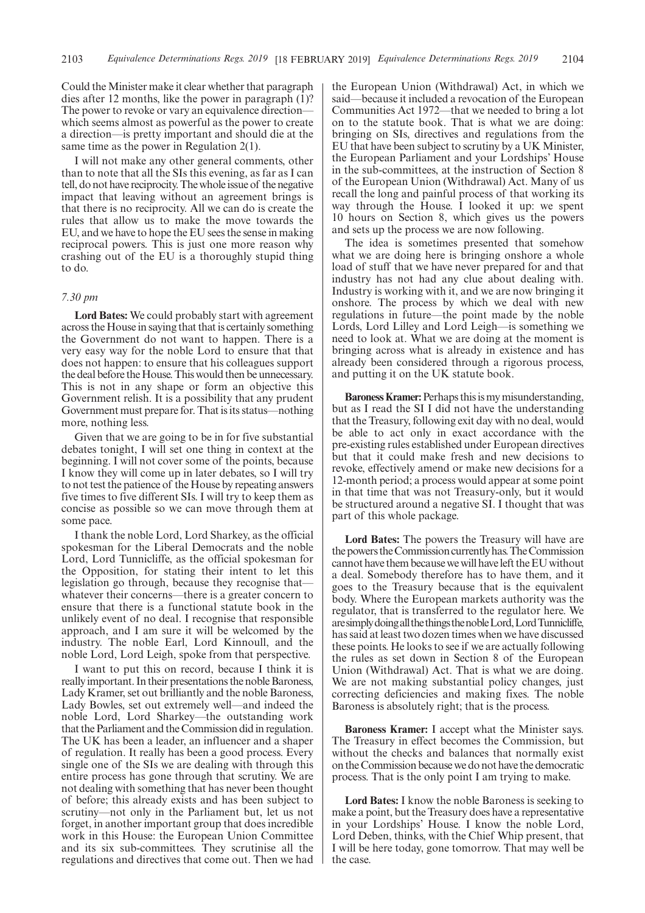Could the Minister make it clear whether that paragraph dies after 12 months, like the power in paragraph (1)? The power to revoke or vary an equivalence direction which seems almost as powerful as the power to create a direction—is pretty important and should die at the same time as the power in Regulation 2(1).

I will not make any other general comments, other than to note that all the SIs this evening, as far as I can tell, do not have reciprocity. The whole issue of the negative impact that leaving without an agreement brings is that there is no reciprocity. All we can do is create the rules that allow us to make the move towards the EU, and we have to hope the EU sees the sense in making reciprocal powers. This is just one more reason why crashing out of the EU is a thoroughly stupid thing to do.

### *7.30 pm*

**Lord Bates:** We could probably start with agreement across the House in saying that that is certainly something the Government do not want to happen. There is a very easy way for the noble Lord to ensure that that does not happen: to ensure that his colleagues support the deal before the House. This would then be unnecessary. This is not in any shape or form an objective this Government relish. It is a possibility that any prudent Government must prepare for. That is its status—nothing more, nothing less.

Given that we are going to be in for five substantial debates tonight, I will set one thing in context at the beginning. I will not cover some of the points, because I know they will come up in later debates, so I will try to not test the patience of the House by repeating answers five times to five different SIs. I will try to keep them as concise as possible so we can move through them at some pace.

I thank the noble Lord, Lord Sharkey, as the official spokesman for the Liberal Democrats and the noble Lord, Lord Tunnicliffe, as the official spokesman for the Opposition, for stating their intent to let this legislation go through, because they recognise that whatever their concerns—there is a greater concern to ensure that there is a functional statute book in the unlikely event of no deal. I recognise that responsible approach, and I am sure it will be welcomed by the industry. The noble Earl, Lord Kinnoull, and the noble Lord, Lord Leigh, spoke from that perspective.

I want to put this on record, because I think it is really important. In their presentations the noble Baroness, Lady Kramer, set out brilliantly and the noble Baroness, Lady Bowles, set out extremely well—and indeed the noble Lord, Lord Sharkey—the outstanding work that the Parliament and the Commission did in regulation. The UK has been a leader, an influencer and a shaper of regulation. It really has been a good process. Every single one of the SIs we are dealing with through this entire process has gone through that scrutiny. We are not dealing with something that has never been thought of before; this already exists and has been subject to scrutiny—not only in the Parliament but, let us not forget, in another important group that does incredible work in this House: the European Union Committee and its six sub-committees. They scrutinise all the regulations and directives that come out. Then we had the European Union (Withdrawal) Act, in which we said—because it included a revocation of the European Communities Act 1972—that we needed to bring a lot on to the statute book. That is what we are doing: bringing on SIs, directives and regulations from the EU that have been subject to scrutiny by a UK Minister, the European Parliament and your Lordships' House in the sub-committees, at the instruction of Section 8 of the European Union (Withdrawal) Act. Many of us recall the long and painful process of that working its way through the House. I looked it up: we spent 10 hours on Section 8, which gives us the powers and sets up the process we are now following.

The idea is sometimes presented that somehow what we are doing here is bringing onshore a whole load of stuff that we have never prepared for and that industry has not had any clue about dealing with. Industry is working with it, and we are now bringing it onshore. The process by which we deal with new regulations in future—the point made by the noble Lords, Lord Lilley and Lord Leigh—is something we need to look at. What we are doing at the moment is bringing across what is already in existence and has already been considered through a rigorous process, and putting it on the UK statute book.

**Baroness Kramer:**Perhaps this is my misunderstanding, but as I read the SI I did not have the understanding that the Treasury, following exit day with no deal, would be able to act only in exact accordance with the pre-existing rules established under European directives but that it could make fresh and new decisions to revoke, effectively amend or make new decisions for a 12-month period; a process would appear at some point in that time that was not Treasury-only, but it would be structured around a negative SI. I thought that was part of this whole package.

**Lord Bates:** The powers the Treasury will have are the powers the Commission currently has. The Commission cannot have them because we will have left the EU without a deal. Somebody therefore has to have them, and it goes to the Treasury because that is the equivalent body. Where the European markets authority was the regulator, that is transferred to the regulator here. We aresimplydoingallthethingsthenobleLord,LordTunnicliffe, has said at least two dozen times when we have discussed these points. He looks to see if we are actually following the rules as set down in Section 8 of the European Union (Withdrawal) Act. That is what we are doing. We are not making substantial policy changes, just correcting deficiencies and making fixes. The noble Baroness is absolutely right; that is the process.

**Baroness Kramer:** I accept what the Minister says. The Treasury in effect becomes the Commission, but without the checks and balances that normally exist on the Commission because we do not have the democratic process. That is the only point I am trying to make.

**Lord Bates:** I know the noble Baroness is seeking to make a point, but the Treasury does have a representative in your Lordships' House. I know the noble Lord, Lord Deben, thinks, with the Chief Whip present, that I will be here today, gone tomorrow. That may well be the case.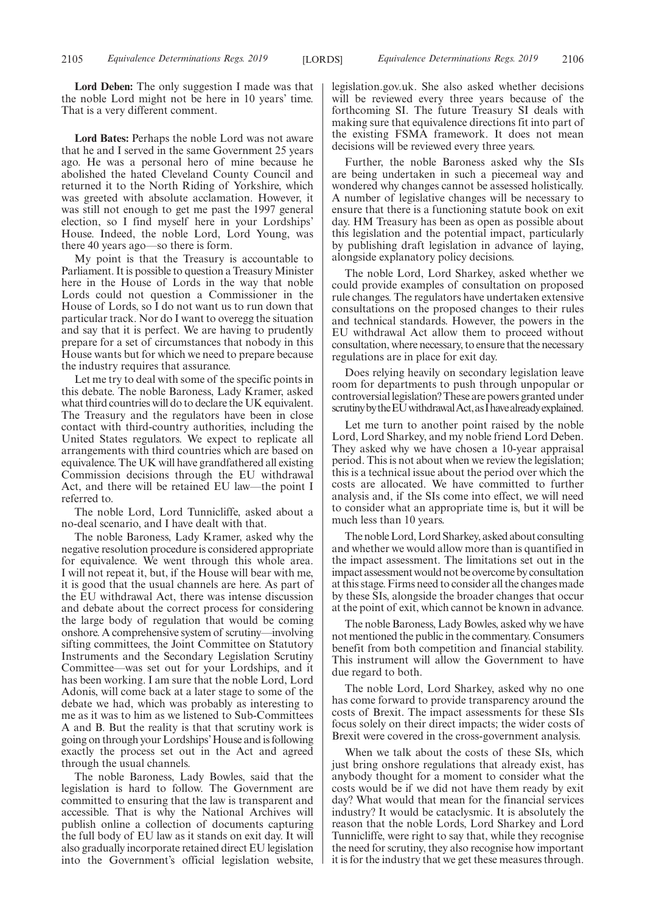**Lord Deben:** The only suggestion I made was that the noble Lord might not be here in 10 years' time. That is a very different comment.

**Lord Bates:** Perhaps the noble Lord was not aware that he and I served in the same Government 25 years ago. He was a personal hero of mine because he abolished the hated Cleveland County Council and returned it to the North Riding of Yorkshire, which was greeted with absolute acclamation. However, it was still not enough to get me past the 1997 general election, so I find myself here in your Lordships' House. Indeed, the noble Lord, Lord Young, was there 40 years ago—so there is form.

My point is that the Treasury is accountable to Parliament. It is possible to question a Treasury Minister here in the House of Lords in the way that noble Lords could not question a Commissioner in the House of Lords, so I do not want us to run down that particular track. Nor do I want to overegg the situation and say that it is perfect. We are having to prudently prepare for a set of circumstances that nobody in this House wants but for which we need to prepare because the industry requires that assurance.

Let me try to deal with some of the specific points in this debate. The noble Baroness, Lady Kramer, asked what third countries will do to declare the UK equivalent. The Treasury and the regulators have been in close contact with third-country authorities, including the United States regulators. We expect to replicate all arrangements with third countries which are based on equivalence. The UK will have grandfathered all existing Commission decisions through the EU withdrawal Act, and there will be retained EU law—the point I referred to.

The noble Lord, Lord Tunnicliffe, asked about a no-deal scenario, and I have dealt with that.

The noble Baroness, Lady Kramer, asked why the negative resolution procedure is considered appropriate for equivalence. We went through this whole area. I will not repeat it, but, if the House will bear with me, it is good that the usual channels are here. As part of the EU withdrawal Act, there was intense discussion and debate about the correct process for considering the large body of regulation that would be coming onshore. A comprehensive system of scrutiny—involving sifting committees, the Joint Committee on Statutory Instruments and the Secondary Legislation Scrutiny Committee—was set out for your Lordships, and it has been working. I am sure that the noble Lord, Lord Adonis, will come back at a later stage to some of the debate we had, which was probably as interesting to me as it was to him as we listened to Sub-Committees A and B. But the reality is that that scrutiny work is going on through your Lordships'House and is following exactly the process set out in the Act and agreed through the usual channels.

The noble Baroness, Lady Bowles, said that the legislation is hard to follow. The Government are committed to ensuring that the law is transparent and accessible. That is why the National Archives will publish online a collection of documents capturing the full body of EU law as it stands on exit day. It will also gradually incorporate retained direct EU legislation into the Government's official legislation website, legislation.gov.uk. She also asked whether decisions will be reviewed every three years because of the forthcoming SI. The future Treasury SI deals with making sure that equivalence directions fit into part of the existing FSMA framework. It does not mean decisions will be reviewed every three years.

Further, the noble Baroness asked why the SIs are being undertaken in such a piecemeal way and wondered why changes cannot be assessed holistically. A number of legislative changes will be necessary to ensure that there is a functioning statute book on exit day. HM Treasury has been as open as possible about this legislation and the potential impact, particularly by publishing draft legislation in advance of laying, alongside explanatory policy decisions.

The noble Lord, Lord Sharkey, asked whether we could provide examples of consultation on proposed rule changes. The regulators have undertaken extensive consultations on the proposed changes to their rules and technical standards. However, the powers in the EU withdrawal Act allow them to proceed without consultation, where necessary, to ensure that the necessary regulations are in place for exit day.

Does relying heavily on secondary legislation leave room for departments to push through unpopular or controversial legislation? These are powers granted under scrutiny by the EU withdrawal Act, as I have already explained.

Let me turn to another point raised by the noble Lord, Lord Sharkey, and my noble friend Lord Deben. They asked why we have chosen a 10-year appraisal period. This is not about when we review the legislation; this is a technical issue about the period over which the costs are allocated. We have committed to further analysis and, if the SIs come into effect, we will need to consider what an appropriate time is, but it will be much less than 10 years.

The noble Lord, Lord Sharkey, asked about consulting and whether we would allow more than is quantified in the impact assessment. The limitations set out in the impact assessment would not be overcome by consultation at this stage. Firms need to consider all the changes made by these SIs, alongside the broader changes that occur at the point of exit, which cannot be known in advance.

The noble Baroness, Lady Bowles, asked why we have not mentioned the public in the commentary. Consumers benefit from both competition and financial stability. This instrument will allow the Government to have due regard to both.

The noble Lord, Lord Sharkey, asked why no one has come forward to provide transparency around the costs of Brexit. The impact assessments for these SIs focus solely on their direct impacts; the wider costs of Brexit were covered in the cross-government analysis.

When we talk about the costs of these SIs, which just bring onshore regulations that already exist, has anybody thought for a moment to consider what the costs would be if we did not have them ready by exit day? What would that mean for the financial services industry? It would be cataclysmic. It is absolutely the reason that the noble Lords, Lord Sharkey and Lord Tunnicliffe, were right to say that, while they recognise the need for scrutiny, they also recognise how important it is for the industry that we get these measures through.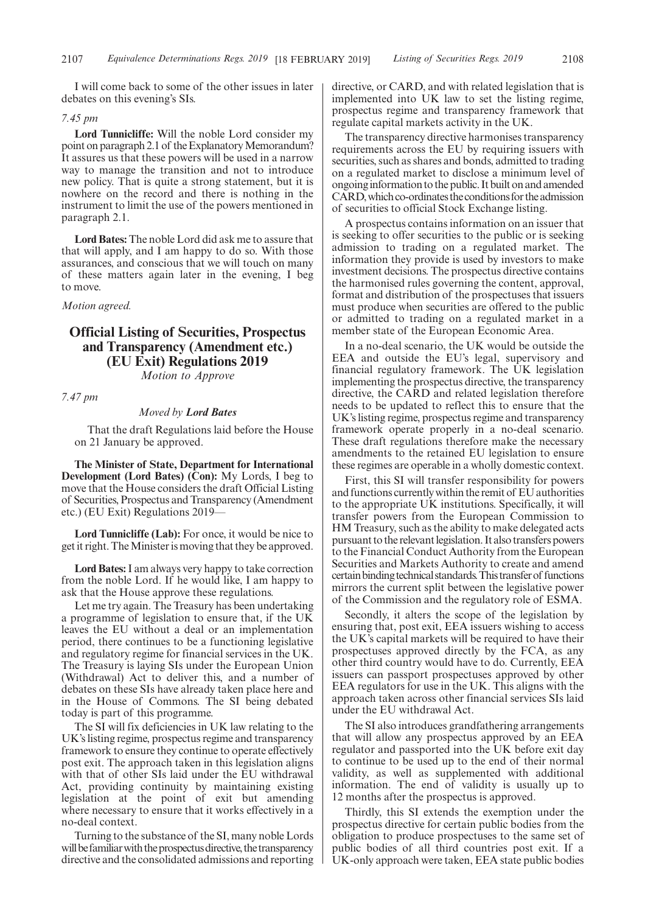I will come back to some of the other issues in later debates on this evening's SIs.

### *7.45 pm*

**Lord Tunnicliffe:** Will the noble Lord consider my point on paragraph 2.1 of the Explanatory Memorandum? It assures us that these powers will be used in a narrow way to manage the transition and not to introduce new policy. That is quite a strong statement, but it is nowhere on the record and there is nothing in the instrument to limit the use of the powers mentioned in paragraph 2.1.

**Lord Bates:** The noble Lord did ask me to assure that that will apply, and I am happy to do so. With those assurances, and conscious that we will touch on many of these matters again later in the evening, I beg to move.

*Motion agreed.*

### **Official Listing of Securities, Prospectus and Transparency (Amendment etc.) (EU Exit) Regulations 2019** *Motion to Approve*

*7.47 pm*

### *Moved by Lord Bates*

That the draft Regulations laid before the House on 21 January be approved.

**The Minister of State, Department for International Development (Lord Bates) (Con):** My Lords, I beg to move that the House considers the draft Official Listing of Securities, Prospectus and Transparency (Amendment etc.) (EU Exit) Regulations 2019—

**Lord Tunnicliffe (Lab):** For once, it would be nice to get it right. The Minister is moving that they be approved.

**Lord Bates:**I am always very happy to take correction from the noble Lord. If he would like, I am happy to ask that the House approve these regulations.

Let me try again. The Treasury has been undertaking a programme of legislation to ensure that, if the UK leaves the EU without a deal or an implementation period, there continues to be a functioning legislative and regulatory regime for financial services in the UK. The Treasury is laying SIs under the European Union (Withdrawal) Act to deliver this, and a number of debates on these SIs have already taken place here and in the House of Commons. The SI being debated today is part of this programme.

The SI will fix deficiencies in UK law relating to the UK's listing regime, prospectus regime and transparency framework to ensure they continue to operate effectively post exit. The approach taken in this legislation aligns with that of other SIs laid under the EU withdrawal Act, providing continuity by maintaining existing legislation at the point of exit but amending where necessary to ensure that it works effectively in a no-deal context.

Turning to the substance of the SI, many noble Lords will be familiar with the prospectus directive, the transparency directive and the consolidated admissions and reporting directive, or CARD, and with related legislation that is implemented into UK law to set the listing regime, prospectus regime and transparency framework that regulate capital markets activity in the UK.

The transparency directive harmonises transparency requirements across the EU by requiring issuers with securities, such as shares and bonds, admitted to trading on a regulated market to disclose a minimum level of ongoing information to the public. It built on and amended CARD, which co-ordinates the conditions for the admission of securities to official Stock Exchange listing.

A prospectus contains information on an issuer that is seeking to offer securities to the public or is seeking admission to trading on a regulated market. The information they provide is used by investors to make investment decisions. The prospectus directive contains the harmonised rules governing the content, approval, format and distribution of the prospectuses that issuers must produce when securities are offered to the public or admitted to trading on a regulated market in a member state of the European Economic Area.

In a no-deal scenario, the UK would be outside the EEA and outside the EU's legal, supervisory and financial regulatory framework. The UK legislation implementing the prospectus directive, the transparency directive, the CARD and related legislation therefore needs to be updated to reflect this to ensure that the UK's listing regime, prospectus regime and transparency framework operate properly in a no-deal scenario. These draft regulations therefore make the necessary amendments to the retained EU legislation to ensure these regimes are operable in a wholly domestic context.

First, this SI will transfer responsibility for powers and functions currently within the remit of EU authorities to the appropriate UK institutions. Specifically, it will transfer powers from the European Commission to HM Treasury, such as the ability to make delegated acts pursuant to the relevant legislation. It also transfers powers to the Financial Conduct Authority from the European Securities and Markets Authority to create and amend certainbindingtechnicalstandards.Thistransferof functions mirrors the current split between the legislative power of the Commission and the regulatory role of ESMA.

Secondly, it alters the scope of the legislation by ensuring that, post exit, EEA issuers wishing to access the UK's capital markets will be required to have their prospectuses approved directly by the FCA, as any other third country would have to do. Currently, EEA issuers can passport prospectuses approved by other EEA regulators for use in the UK. This aligns with the approach taken across other financial services SIs laid under the EU withdrawal Act.

The SI also introduces grandfathering arrangements that will allow any prospectus approved by an EEA regulator and passported into the UK before exit day to continue to be used up to the end of their normal validity, as well as supplemented with additional information. The end of validity is usually up to 12 months after the prospectus is approved.

Thirdly, this SI extends the exemption under the prospectus directive for certain public bodies from the obligation to produce prospectuses to the same set of public bodies of all third countries post exit. If a UK-only approach were taken, EEA state public bodies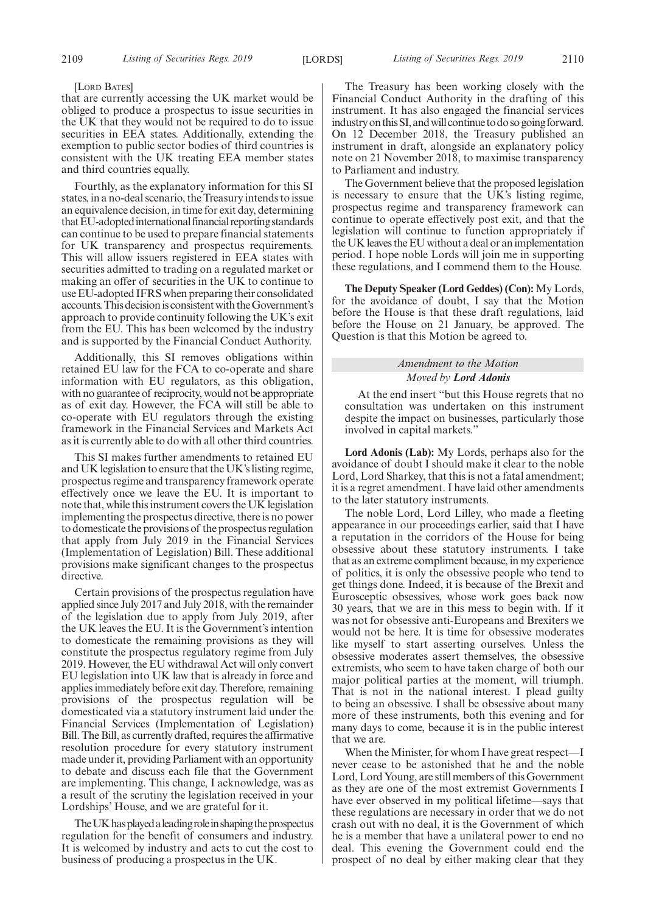#### [LORD BATES]

that are currently accessing the UK market would be obliged to produce a prospectus to issue securities in the UK that they would not be required to do to issue securities in EEA states. Additionally, extending the exemption to public sector bodies of third countries is consistent with the UK treating EEA member states and third countries equally.

Fourthly, as the explanatory information for this SI states, in a no-deal scenario, the Treasury intends to issue an equivalence decision, in time for exit day, determining that EU-adopted international financial reporting standards can continue to be used to prepare financial statements for UK transparency and prospectus requirements. This will allow issuers registered in EEA states with securities admitted to trading on a regulated market or making an offer of securities in the UK to continue to use EU-adopted IFRS when preparing their consolidated accounts. This decision is consistent with the Government's approach to provide continuity following the UK's exit from the EU. This has been welcomed by the industry and is supported by the Financial Conduct Authority.

Additionally, this SI removes obligations within retained EU law for the FCA to co-operate and share information with EU regulators, as this obligation, with no guarantee of reciprocity, would not be appropriate as of exit day. However, the FCA will still be able to co-operate with EU regulators through the existing framework in the Financial Services and Markets Act as it is currently able to do with all other third countries.

This SI makes further amendments to retained EU and UK legislation to ensure that the UK's listing regime, prospectus regime and transparency framework operate effectively once we leave the EU. It is important to note that, while this instrument covers the UK legislation implementing the prospectus directive, there is no power to domesticate the provisions of the prospectus regulation that apply from July 2019 in the Financial Services (Implementation of Legislation) Bill. These additional provisions make significant changes to the prospectus directive.

Certain provisions of the prospectus regulation have applied since July 2017 and July 2018, with the remainder of the legislation due to apply from July 2019, after the UK leaves the EU. It is the Government's intention to domesticate the remaining provisions as they will constitute the prospectus regulatory regime from July 2019. However, the EU withdrawal Act will only convert EU legislation into UK law that is already in force and applies immediately before exit day. Therefore, remaining provisions of the prospectus regulation will be domesticated via a statutory instrument laid under the Financial Services (Implementation of Legislation) Bill. The Bill, as currently drafted, requires the affirmative resolution procedure for every statutory instrument made under it, providing Parliament with an opportunity to debate and discuss each file that the Government are implementing. This change, I acknowledge, was as a result of the scrutiny the legislation received in your Lordships' House, and we are grateful for it.

The UK has played a leading role in shaping the prospectus regulation for the benefit of consumers and industry. It is welcomed by industry and acts to cut the cost to business of producing a prospectus in the UK.

The Treasury has been working closely with the Financial Conduct Authority in the drafting of this instrument. It has also engaged the financial services industry on this SI, and will continue to do so going forward. On 12 December 2018, the Treasury published an instrument in draft, alongside an explanatory policy note on 21 November 2018, to maximise transparency to Parliament and industry.

The Government believe that the proposed legislation is necessary to ensure that the UK's listing regime, prospectus regime and transparency framework can continue to operate effectively post exit, and that the legislation will continue to function appropriately if the UK leaves the EU without a deal or an implementation period. I hope noble Lords will join me in supporting these regulations, and I commend them to the House.

**The Deputy Speaker (Lord Geddes) (Con):** My Lords, for the avoidance of doubt, I say that the Motion before the House is that these draft regulations, laid before the House on 21 January, be approved. The Question is that this Motion be agreed to.

### *Amendment to the Motion Moved by Lord Adonis*

At the end insert "but this House regrets that no consultation was undertaken on this instrument despite the impact on businesses, particularly those involved in capital markets."

**Lord Adonis (Lab):** My Lords, perhaps also for the avoidance of doubt I should make it clear to the noble Lord, Lord Sharkey, that this is not a fatal amendment; it is a regret amendment. I have laid other amendments to the later statutory instruments.

The noble Lord, Lord Lilley, who made a fleeting appearance in our proceedings earlier, said that I have a reputation in the corridors of the House for being obsessive about these statutory instruments. I take that as an extreme compliment because, in my experience of politics, it is only the obsessive people who tend to get things done. Indeed, it is because of the Brexit and Eurosceptic obsessives, whose work goes back now 30 years, that we are in this mess to begin with. If it was not for obsessive anti-Europeans and Brexiters we would not be here. It is time for obsessive moderates like myself to start asserting ourselves. Unless the obsessive moderates assert themselves, the obsessive extremists, who seem to have taken charge of both our major political parties at the moment, will triumph. That is not in the national interest. I plead guilty to being an obsessive. I shall be obsessive about many more of these instruments, both this evening and for many days to come, because it is in the public interest that we are.

When the Minister, for whom I have great respect—I never cease to be astonished that he and the noble Lord, Lord Young, are still members of this Government as they are one of the most extremist Governments I have ever observed in my political lifetime—says that these regulations are necessary in order that we do not crash out with no deal, it is the Government of which he is a member that have a unilateral power to end no deal. This evening the Government could end the prospect of no deal by either making clear that they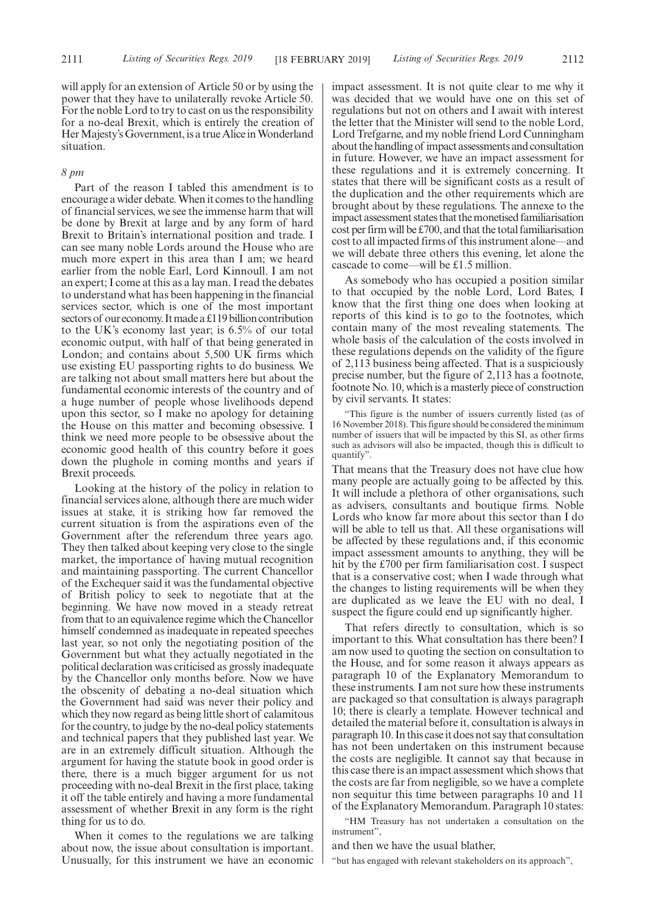will apply for an extension of Article 50 or by using the power that they have to unilaterally revoke Article 50. For the noble Lord to try to cast on us the responsibility for a no-deal Brexit, which is entirely the creation of Her Majesty's Government, is a true Alice in Wonderland situation.

### *8 pm*

Part of the reason I tabled this amendment is to encourage a wider debate. When it comes to the handling of financial services, we see the immense harm that will be done by Brexit at large and by any form of hard Brexit to Britain's international position and trade. I can see many noble Lords around the House who are much more expert in this area than I am; we heard earlier from the noble Earl, Lord Kinnoull. I am not an expert; I come at this as a lay man. I read the debates to understand what has been happening in the financial services sector, which is one of the most important sectors of our economy. It made a £119 billion contribution to the UK's economy last year; is 6.5% of our total economic output, with half of that being generated in London; and contains about 5,500 UK firms which use existing EU passporting rights to do business. We are talking not about small matters here but about the fundamental economic interests of the country and of a huge number of people whose livelihoods depend upon this sector, so I make no apology for detaining the House on this matter and becoming obsessive. I think we need more people to be obsessive about the economic good health of this country before it goes down the plughole in coming months and years if Brexit proceeds.

Looking at the history of the policy in relation to financial services alone, although there are much wider issues at stake, it is striking how far removed the current situation is from the aspirations even of the Government after the referendum three years ago. They then talked about keeping very close to the single market, the importance of having mutual recognition and maintaining passporting. The current Chancellor of the Exchequer said it was the fundamental objective of British policy to seek to negotiate that at the beginning. We have now moved in a steady retreat from that to an equivalence regime which the Chancellor himself condemned as inadequate in repeated speeches last year, so not only the negotiating position of the Government but what they actually negotiated in the political declaration was criticised as grossly inadequate by the Chancellor only months before. Now we have the obscenity of debating a no-deal situation which the Government had said was never their policy and which they now regard as being little short of calamitous for the country, to judge by the no-deal policy statements and technical papers that they published last year. We are in an extremely difficult situation. Although the argument for having the statute book in good order is there, there is a much bigger argument for us not proceeding with no-deal Brexit in the first place, taking it off the table entirely and having a more fundamental assessment of whether Brexit in any form is the right thing for us to do.

When it comes to the regulations we are talking about now, the issue about consultation is important. Unusually, for this instrument we have an economic impact assessment. It is not quite clear to me why it was decided that we would have one on this set of regulations but not on others and I await with interest the letter that the Minister will send to the noble Lord, Lord Trefgarne, and my noble friend Lord Cunningham about the handling of impact assessments and consultation in future. However, we have an impact assessment for these regulations and it is extremely concerning. It states that there will be significant costs as a result of the duplication and the other requirements which are brought about by these regulations. The annexe to the impact assessment states that the monetised familiarisation cost per firm will be £700, and that the total familiarisation cost to all impacted firms of this instrument alone—and we will debate three others this evening, let alone the cascade to come—will be £1.5 million.

As somebody who has occupied a position similar to that occupied by the noble Lord, Lord Bates, I know that the first thing one does when looking at reports of this kind is to go to the footnotes, which contain many of the most revealing statements. The whole basis of the calculation of the costs involved in these regulations depends on the validity of the figure of 2,113 business being affected. That is a suspiciously precise number, but the figure of 2,113 has a footnote, footnote No. 10, which is a masterly piece of construction by civil servants. It states:

"This figure is the number of issuers currently listed (as of 16 November 2018). This figure should be considered the minimum number of issuers that will be impacted by this SI, as other firms such as advisors will also be impacted, though this is difficult to quantify".

That means that the Treasury does not have clue how many people are actually going to be affected by this. It will include a plethora of other organisations, such as advisers, consultants and boutique firms. Noble Lords who know far more about this sector than I do will be able to tell us that. All these organisations will be affected by these regulations and, if this economic impact assessment amounts to anything, they will be hit by the £700 per firm familiarisation cost. I suspect that is a conservative cost; when I wade through what the changes to listing requirements will be when they are duplicated as we leave the EU with no deal, I suspect the figure could end up significantly higher.

That refers directly to consultation, which is so important to this. What consultation has there been? I am now used to quoting the section on consultation to the House, and for some reason it always appears as paragraph 10 of the Explanatory Memorandum to these instruments. I am not sure how these instruments are packaged so that consultation is always paragraph 10; there is clearly a template. However technical and detailed the material before it, consultation is always in paragraph 10. In this case it does not say that consultation has not been undertaken on this instrument because the costs are negligible. It cannot say that because in this case there is an impact assessment which shows that the costs are far from negligible, so we have a complete non sequitur this time between paragraphs 10 and 11 of the Explanatory Memorandum. Paragraph 10 states:

"HM Treasury has not undertaken a consultation on the instrument",

and then we have the usual blather,

"but has engaged with relevant stakeholders on its approach",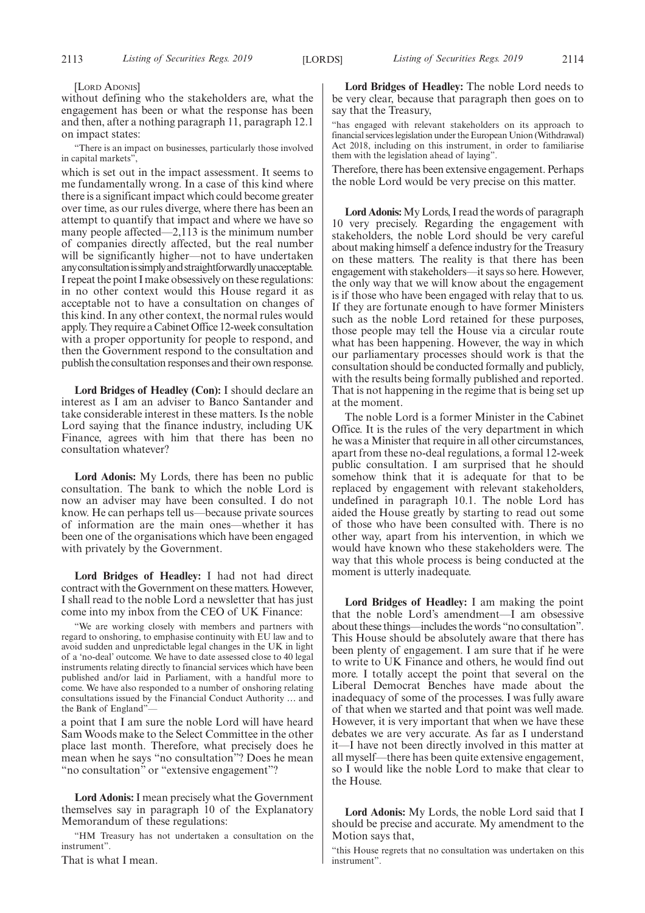### [LORD ADONIS]

without defining who the stakeholders are, what the engagement has been or what the response has been and then, after a nothing paragraph 11, paragraph 12.1 on impact states:

"There is an impact on businesses, particularly those involved in capital markets",

which is set out in the impact assessment. It seems to me fundamentally wrong. In a case of this kind where there is a significant impact which could become greater over time, as our rules diverge, where there has been an attempt to quantify that impact and where we have so many people affected—2,113 is the minimum number of companies directly affected, but the real number will be significantly higher—not to have undertaken anyconsultationissimplyandstraightforwardlyunacceptable. I repeat the point I make obsessively on these regulations: in no other context would this House regard it as acceptable not to have a consultation on changes of this kind. In any other context, the normal rules would apply. They require a Cabinet Office 12-week consultation with a proper opportunity for people to respond, and then the Government respond to the consultation and publish the consultation responses and their own response.

**Lord Bridges of Headley (Con):** I should declare an interest as I am an adviser to Banco Santander and take considerable interest in these matters. Is the noble Lord saying that the finance industry, including UK Finance, agrees with him that there has been no consultation whatever?

**Lord Adonis:** My Lords, there has been no public consultation. The bank to which the noble Lord is now an adviser may have been consulted. I do not know. He can perhaps tell us—because private sources of information are the main ones—whether it has been one of the organisations which have been engaged with privately by the Government.

**Lord Bridges of Headley:** I had not had direct contract with the Government on these matters. However, I shall read to the noble Lord a newsletter that has just come into my inbox from the CEO of UK Finance:

"We are working closely with members and partners with regard to onshoring, to emphasise continuity with EU law and to avoid sudden and unpredictable legal changes in the UK in light of a 'no-deal' outcome. We have to date assessed close to 40 legal instruments relating directly to financial services which have been published and/or laid in Parliament, with a handful more to come. We have also responded to a number of onshoring relating consultations issued by the Financial Conduct Authority … and the Bank of England"—

a point that I am sure the noble Lord will have heard Sam Woods make to the Select Committee in the other place last month. Therefore, what precisely does he mean when he says "no consultation"? Does he mean "no consultation" or "extensive engagement"?

**Lord Adonis:** I mean precisely what the Government themselves say in paragraph 10 of the Explanatory Memorandum of these regulations:

"HM Treasury has not undertaken a consultation on the instrument".

That is what I mean.

**Lord Bridges of Headley:** The noble Lord needs to be very clear, because that paragraph then goes on to say that the Treasury,

"has engaged with relevant stakeholders on its approach to financial services legislation under the European Union (Withdrawal) Act 2018, including on this instrument, in order to familiarise them with the legislation ahead of laying".

Therefore, there has been extensive engagement. Perhaps the noble Lord would be very precise on this matter.

**Lord Adonis:**My Lords, I read the words of paragraph 10 very precisely. Regarding the engagement with stakeholders, the noble Lord should be very careful about making himself a defence industry for the Treasury on these matters. The reality is that there has been engagement with stakeholders—it says so here. However, the only way that we will know about the engagement is if those who have been engaged with relay that to us. If they are fortunate enough to have former Ministers such as the noble Lord retained for these purposes, those people may tell the House via a circular route what has been happening. However, the way in which our parliamentary processes should work is that the consultation should be conducted formally and publicly, with the results being formally published and reported. That is not happening in the regime that is being set up at the moment.

The noble Lord is a former Minister in the Cabinet Office. It is the rules of the very department in which he was a Minister that require in all other circumstances, apart from these no-deal regulations, a formal 12-week public consultation. I am surprised that he should somehow think that it is adequate for that to be replaced by engagement with relevant stakeholders, undefined in paragraph 10.1. The noble Lord has aided the House greatly by starting to read out some of those who have been consulted with. There is no other way, apart from his intervention, in which we would have known who these stakeholders were. The way that this whole process is being conducted at the moment is utterly inadequate.

**Lord Bridges of Headley:** I am making the point that the noble Lord's amendment—I am obsessive about these things—includes the words "no consultation". This House should be absolutely aware that there has been plenty of engagement. I am sure that if he were to write to UK Finance and others, he would find out more. I totally accept the point that several on the Liberal Democrat Benches have made about the inadequacy of some of the processes. I was fully aware of that when we started and that point was well made. However, it is very important that when we have these debates we are very accurate. As far as I understand it—I have not been directly involved in this matter at all myself—there has been quite extensive engagement, so I would like the noble Lord to make that clear to the House.

**Lord Adonis:** My Lords, the noble Lord said that I should be precise and accurate. My amendment to the Motion says that,

"this House regrets that no consultation was undertaken on this instrument".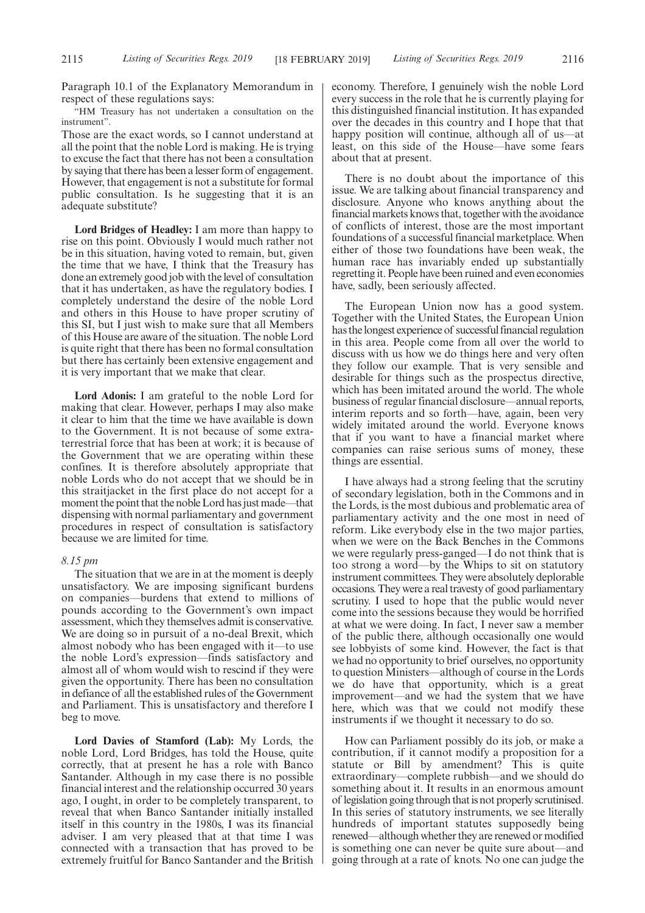Paragraph 10.1 of the Explanatory Memorandum in respect of these regulations says:

"HM Treasury has not undertaken a consultation on the instrument".

Those are the exact words, so I cannot understand at all the point that the noble Lord is making. He is trying to excuse the fact that there has not been a consultation by saying that there has been a lesser form of engagement. However, that engagement is not a substitute for formal public consultation. Is he suggesting that it is an adequate substitute?

**Lord Bridges of Headley:** I am more than happy to rise on this point. Obviously I would much rather not be in this situation, having voted to remain, but, given the time that we have, I think that the Treasury has done an extremely good job with the level of consultation that it has undertaken, as have the regulatory bodies. I completely understand the desire of the noble Lord and others in this House to have proper scrutiny of this SI, but I just wish to make sure that all Members of this House are aware of the situation. The noble Lord is quite right that there has been no formal consultation but there has certainly been extensive engagement and it is very important that we make that clear.

**Lord Adonis:** I am grateful to the noble Lord for making that clear. However, perhaps I may also make it clear to him that the time we have available is down to the Government. It is not because of some extraterrestrial force that has been at work; it is because of the Government that we are operating within these confines. It is therefore absolutely appropriate that noble Lords who do not accept that we should be in this straitjacket in the first place do not accept for a moment the point that the noble Lord has just made—that dispensing with normal parliamentary and government procedures in respect of consultation is satisfactory because we are limited for time.

#### *8.15 pm*

The situation that we are in at the moment is deeply unsatisfactory. We are imposing significant burdens on companies—burdens that extend to millions of pounds according to the Government's own impact assessment, which they themselves admit is conservative. We are doing so in pursuit of a no-deal Brexit, which almost nobody who has been engaged with it—to use the noble Lord's expression—finds satisfactory and almost all of whom would wish to rescind if they were given the opportunity. There has been no consultation in defiance of all the established rules of the Government and Parliament. This is unsatisfactory and therefore I beg to move.

**Lord Davies of Stamford (Lab):** My Lords, the noble Lord, Lord Bridges, has told the House, quite correctly, that at present he has a role with Banco Santander. Although in my case there is no possible financial interest and the relationship occurred 30 years ago, I ought, in order to be completely transparent, to reveal that when Banco Santander initially installed itself in this country in the 1980s, I was its financial adviser. I am very pleased that at that time I was connected with a transaction that has proved to be extremely fruitful for Banco Santander and the British economy. Therefore, I genuinely wish the noble Lord every success in the role that he is currently playing for this distinguished financial institution. It has expanded over the decades in this country and I hope that that happy position will continue, although all of us—at least, on this side of the House—have some fears about that at present.

There is no doubt about the importance of this issue. We are talking about financial transparency and disclosure. Anyone who knows anything about the financial markets knows that, together with the avoidance of conflicts of interest, those are the most important foundations of a successful financial marketplace. When either of those two foundations have been weak, the human race has invariably ended up substantially regretting it. People have been ruined and even economies have, sadly, been seriously affected.

The European Union now has a good system. Together with the United States, the European Union has the longest experience of successful financial regulation in this area. People come from all over the world to discuss with us how we do things here and very often they follow our example. That is very sensible and desirable for things such as the prospectus directive, which has been imitated around the world. The whole business of regular financial disclosure—annual reports, interim reports and so forth—have, again, been very widely imitated around the world. Everyone knows that if you want to have a financial market where companies can raise serious sums of money, these things are essential.

I have always had a strong feeling that the scrutiny of secondary legislation, both in the Commons and in the Lords, is the most dubious and problematic area of parliamentary activity and the one most in need of reform. Like everybody else in the two major parties, when we were on the Back Benches in the Commons we were regularly press-ganged—I do not think that is too strong a word—by the Whips to sit on statutory instrument committees. They were absolutely deplorable occasions. They were a real travesty of good parliamentary scrutiny. I used to hope that the public would never come into the sessions because they would be horrified at what we were doing. In fact, I never saw a member of the public there, although occasionally one would see lobbyists of some kind. However, the fact is that we had no opportunity to brief ourselves, no opportunity to question Ministers—although of course in the Lords we do have that opportunity, which is a great improvement—and we had the system that we have here, which was that we could not modify these instruments if we thought it necessary to do so.

How can Parliament possibly do its job, or make a contribution, if it cannot modify a proposition for a statute or Bill by amendment? This is quite extraordinary—complete rubbish—and we should do something about it. It results in an enormous amount of legislation going through that is not properly scrutinised. In this series of statutory instruments, we see literally hundreds of important statutes supposedly being renewed—although whether they are renewed or modified is something one can never be quite sure about—and going through at a rate of knots. No one can judge the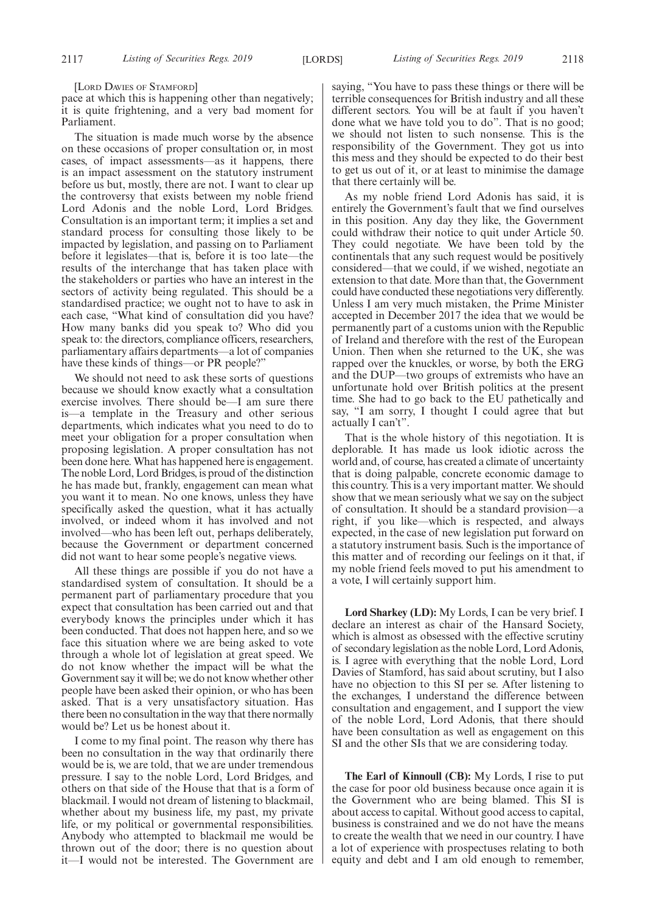[LORD DAVIES OF STAMFORD]

pace at which this is happening other than negatively; it is quite frightening, and a very bad moment for Parliament.

The situation is made much worse by the absence on these occasions of proper consultation or, in most cases, of impact assessments—as it happens, there is an impact assessment on the statutory instrument before us but, mostly, there are not. I want to clear up the controversy that exists between my noble friend Lord Adonis and the noble Lord, Lord Bridges. Consultation is an important term; it implies a set and standard process for consulting those likely to be impacted by legislation, and passing on to Parliament before it legislates—that is, before it is too late—the results of the interchange that has taken place with the stakeholders or parties who have an interest in the sectors of activity being regulated. This should be a standardised practice; we ought not to have to ask in each case, "What kind of consultation did you have? How many banks did you speak to? Who did you speak to: the directors, compliance officers, researchers, parliamentary affairs departments—a lot of companies have these kinds of things—or PR people?"

We should not need to ask these sorts of questions because we should know exactly what a consultation exercise involves. There should be—I am sure there is—a template in the Treasury and other serious departments, which indicates what you need to do to meet your obligation for a proper consultation when proposing legislation. A proper consultation has not been done here. What has happened here is engagement. The noble Lord, Lord Bridges, is proud of the distinction he has made but, frankly, engagement can mean what you want it to mean. No one knows, unless they have specifically asked the question, what it has actually involved, or indeed whom it has involved and not involved—who has been left out, perhaps deliberately, because the Government or department concerned did not want to hear some people's negative views.

All these things are possible if you do not have a standardised system of consultation. It should be a permanent part of parliamentary procedure that you expect that consultation has been carried out and that everybody knows the principles under which it has been conducted. That does not happen here, and so we face this situation where we are being asked to vote through a whole lot of legislation at great speed. We do not know whether the impact will be what the Government say it will be; we do not know whether other people have been asked their opinion, or who has been asked. That is a very unsatisfactory situation. Has there been no consultation in the way that there normally would be? Let us be honest about it.

I come to my final point. The reason why there has been no consultation in the way that ordinarily there would be is, we are told, that we are under tremendous pressure. I say to the noble Lord, Lord Bridges, and others on that side of the House that that is a form of blackmail. I would not dream of listening to blackmail, whether about my business life, my past, my private life, or my political or governmental responsibilities. Anybody who attempted to blackmail me would be thrown out of the door; there is no question about it—I would not be interested. The Government are saying, "You have to pass these things or there will be terrible consequences for British industry and all these different sectors. You will be at fault if you haven't done what we have told you to do". That is no good; we should not listen to such nonsense. This is the responsibility of the Government. They got us into this mess and they should be expected to do their best to get us out of it, or at least to minimise the damage that there certainly will be.

As my noble friend Lord Adonis has said, it is entirely the Government's fault that we find ourselves in this position. Any day they like, the Government could withdraw their notice to quit under Article 50. They could negotiate. We have been told by the continentals that any such request would be positively considered—that we could, if we wished, negotiate an extension to that date. More than that, the Government could have conducted these negotiations very differently. Unless I am very much mistaken, the Prime Minister accepted in December 2017 the idea that we would be permanently part of a customs union with the Republic of Ireland and therefore with the rest of the European Union. Then when she returned to the UK, she was rapped over the knuckles, or worse, by both the ERG and the DUP—two groups of extremists who have an unfortunate hold over British politics at the present time. She had to go back to the EU pathetically and say, "I am sorry, I thought I could agree that but actually I can't".

That is the whole history of this negotiation. It is deplorable. It has made us look idiotic across the world and, of course, has created a climate of uncertainty that is doing palpable, concrete economic damage to this country. This is a very important matter. We should show that we mean seriously what we say on the subject of consultation. It should be a standard provision—a right, if you like—which is respected, and always expected, in the case of new legislation put forward on a statutory instrument basis. Such is the importance of this matter and of recording our feelings on it that, if my noble friend feels moved to put his amendment to a vote, I will certainly support him.

**Lord Sharkey (LD):** My Lords, I can be very brief. I declare an interest as chair of the Hansard Society, which is almost as obsessed with the effective scrutiny of secondary legislation as the noble Lord, Lord Adonis, is. I agree with everything that the noble Lord, Lord Davies of Stamford, has said about scrutiny, but I also have no objection to this SI per se. After listening to the exchanges, I understand the difference between consultation and engagement, and I support the view of the noble Lord, Lord Adonis, that there should have been consultation as well as engagement on this SI and the other SIs that we are considering today.

**The Earl of Kinnoull (CB):** My Lords, I rise to put the case for poor old business because once again it is the Government who are being blamed. This SI is about access to capital. Without good access to capital, business is constrained and we do not have the means to create the wealth that we need in our country. I have a lot of experience with prospectuses relating to both equity and debt and I am old enough to remember,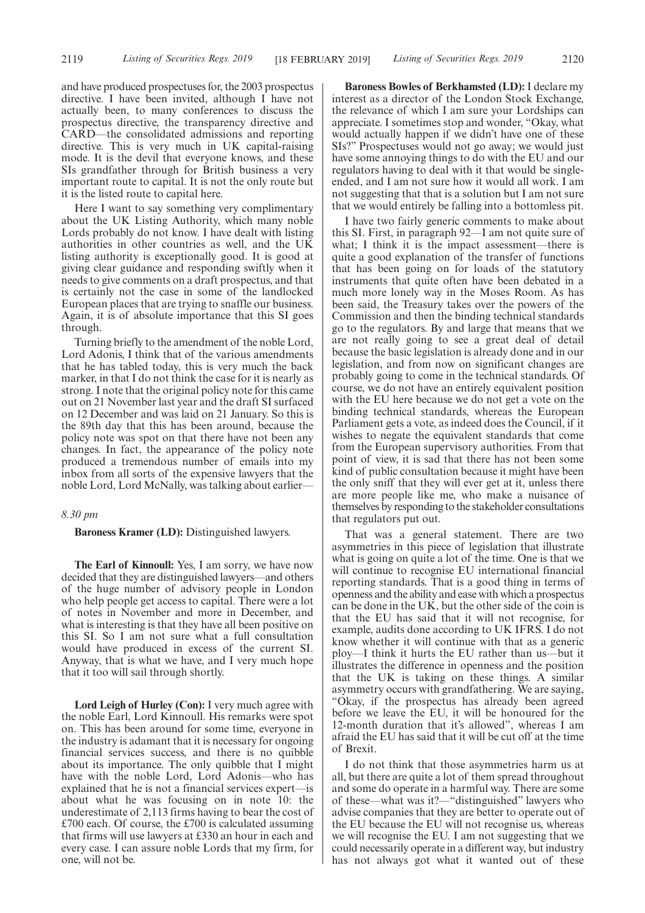and have produced prospectuses for, the 2003 prospectus directive. I have been invited, although I have not actually been, to many conferences to discuss the prospectus directive, the transparency directive and CARD—the consolidated admissions and reporting directive. This is very much in UK capital-raising mode. It is the devil that everyone knows, and these SIs grandfather through for British business a very important route to capital. It is not the only route but it is the listed route to capital here.

Here I want to say something very complimentary about the UK Listing Authority, which many noble Lords probably do not know. I have dealt with listing authorities in other countries as well, and the UK listing authority is exceptionally good. It is good at giving clear guidance and responding swiftly when it needs to give comments on a draft prospectus, and that is certainly not the case in some of the landlocked European places that are trying to snaffle our business. Again, it is of absolute importance that this SI goes through.

Turning briefly to the amendment of the noble Lord, Lord Adonis, I think that of the various amendments that he has tabled today, this is very much the back marker, in that I do not think the case for it is nearly as strong. I note that the original policy note for this came out on 21 November last year and the draft SI surfaced on 12 December and was laid on 21 January. So this is the 89th day that this has been around, because the policy note was spot on that there have not been any changes. In fact, the appearance of the policy note produced a tremendous number of emails into my inbox from all sorts of the expensive lawyers that the noble Lord, Lord McNally, was talking about earlier—

### *8.30 pm*

### **Baroness Kramer (LD):** Distinguished lawyers.

**The Earl of Kinnoull:** Yes, I am sorry, we have now decided that they are distinguished lawyers—and others of the huge number of advisory people in London who help people get access to capital. There were a lot of notes in November and more in December, and what is interesting is that they have all been positive on this SI. So I am not sure what a full consultation would have produced in excess of the current SI. Anyway, that is what we have, and I very much hope that it too will sail through shortly.

Lord Leigh of Hurley (Con): I very much agree with the noble Earl, Lord Kinnoull. His remarks were spot on. This has been around for some time, everyone in the industry is adamant that it is necessary for ongoing financial services success, and there is no quibble about its importance. The only quibble that I might have with the noble Lord, Lord Adonis—who has explained that he is not a financial services expert—is about what he was focusing on in note 10: the underestimate of 2,113 firms having to bear the cost of £700 each. Of course, the £700 is calculated assuming that firms will use lawyers at £330 an hour in each and every case. I can assure noble Lords that my firm, for one, will not be.

**Baroness Bowles of Berkhamsted (LD):** I declare my interest as a director of the London Stock Exchange, the relevance of which I am sure your Lordships can appreciate. I sometimes stop and wonder, "Okay, what would actually happen if we didn't have one of these SIs?" Prospectuses would not go away; we would just have some annoying things to do with the EU and our regulators having to deal with it that would be singleended, and I am not sure how it would all work. I am not suggesting that that is a solution but I am not sure that we would entirely be falling into a bottomless pit.

I have two fairly generic comments to make about this SI. First, in paragraph 92—I am not quite sure of what; I think it is the impact assessment—there is quite a good explanation of the transfer of functions that has been going on for loads of the statutory instruments that quite often have been debated in a much more lonely way in the Moses Room. As has been said, the Treasury takes over the powers of the Commission and then the binding technical standards go to the regulators. By and large that means that we are not really going to see a great deal of detail because the basic legislation is already done and in our legislation, and from now on significant changes are probably going to come in the technical standards. Of course, we do not have an entirely equivalent position with the EU here because we do not get a vote on the binding technical standards, whereas the European Parliament gets a vote, as indeed does the Council, if it wishes to negate the equivalent standards that come from the European supervisory authorities. From that point of view, it is sad that there has not been some kind of public consultation because it might have been the only sniff that they will ever get at it, unless there are more people like me, who make a nuisance of themselves by responding to the stakeholder consultations that regulators put out.

That was a general statement. There are two asymmetries in this piece of legislation that illustrate what is going on quite a lot of the time. One is that we will continue to recognise EU international financial reporting standards. That is a good thing in terms of openness and the ability and ease with which a prospectus can be done in the UK, but the other side of the coin is that the EU has said that it will not recognise, for example, audits done according to UK IFRS. I do not know whether it will continue with that as a generic ploy—I think it hurts the EU rather than us—but it illustrates the difference in openness and the position that the UK is taking on these things. A similar asymmetry occurs with grandfathering. We are saying, "Okay, if the prospectus has already been agreed before we leave the EU, it will be honoured for the 12-month duration that it's allowed", whereas I am afraid the EU has said that it will be cut off at the time of Brexit.

I do not think that those asymmetries harm us at all, but there are quite a lot of them spread throughout and some do operate in a harmful way. There are some of these—what was it?—"distinguished" lawyers who advise companies that they are better to operate out of the EU because the EU will not recognise us, whereas we will recognise the EU. I am not suggesting that we could necessarily operate in a different way, but industry has not always got what it wanted out of these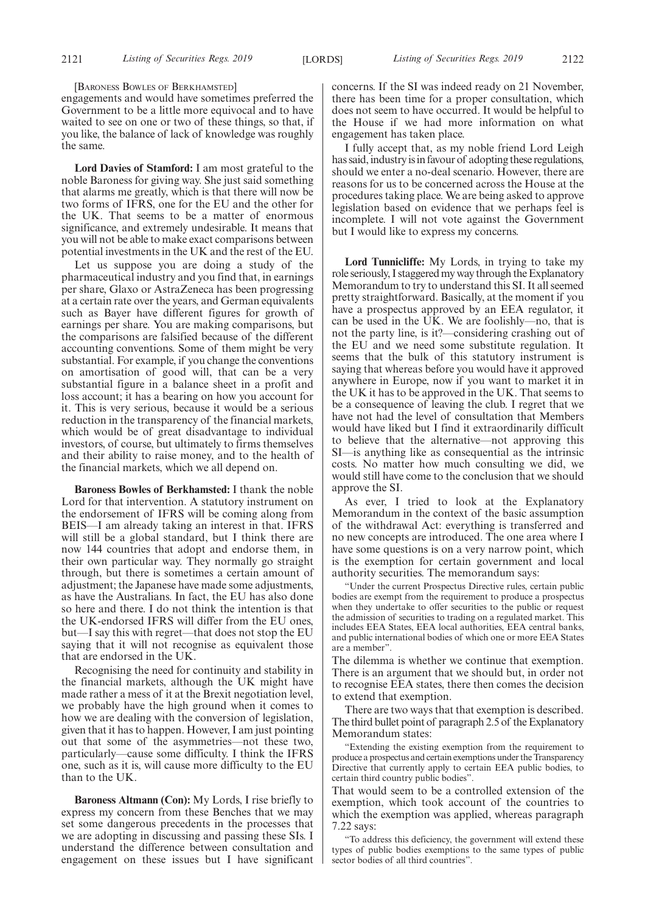[BARONESS BOWLES OF BERKHAMSTED]

engagements and would have sometimes preferred the Government to be a little more equivocal and to have waited to see on one or two of these things, so that, if you like, the balance of lack of knowledge was roughly the same.

**Lord Davies of Stamford:** I am most grateful to the noble Baroness for giving way. She just said something that alarms me greatly, which is that there will now be two forms of IFRS, one for the EU and the other for the UK. That seems to be a matter of enormous significance, and extremely undesirable. It means that you will not be able to make exact comparisons between potential investments in the UK and the rest of the EU.

Let us suppose you are doing a study of the pharmaceutical industry and you find that, in earnings per share, Glaxo or AstraZeneca has been progressing at a certain rate over the years, and German equivalents such as Bayer have different figures for growth of earnings per share. You are making comparisons, but the comparisons are falsified because of the different accounting conventions. Some of them might be very substantial. For example, if you change the conventions on amortisation of good will, that can be a very substantial figure in a balance sheet in a profit and loss account; it has a bearing on how you account for it. This is very serious, because it would be a serious reduction in the transparency of the financial markets, which would be of great disadvantage to individual investors, of course, but ultimately to firms themselves and their ability to raise money, and to the health of the financial markets, which we all depend on.

**Baroness Bowles of Berkhamsted:** I thank the noble Lord for that intervention. A statutory instrument on the endorsement of IFRS will be coming along from BEIS—I am already taking an interest in that. IFRS will still be a global standard, but I think there are now 144 countries that adopt and endorse them, in their own particular way. They normally go straight through, but there is sometimes a certain amount of adjustment; the Japanese have made some adjustments, as have the Australians. In fact, the EU has also done so here and there. I do not think the intention is that the UK-endorsed IFRS will differ from the EU ones, but—I say this with regret—that does not stop the EU saying that it will not recognise as equivalent those that are endorsed in the UK.

Recognising the need for continuity and stability in the financial markets, although the UK might have made rather a mess of it at the Brexit negotiation level, we probably have the high ground when it comes to how we are dealing with the conversion of legislation, given that it has to happen. However, I am just pointing out that some of the asymmetries—not these two, particularly—cause some difficulty. I think the IFRS one, such as it is, will cause more difficulty to the EU than to the UK.

**Baroness Altmann (Con):** My Lords, I rise briefly to express my concern from these Benches that we may set some dangerous precedents in the processes that we are adopting in discussing and passing these SIs. I understand the difference between consultation and engagement on these issues but I have significant concerns. If the SI was indeed ready on 21 November, there has been time for a proper consultation, which does not seem to have occurred. It would be helpful to the House if we had more information on what engagement has taken place.

I fully accept that, as my noble friend Lord Leigh has said, industry is in favour of adopting these regulations, should we enter a no-deal scenario. However, there are reasons for us to be concerned across the House at the procedures taking place. We are being asked to approve legislation based on evidence that we perhaps feel is incomplete. I will not vote against the Government but I would like to express my concerns.

**Lord Tunnicliffe:** My Lords, in trying to take my role seriously, I staggered my way through the Explanatory Memorandum to try to understand this SI. It all seemed pretty straightforward. Basically, at the moment if you have a prospectus approved by an EEA regulator, it can be used in the UK. We are foolishly—no, that is not the party line, is it?—considering crashing out of the EU and we need some substitute regulation. It seems that the bulk of this statutory instrument is saying that whereas before you would have it approved anywhere in Europe, now if you want to market it in the UK it has to be approved in the UK. That seems to be a consequence of leaving the club. I regret that we have not had the level of consultation that Members would have liked but I find it extraordinarily difficult to believe that the alternative—not approving this SI—is anything like as consequential as the intrinsic costs. No matter how much consulting we did, we would still have come to the conclusion that we should approve the SI.

As ever, I tried to look at the Explanatory Memorandum in the context of the basic assumption of the withdrawal Act: everything is transferred and no new concepts are introduced. The one area where I have some questions is on a very narrow point, which is the exemption for certain government and local authority securities. The memorandum says:

"Under the current Prospectus Directive rules, certain public bodies are exempt from the requirement to produce a prospectus when they undertake to offer securities to the public or request the admission of securities to trading on a regulated market. This includes EEA States, EEA local authorities, EEA central banks, and public international bodies of which one or more EEA States are a member".

The dilemma is whether we continue that exemption. There is an argument that we should but, in order not to recognise EEA states, there then comes the decision to extend that exemption.

There are two ways that that exemption is described. The third bullet point of paragraph 2.5 of the Explanatory Memorandum states:

"Extending the existing exemption from the requirement to produce a prospectus and certain exemptions under the Transparency Directive that currently apply to certain EEA public bodies, to certain third country public bodies".

That would seem to be a controlled extension of the exemption, which took account of the countries to which the exemption was applied, whereas paragraph 7.22 says:

"To address this deficiency, the government will extend these types of public bodies exemptions to the same types of public sector bodies of all third countries".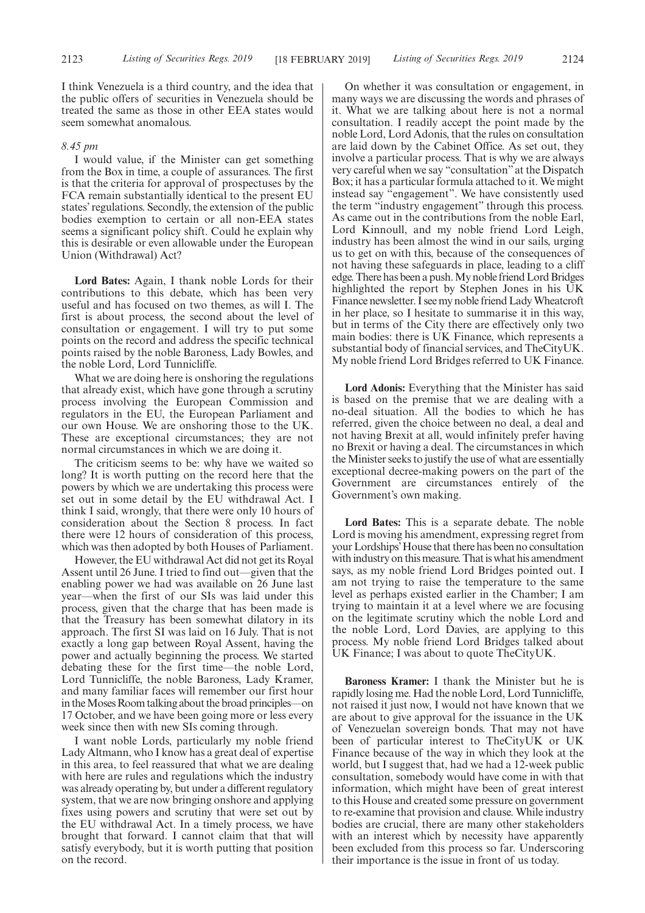I think Venezuela is a third country, and the idea that the public offers of securities in Venezuela should be treated the same as those in other EEA states would seem somewhat anomalous.

### *8.45 pm*

I would value, if the Minister can get something from the Box in time, a couple of assurances. The first is that the criteria for approval of prospectuses by the FCA remain substantially identical to the present EU states' regulations. Secondly, the extension of the public bodies exemption to certain or all non-EEA states seems a significant policy shift. Could he explain why this is desirable or even allowable under the European Union (Withdrawal) Act?

**Lord Bates:** Again, I thank noble Lords for their contributions to this debate, which has been very useful and has focused on two themes, as will I. The first is about process, the second about the level of consultation or engagement. I will try to put some points on the record and address the specific technical points raised by the noble Baroness, Lady Bowles, and the noble Lord, Lord Tunnicliffe.

What we are doing here is onshoring the regulations that already exist, which have gone through a scrutiny process involving the European Commission and regulators in the EU, the European Parliament and our own House. We are onshoring those to the UK. These are exceptional circumstances; they are not normal circumstances in which we are doing it.

The criticism seems to be: why have we waited so long? It is worth putting on the record here that the powers by which we are undertaking this process were set out in some detail by the EU withdrawal Act. I think I said, wrongly, that there were only 10 hours of consideration about the Section 8 process. In fact there were 12 hours of consideration of this process, which was then adopted by both Houses of Parliament.

However, the EU withdrawal Act did not get its Royal Assent until 26 June. I tried to find out—given that the enabling power we had was available on 26 June last year—when the first of our SIs was laid under this process, given that the charge that has been made is that the Treasury has been somewhat dilatory in its approach. The first SI was laid on 16 July. That is not exactly a long gap between Royal Assent, having the power and actually beginning the process. We started debating these for the first time—the noble Lord, Lord Tunnicliffe, the noble Baroness, Lady Kramer, and many familiar faces will remember our first hour in the Moses Room talking about the broad principles—on 17 October, and we have been going more or less every week since then with new SIs coming through.

I want noble Lords, particularly my noble friend Lady Altmann, who I know has a great deal of expertise in this area, to feel reassured that what we are dealing with here are rules and regulations which the industry was already operating by, but under a different regulatory system, that we are now bringing onshore and applying fixes using powers and scrutiny that were set out by the EU withdrawal Act. In a timely process, we have brought that forward. I cannot claim that that will satisfy everybody, but it is worth putting that position on the record.

On whether it was consultation or engagement, in many ways we are discussing the words and phrases of it. What we are talking about here is not a normal consultation. I readily accept the point made by the noble Lord, Lord Adonis, that the rules on consultation are laid down by the Cabinet Office. As set out, they involve a particular process. That is why we are always very careful when we say "consultation" at the Dispatch Box; it has a particular formula attached to it. We might instead say "engagement". We have consistently used the term "industry engagement" through this process. As came out in the contributions from the noble Earl, Lord Kinnoull, and my noble friend Lord Leigh, industry has been almost the wind in our sails, urging us to get on with this, because of the consequences of not having these safeguards in place, leading to a cliff edge. There has been a push. My noble friend Lord Bridges highlighted the report by Stephen Jones in his UK Finance newsletter. I see my noble friend Lady Wheatcroft in her place, so I hesitate to summarise it in this way, but in terms of the City there are effectively only two main bodies: there is UK Finance, which represents a substantial body of financial services, and TheCityUK. My noble friend Lord Bridges referred to UK Finance.

**Lord Adonis:** Everything that the Minister has said is based on the premise that we are dealing with a no-deal situation. All the bodies to which he has referred, given the choice between no deal, a deal and not having Brexit at all, would infinitely prefer having no Brexit or having a deal. The circumstances in which the Minister seeks to justify the use of what are essentially exceptional decree-making powers on the part of the Government are circumstances entirely of the Government's own making.

**Lord Bates:** This is a separate debate. The noble Lord is moving his amendment, expressing regret from your Lordships'House that there has been no consultation with industry on this measure. That is what his amendment says, as my noble friend Lord Bridges pointed out. I am not trying to raise the temperature to the same level as perhaps existed earlier in the Chamber; I am trying to maintain it at a level where we are focusing on the legitimate scrutiny which the noble Lord and the noble Lord, Lord Davies, are applying to this process. My noble friend Lord Bridges talked about UK Finance; I was about to quote TheCityUK.

**Baroness Kramer:** I thank the Minister but he is rapidly losing me. Had the noble Lord, Lord Tunnicliffe, not raised it just now, I would not have known that we are about to give approval for the issuance in the UK of Venezuelan sovereign bonds. That may not have been of particular interest to TheCityUK or UK Finance because of the way in which they look at the world, but I suggest that, had we had a 12-week public consultation, somebody would have come in with that information, which might have been of great interest to this House and created some pressure on government to re-examine that provision and clause. While industry bodies are crucial, there are many other stakeholders with an interest which by necessity have apparently been excluded from this process so far. Underscoring their importance is the issue in front of us today.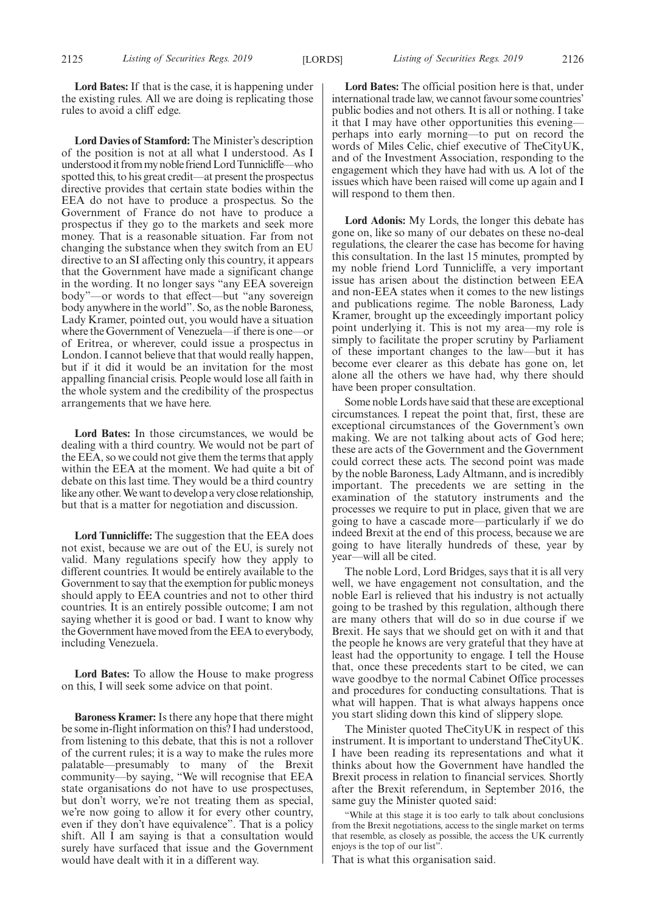**Lord Bates:** If that is the case, it is happening under the existing rules. All we are doing is replicating those rules to avoid a cliff edge.

**Lord Davies of Stamford:** The Minister's description of the position is not at all what I understood. As I understood it from my noble friend Lord Tunnicliffe—who spotted this, to his great credit—at present the prospectus directive provides that certain state bodies within the EEA do not have to produce a prospectus. So the Government of France do not have to produce a prospectus if they go to the markets and seek more money. That is a reasonable situation. Far from not changing the substance when they switch from an EU directive to an SI affecting only this country, it appears that the Government have made a significant change in the wording. It no longer says "any EEA sovereign body"—or words to that effect—but "any sovereign body anywhere in the world". So, as the noble Baroness, Lady Kramer, pointed out, you would have a situation where the Government of Venezuela—if there is one—or of Eritrea, or wherever, could issue a prospectus in London. I cannot believe that that would really happen, but if it did it would be an invitation for the most appalling financial crisis. People would lose all faith in the whole system and the credibility of the prospectus arrangements that we have here.

**Lord Bates:** In those circumstances, we would be dealing with a third country. We would not be part of the EEA, so we could not give them the terms that apply within the EEA at the moment. We had quite a bit of debate on this last time. They would be a third country like any other. We want to develop a very close relationship, but that is a matter for negotiation and discussion.

**Lord Tunnicliffe:** The suggestion that the EEA does not exist, because we are out of the EU, is surely not valid. Many regulations specify how they apply to different countries. It would be entirely available to the Government to say that the exemption for public moneys should apply to EEA countries and not to other third countries. It is an entirely possible outcome; I am not saying whether it is good or bad. I want to know why the Government have moved from the EEA to everybody, including Venezuela.

**Lord Bates:** To allow the House to make progress on this, I will seek some advice on that point.

**Baroness Kramer:** Is there any hope that there might be some in-flight information on this? I had understood, from listening to this debate, that this is not a rollover of the current rules; it is a way to make the rules more palatable—presumably to many of the Brexit community—by saying, "We will recognise that EEA state organisations do not have to use prospectuses, but don't worry, we're not treating them as special, we're now going to allow it for every other country, even if they don't have equivalence". That is a policy shift. All I am saying is that a consultation would surely have surfaced that issue and the Government would have dealt with it in a different way.

**Lord Bates:** The official position here is that, under international trade law, we cannot favour some countries' public bodies and not others. It is all or nothing. I take it that I may have other opportunities this evening perhaps into early morning—to put on record the words of Miles Celic, chief executive of TheCityUK, and of the Investment Association, responding to the engagement which they have had with us. A lot of the issues which have been raised will come up again and I will respond to them then.

**Lord Adonis:** My Lords, the longer this debate has gone on, like so many of our debates on these no-deal regulations, the clearer the case has become for having this consultation. In the last 15 minutes, prompted by my noble friend Lord Tunnicliffe, a very important issue has arisen about the distinction between EEA and non-EEA states when it comes to the new listings and publications regime. The noble Baroness, Lady Kramer, brought up the exceedingly important policy point underlying it. This is not my area—my role is simply to facilitate the proper scrutiny by Parliament of these important changes to the law—but it has become ever clearer as this debate has gone on, let alone all the others we have had, why there should have been proper consultation.

Some noble Lords have said that these are exceptional circumstances. I repeat the point that, first, these are exceptional circumstances of the Government's own making. We are not talking about acts of God here; these are acts of the Government and the Government could correct these acts. The second point was made by the noble Baroness, Lady Altmann, and is incredibly important. The precedents we are setting in the examination of the statutory instruments and the processes we require to put in place, given that we are going to have a cascade more—particularly if we do indeed Brexit at the end of this process, because we are going to have literally hundreds of these, year by year—will all be cited.

The noble Lord, Lord Bridges, says that it is all very well, we have engagement not consultation, and the noble Earl is relieved that his industry is not actually going to be trashed by this regulation, although there are many others that will do so in due course if we Brexit. He says that we should get on with it and that the people he knows are very grateful that they have at least had the opportunity to engage. I tell the House that, once these precedents start to be cited, we can wave goodbye to the normal Cabinet Office processes and procedures for conducting consultations. That is what will happen. That is what always happens once you start sliding down this kind of slippery slope.

The Minister quoted TheCityUK in respect of this instrument. It is important to understand TheCityUK. I have been reading its representations and what it thinks about how the Government have handled the Brexit process in relation to financial services. Shortly after the Brexit referendum, in September 2016, the same guy the Minister quoted said:

"While at this stage it is too early to talk about conclusions from the Brexit negotiations, access to the single market on terms that resemble, as closely as possible, the access the UK currently enjoys is the top of our list".

That is what this organisation said.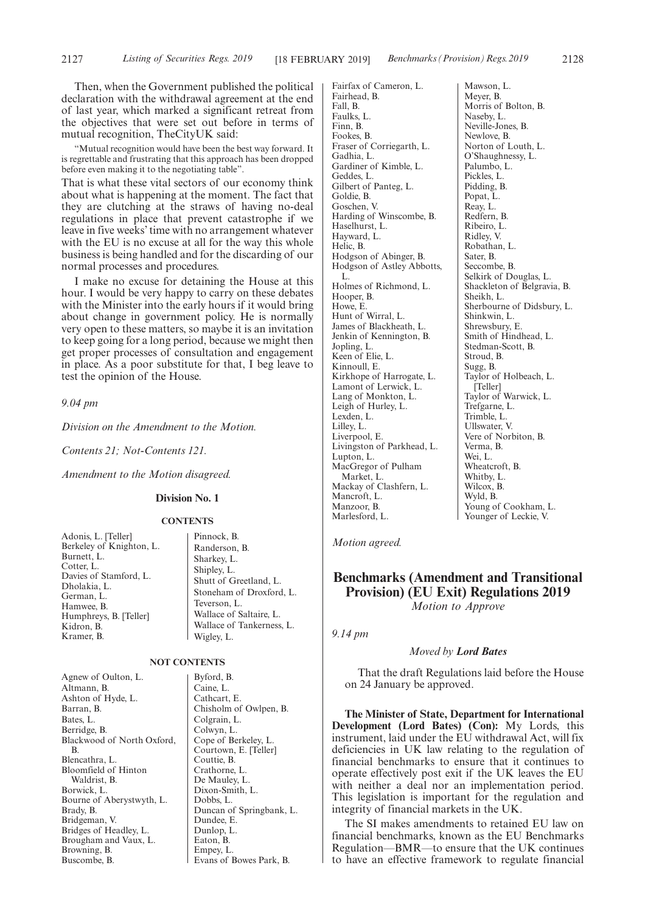Then, when the Government published the political declaration with the withdrawal agreement at the end of last year, which marked a significant retreat from the objectives that were set out before in terms of mutual recognition, TheCityUK said:

"Mutual recognition would have been the best way forward. It is regrettable and frustrating that this approach has been dropped before even making it to the negotiating table".

That is what these vital sectors of our economy think about what is happening at the moment. The fact that they are clutching at the straws of having no-deal regulations in place that prevent catastrophe if we leave in five weeks' time with no arrangement whatever with the EU is no excuse at all for the way this whole business is being handled and for the discarding of our normal processes and procedures.

I make no excuse for detaining the House at this hour. I would be very happy to carry on these debates with the Minister into the early hours if it would bring about change in government policy. He is normally very open to these matters, so maybe it is an invitation to keep going for a long period, because we might then get proper processes of consultation and engagement in place. As a poor substitute for that, I beg leave to test the opinion of the House.

*9.04 pm*

*Division on the Amendment to the Motion.*

*Contents 21; Not-Contents 121.*

*Amendment to the Motion disagreed.*

### **Division No. 1**

#### **CONTENTS**

Adonis, L. [Teller] Berkeley of Knighton, L. Burnett, L. Cotter, L. Davies of Stamford, L. Dholakia, L. German, L. Hamwee, B. Humphreys, B. [Teller] Kidron, B. Kramer, B.

Pinnock, B. Randerson, B. Sharkey, L. Shipley, L. Shutt of Greetland, L. Stoneham of Droxford, L. Teverson, L. Wallace of Saltaire, L. Wallace of Tankerness, L. Wigley, L.

### **NOT CONTENTS**

Agnew of Oulton, L. Altmann, B. Ashton of Hyde, L. Barran, B. Bates, L. Berridge, B. Blackwood of North Oxford, B. Blencathra, L. Bloomfield of Hinton Waldrist, B. Borwick, L. Bourne of Aberystwyth, L. Brady, B. Bridgeman, V. Bridges of Headley, L. Brougham and Vaux, L. Browning, B. Buscombe, B.

Byford, B. Caine, L. Cathcart, E. Chisholm of Owlpen, B. Colgrain, L. Colwyn, L. Cope of Berkeley, L. Courtown, E. [Teller] Couttie, B. Crathorne, L. De Mauley, L. Dixon-Smith, L. Dobbs, L. Duncan of Springbank, L. Dundee, E. Dunlop, L. Eaton, B. Empey, L. Evans of Bowes Park, B.

Fairfax of Cameron, L. Fairhead, B. Fall, B. Faulks, L. Finn, B. Fookes, B. Fraser of Corriegarth, L. Gadhia, L. Gardiner of Kimble, L. Geddes, L. Gilbert of Panteg, L. Goldie, B. Goschen, V. Harding of Winscombe, B. Haselhurst, L. Hayward, L. Helic, B. Hodgson of Abinger, B. Hodgson of Astley Abbotts, L. Holmes of Richmond, L. Hooper, B. Howe, E. Hunt of Wirral, L. James of Blackheath, L. Jenkin of Kennington, B. Jopling, L. Keen of Elie, L. Kinnoull, E. Kirkhope of Harrogate, L. Lamont of Lerwick, L. Lang of Monkton, L. Leigh of Hurley, L. Lexden, L. Lilley, L. Liverpool, E. Livingston of Parkhead, L. Lupton, L. MacGregor of Pulham Market, L. Mackay of Clashfern, L. Mancroft, L. Manzoor, B. Marlesford, L.

Mawson, L. Meyer, B. Morris of Bolton, B. Naseby, L. Neville-Jones, B. Newlove, B. Norton of Louth, L. O'Shaughnessy, L. Palumbo, L. Pickles, L. Pidding, B. Popat, L. Reay, L. Redfern, B. Ribeiro, L. Ridley, V. Robathan, L. Sater, B. Seccombe, B. Selkirk of Douglas, L. Shackleton of Belgravia, B. Sheikh, L. Sherbourne of Didsbury, L. Shinkwin, L. Shrewsbury, E. Smith of Hindhead, L. Stedman-Scott, B. Stroud, B. Sugg, B. Taylor of Holbeach, L. [Teller] Taylor of Warwick, L. Trefgarne, L. Trimble, L. Ullswater, V. Vere of Norbiton, B. Verma, B. Wei, L. Wheatcroft, B. Whitby, L. Wilcox, B. Wyld, B. Young of Cookham, L. Younger of Leckie, V.

*Motion agreed.*

### **Benchmarks (Amendment and Transitional Provision) (EU Exit) Regulations 2019** *Motion to Approve*

*9.14 pm*

#### *Moved by Lord Bates*

That the draft Regulations laid before the House on 24 January be approved.

**The Minister of State, Department for International Development (Lord Bates) (Con):** My Lords, this instrument, laid under the EU withdrawal Act, will fix deficiencies in UK law relating to the regulation of financial benchmarks to ensure that it continues to operate effectively post exit if the UK leaves the EU with neither a deal nor an implementation period. This legislation is important for the regulation and integrity of financial markets in the UK.

The SI makes amendments to retained EU law on financial benchmarks, known as the EU Benchmarks Regulation—BMR—to ensure that the UK continues to have an effective framework to regulate financial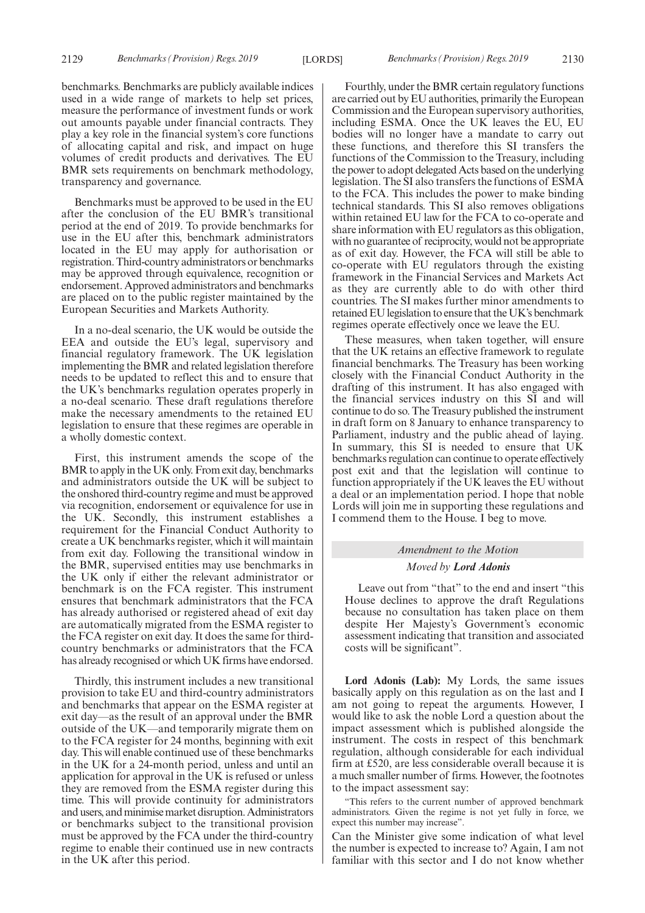benchmarks. Benchmarks are publicly available indices used in a wide range of markets to help set prices, measure the performance of investment funds or work out amounts payable under financial contracts. They play a key role in the financial system's core functions of allocating capital and risk, and impact on huge volumes of credit products and derivatives. The EU BMR sets requirements on benchmark methodology, transparency and governance.

Benchmarks must be approved to be used in the EU after the conclusion of the EU BMR's transitional period at the end of 2019. To provide benchmarks for use in the EU after this, benchmark administrators located in the EU may apply for authorisation or registration. Third-country administrators or benchmarks may be approved through equivalence, recognition or endorsement. Approved administrators and benchmarks are placed on to the public register maintained by the European Securities and Markets Authority.

In a no-deal scenario, the UK would be outside the EEA and outside the EU's legal, supervisory and financial regulatory framework. The UK legislation implementing the BMR and related legislation therefore needs to be updated to reflect this and to ensure that the UK's benchmarks regulation operates properly in a no-deal scenario. These draft regulations therefore make the necessary amendments to the retained EU legislation to ensure that these regimes are operable in a wholly domestic context.

First, this instrument amends the scope of the BMR to apply in the UK only. From exit day, benchmarks and administrators outside the UK will be subject to the onshored third-country regime and must be approved via recognition, endorsement or equivalence for use in the UK. Secondly, this instrument establishes a requirement for the Financial Conduct Authority to create a UK benchmarks register, which it will maintain from exit day. Following the transitional window in the BMR, supervised entities may use benchmarks in the UK only if either the relevant administrator or benchmark is on the FCA register. This instrument ensures that benchmark administrators that the FCA has already authorised or registered ahead of exit day are automatically migrated from the ESMA register to the FCA register on exit day. It does the same for thirdcountry benchmarks or administrators that the FCA has already recognised or which UK firms have endorsed.

Thirdly, this instrument includes a new transitional provision to take EU and third-country administrators and benchmarks that appear on the ESMA register at exit day—as the result of an approval under the BMR outside of the UK—and temporarily migrate them on to the FCA register for 24 months, beginning with exit day. This will enable continued use of these benchmarks in the UK for a 24-month period, unless and until an application for approval in the UK is refused or unless they are removed from the ESMA register during this time. This will provide continuity for administrators and users, and minimise market disruption. Administrators or benchmarks subject to the transitional provision must be approved by the FCA under the third-country regime to enable their continued use in new contracts in the UK after this period.

Fourthly, under the BMR certain regulatory functions are carried out by EU authorities, primarily the European Commission and the European supervisory authorities, including ESMA. Once the UK leaves the EU, EU bodies will no longer have a mandate to carry out these functions, and therefore this SI transfers the functions of the Commission to the Treasury, including the power to adopt delegated Acts based on the underlying legislation. The SI also transfers the functions of ESMA to the FCA. This includes the power to make binding technical standards. This SI also removes obligations within retained EU law for the FCA to co-operate and share information with EU regulators as this obligation, with no guarantee of reciprocity, would not be appropriate as of exit day. However, the FCA will still be able to co-operate with EU regulators through the existing framework in the Financial Services and Markets Act as they are currently able to do with other third countries. The SI makes further minor amendments to retained EU legislation to ensure that the UK's benchmark regimes operate effectively once we leave the EU.

These measures, when taken together, will ensure that the UK retains an effective framework to regulate financial benchmarks. The Treasury has been working closely with the Financial Conduct Authority in the drafting of this instrument. It has also engaged with the financial services industry on this SI and will continue to do so. The Treasury published the instrument in draft form on 8 January to enhance transparency to Parliament, industry and the public ahead of laying. In summary, this SI is needed to ensure that UK benchmarks regulation can continue to operate effectively post exit and that the legislation will continue to function appropriately if the UK leaves the EU without a deal or an implementation period. I hope that noble Lords will join me in supporting these regulations and I commend them to the House. I beg to move.

### *Amendment to the Motion Moved by Lord Adonis*

Leave out from "that" to the end and insert "this House declines to approve the draft Regulations because no consultation has taken place on them despite Her Majesty's Government's economic assessment indicating that transition and associated costs will be significant".

**Lord Adonis (Lab):** My Lords, the same issues basically apply on this regulation as on the last and I am not going to repeat the arguments. However, I would like to ask the noble Lord a question about the impact assessment which is published alongside the instrument. The costs in respect of this benchmark regulation, although considerable for each individual firm at £520, are less considerable overall because it is a much smaller number of firms. However, the footnotes to the impact assessment say:

"This refers to the current number of approved benchmark administrators. Given the regime is not yet fully in force, we expect this number may increase".

Can the Minister give some indication of what level the number is expected to increase to? Again, I am not familiar with this sector and I do not know whether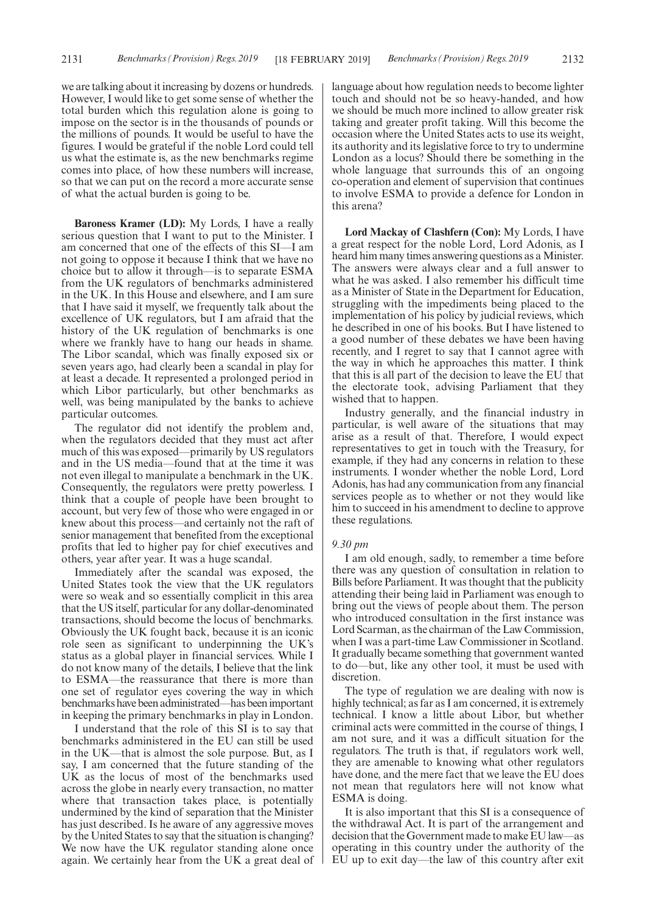we are talking about it increasing by dozens or hundreds. However, I would like to get some sense of whether the total burden which this regulation alone is going to impose on the sector is in the thousands of pounds or the millions of pounds. It would be useful to have the figures. I would be grateful if the noble Lord could tell us what the estimate is, as the new benchmarks regime comes into place, of how these numbers will increase, so that we can put on the record a more accurate sense of what the actual burden is going to be.

**Baroness Kramer (LD):** My Lords, I have a really serious question that I want to put to the Minister. I am concerned that one of the effects of this SI—I am not going to oppose it because I think that we have no choice but to allow it through—is to separate ESMA from the UK regulators of benchmarks administered in the UK. In this House and elsewhere, and I am sure that I have said it myself, we frequently talk about the excellence of UK regulators, but I am afraid that the history of the UK regulation of benchmarks is one where we frankly have to hang our heads in shame. The Libor scandal, which was finally exposed six or seven years ago, had clearly been a scandal in play for at least a decade. It represented a prolonged period in which Libor particularly, but other benchmarks as well, was being manipulated by the banks to achieve particular outcomes.

The regulator did not identify the problem and, when the regulators decided that they must act after much of this was exposed—primarily by US regulators and in the US media—found that at the time it was not even illegal to manipulate a benchmark in the UK. Consequently, the regulators were pretty powerless. I think that a couple of people have been brought to account, but very few of those who were engaged in or knew about this process—and certainly not the raft of senior management that benefited from the exceptional profits that led to higher pay for chief executives and others, year after year. It was a huge scandal.

Immediately after the scandal was exposed, the United States took the view that the UK regulators were so weak and so essentially complicit in this area that the US itself, particular for any dollar-denominated transactions, should become the locus of benchmarks. Obviously the UK fought back, because it is an iconic role seen as significant to underpinning the UK's status as a global player in financial services. While I do not know many of the details, I believe that the link to ESMA—the reassurance that there is more than one set of regulator eyes covering the way in which benchmarks have been administrated—has been important in keeping the primary benchmarks in play in London.

I understand that the role of this SI is to say that benchmarks administered in the EU can still be used in the UK—that is almost the sole purpose. But, as I say, I am concerned that the future standing of the UK as the locus of most of the benchmarks used across the globe in nearly every transaction, no matter where that transaction takes place, is potentially undermined by the kind of separation that the Minister has just described. Is he aware of any aggressive moves by the United States to say that the situation is changing? We now have the UK regulator standing alone once again. We certainly hear from the UK a great deal of language about how regulation needs to become lighter touch and should not be so heavy-handed, and how we should be much more inclined to allow greater risk taking and greater profit taking. Will this become the occasion where the United States acts to use its weight, its authority and its legislative force to try to undermine London as a locus? Should there be something in the whole language that surrounds this of an ongoing co-operation and element of supervision that continues to involve ESMA to provide a defence for London in this arena?

**Lord Mackay of Clashfern (Con):** My Lords, I have a great respect for the noble Lord, Lord Adonis, as I heard him many times answering questions as a Minister. The answers were always clear and a full answer to what he was asked. I also remember his difficult time as a Minister of State in the Department for Education, struggling with the impediments being placed to the implementation of his policy by judicial reviews, which he described in one of his books. But I have listened to a good number of these debates we have been having recently, and I regret to say that I cannot agree with the way in which he approaches this matter. I think that this is all part of the decision to leave the EU that the electorate took, advising Parliament that they wished that to happen.

Industry generally, and the financial industry in particular, is well aware of the situations that may arise as a result of that. Therefore, I would expect representatives to get in touch with the Treasury, for example, if they had any concerns in relation to these instruments. I wonder whether the noble Lord, Lord Adonis, has had any communication from any financial services people as to whether or not they would like him to succeed in his amendment to decline to approve these regulations.

### *9.30 pm*

I am old enough, sadly, to remember a time before there was any question of consultation in relation to Bills before Parliament. It was thought that the publicity attending their being laid in Parliament was enough to bring out the views of people about them. The person who introduced consultation in the first instance was Lord Scarman, as the chairman of the Law Commission, when I was a part-time Law Commissioner in Scotland. It gradually became something that government wanted to do—but, like any other tool, it must be used with discretion.

The type of regulation we are dealing with now is highly technical; as far as I am concerned, it is extremely technical. I know a little about Libor, but whether criminal acts were committed in the course of things, I am not sure, and it was a difficult situation for the regulators. The truth is that, if regulators work well, they are amenable to knowing what other regulators have done, and the mere fact that we leave the EU does not mean that regulators here will not know what ESMA is doing.

It is also important that this SI is a consequence of the withdrawal Act. It is part of the arrangement and decision that the Government made to make EU law—as operating in this country under the authority of the EU up to exit day—the law of this country after exit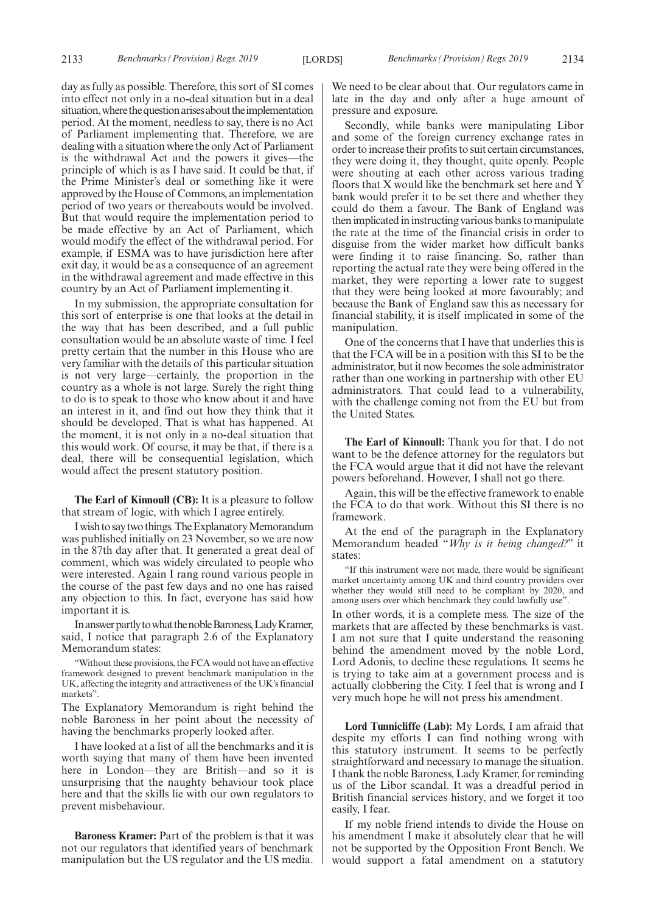day as fully as possible. Therefore, this sort of SI comes into effect not only in a no-deal situation but in a deal situation, where the question arises about the implementation period. At the moment, needless to say, there is no Act of Parliament implementing that. Therefore, we are dealing with a situation where the only Act of Parliament is the withdrawal Act and the powers it gives—the principle of which is as I have said. It could be that, if the Prime Minister's deal or something like it were approved by the House of Commons, an implementation period of two years or thereabouts would be involved. But that would require the implementation period to be made effective by an Act of Parliament, which would modify the effect of the withdrawal period. For example, if ESMA was to have jurisdiction here after exit day, it would be as a consequence of an agreement in the withdrawal agreement and made effective in this country by an Act of Parliament implementing it.

In my submission, the appropriate consultation for this sort of enterprise is one that looks at the detail in the way that has been described, and a full public consultation would be an absolute waste of time. I feel pretty certain that the number in this House who are very familiar with the details of this particular situation is not very large—certainly, the proportion in the country as a whole is not large. Surely the right thing to do is to speak to those who know about it and have an interest in it, and find out how they think that it should be developed. That is what has happened. At the moment, it is not only in a no-deal situation that this would work. Of course, it may be that, if there is a deal, there will be consequential legislation, which would affect the present statutory position.

**The Earl of Kinnoull (CB):** It is a pleasure to follow that stream of logic, with which I agree entirely.

Iwishtosaytwothings.TheExplanatoryMemorandum was published initially on 23 November, so we are now in the 87th day after that. It generated a great deal of comment, which was widely circulated to people who were interested. Again I rang round various people in the course of the past few days and no one has raised any objection to this. In fact, everyone has said how important it is.

In answer partly to what the noble Baroness, Lady Kramer, said, I notice that paragraph 2.6 of the Explanatory Memorandum states:

"Without these provisions, the FCA would not have an effective framework designed to prevent benchmark manipulation in the UK, affecting the integrity and attractiveness of the UK's financial markets".

The Explanatory Memorandum is right behind the noble Baroness in her point about the necessity of having the benchmarks properly looked after.

I have looked at a list of all the benchmarks and it is worth saying that many of them have been invented here in London—they are British—and so it is unsurprising that the naughty behaviour took place here and that the skills lie with our own regulators to prevent misbehaviour.

**Baroness Kramer:** Part of the problem is that it was not our regulators that identified years of benchmark manipulation but the US regulator and the US media.

We need to be clear about that. Our regulators came in late in the day and only after a huge amount of pressure and exposure.

Secondly, while banks were manipulating Libor and some of the foreign currency exchange rates in order to increase their profits to suit certain circumstances, they were doing it, they thought, quite openly. People were shouting at each other across various trading floors that X would like the benchmark set here and Y bank would prefer it to be set there and whether they could do them a favour. The Bank of England was then implicated in instructing various banks to manipulate the rate at the time of the financial crisis in order to disguise from the wider market how difficult banks were finding it to raise financing. So, rather than reporting the actual rate they were being offered in the market, they were reporting a lower rate to suggest that they were being looked at more favourably; and because the Bank of England saw this as necessary for financial stability, it is itself implicated in some of the manipulation.

One of the concerns that I have that underlies this is that the FCA will be in a position with this SI to be the administrator, but it now becomes the sole administrator rather than one working in partnership with other EU administrators. That could lead to a vulnerability, with the challenge coming not from the EU but from the United States.

**The Earl of Kinnoull:** Thank you for that. I do not want to be the defence attorney for the regulators but the FCA would argue that it did not have the relevant powers beforehand. However, I shall not go there.

Again, this will be the effective framework to enable the FCA to do that work. Without this SI there is no framework.

At the end of the paragraph in the Explanatory Memorandum headed "*Why is it being changed?*" it states:

"If this instrument were not made, there would be significant market uncertainty among UK and third country providers over whether they would still need to be compliant by 2020, and among users over which benchmark they could lawfully use".

In other words, it is a complete mess. The size of the markets that are affected by these benchmarks is vast. I am not sure that I quite understand the reasoning behind the amendment moved by the noble Lord, Lord Adonis, to decline these regulations. It seems he is trying to take aim at a government process and is actually clobbering the City. I feel that is wrong and I very much hope he will not press his amendment.

**Lord Tunnicliffe (Lab):** My Lords, I am afraid that despite my efforts I can find nothing wrong with this statutory instrument. It seems to be perfectly straightforward and necessary to manage the situation. I thank the noble Baroness, Lady Kramer, for reminding us of the Libor scandal. It was a dreadful period in British financial services history, and we forget it too easily, I fear.

If my noble friend intends to divide the House on his amendment I make it absolutely clear that he will not be supported by the Opposition Front Bench. We would support a fatal amendment on a statutory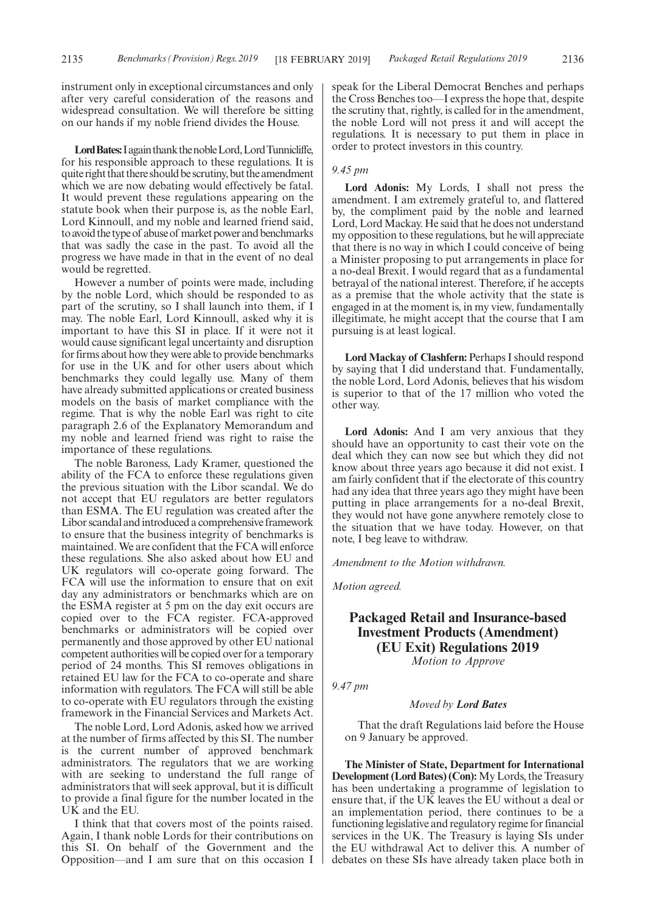instrument only in exceptional circumstances and only after very careful consideration of the reasons and widespread consultation. We will therefore be sitting on our hands if my noble friend divides the House.

Lord Bates: I again thank the noble Lord, Lord Tunnicliffe, for his responsible approach to these regulations. It is quite right that there should be scrutiny, but the amendment which we are now debating would effectively be fatal. It would prevent these regulations appearing on the statute book when their purpose is, as the noble Earl, Lord Kinnoull, and my noble and learned friend said, to avoid the type of abuse of market power and benchmarks that was sadly the case in the past. To avoid all the progress we have made in that in the event of no deal would be regretted.

However a number of points were made, including by the noble Lord, which should be responded to as part of the scrutiny, so I shall launch into them, if I may. The noble Earl, Lord Kinnoull, asked why it is important to have this SI in place. If it were not it would cause significant legal uncertainty and disruption for firms about how they were able to provide benchmarks for use in the UK and for other users about which benchmarks they could legally use. Many of them have already submitted applications or created business models on the basis of market compliance with the regime. That is why the noble Earl was right to cite paragraph 2.6 of the Explanatory Memorandum and my noble and learned friend was right to raise the importance of these regulations.

The noble Baroness, Lady Kramer, questioned the ability of the FCA to enforce these regulations given the previous situation with the Libor scandal. We do not accept that EU regulators are better regulators than ESMA. The EU regulation was created after the Libor scandal and introduced a comprehensive framework to ensure that the business integrity of benchmarks is maintained. We are confident that the FCA will enforce these regulations. She also asked about how EU and UK regulators will co-operate going forward. The FCA will use the information to ensure that on exit day any administrators or benchmarks which are on the ESMA register at 5 pm on the day exit occurs are copied over to the FCA register. FCA-approved benchmarks or administrators will be copied over permanently and those approved by other EU national competent authorities will be copied over for a temporary period of 24 months. This SI removes obligations in retained EU law for the FCA to co-operate and share information with regulators. The FCA will still be able to co-operate with EU regulators through the existing framework in the Financial Services and Markets Act.

The noble Lord, Lord Adonis, asked how we arrived at the number of firms affected by this SI. The number is the current number of approved benchmark administrators. The regulators that we are working with are seeking to understand the full range of administrators that will seek approval, but it is difficult to provide a final figure for the number located in the UK and the EU.

I think that that covers most of the points raised. Again, I thank noble Lords for their contributions on this SI. On behalf of the Government and the Opposition—and I am sure that on this occasion I speak for the Liberal Democrat Benches and perhaps the Cross Benches too—I express the hope that, despite the scrutiny that, rightly, is called for in the amendment, the noble Lord will not press it and will accept the regulations. It is necessary to put them in place in order to protect investors in this country.

### *9.45 pm*

**Lord Adonis:** My Lords, I shall not press the amendment. I am extremely grateful to, and flattered by, the compliment paid by the noble and learned Lord, Lord Mackay. He said that he does not understand my opposition to these regulations, but he will appreciate that there is no way in which I could conceive of being a Minister proposing to put arrangements in place for a no-deal Brexit. I would regard that as a fundamental betrayal of the national interest. Therefore, if he accepts as a premise that the whole activity that the state is engaged in at the moment is, in my view, fundamentally illegitimate, he might accept that the course that I am pursuing is at least logical.

**Lord Mackay of Clashfern:** Perhaps I should respond by saying that I did understand that. Fundamentally, the noble Lord, Lord Adonis, believes that his wisdom is superior to that of the 17 million who voted the other way.

**Lord Adonis:** And I am very anxious that they should have an opportunity to cast their vote on the deal which they can now see but which they did not know about three years ago because it did not exist. I am fairly confident that if the electorate of this country had any idea that three years ago they might have been putting in place arrangements for a no-deal Brexit, they would not have gone anywhere remotely close to the situation that we have today. However, on that note, I beg leave to withdraw.

*Amendment to the Motion withdrawn.*

*Motion agreed.*

# **Packaged Retail and Insurance-based Investment Products (Amendment) (EU Exit) Regulations 2019**

*Motion to Approve*

*9.47 pm*

### *Moved by Lord Bates*

That the draft Regulations laid before the House on 9 January be approved.

**The Minister of State, Department for International Development (Lord Bates) (Con):**My Lords, the Treasury has been undertaking a programme of legislation to ensure that, if the UK leaves the EU without a deal or an implementation period, there continues to be a functioning legislative and regulatory regime for financial services in the UK. The Treasury is laying SIs under the EU withdrawal Act to deliver this. A number of debates on these SIs have already taken place both in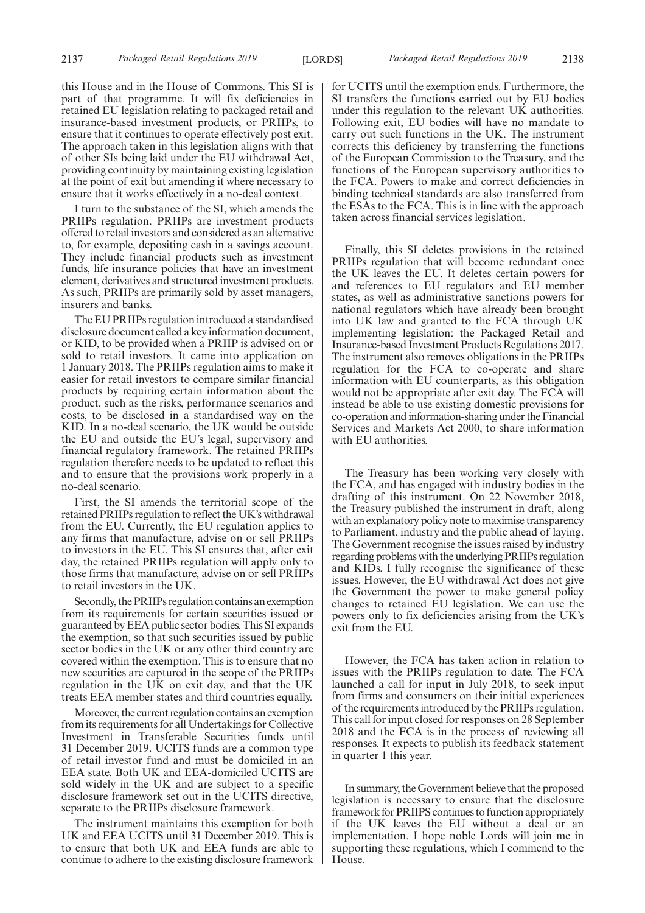this House and in the House of Commons. This SI is part of that programme. It will fix deficiencies in retained EU legislation relating to packaged retail and insurance-based investment products, or PRIIPs, to ensure that it continues to operate effectively post exit. The approach taken in this legislation aligns with that of other SIs being laid under the EU withdrawal Act, providing continuity by maintaining existing legislation at the point of exit but amending it where necessary to ensure that it works effectively in a no-deal context.

I turn to the substance of the SI, which amends the PRIIPs regulation. PRIIPs are investment products offered to retail investors and considered as an alternative to, for example, depositing cash in a savings account. They include financial products such as investment funds, life insurance policies that have an investment element, derivatives and structured investment products. As such, PRIIPs are primarily sold by asset managers, insurers and banks.

The EU PRIIPs regulation introduced a standardised disclosure document called a key information document, or KID, to be provided when a PRIIP is advised on or sold to retail investors. It came into application on 1 January 2018. The PRIIPs regulation aims to make it easier for retail investors to compare similar financial products by requiring certain information about the product, such as the risks, performance scenarios and costs, to be disclosed in a standardised way on the KID. In a no-deal scenario, the UK would be outside the EU and outside the EU's legal, supervisory and financial regulatory framework. The retained PRIIPs regulation therefore needs to be updated to reflect this and to ensure that the provisions work properly in a no-deal scenario.

First, the SI amends the territorial scope of the retained PRIIPs regulation to reflect the UK's withdrawal from the EU. Currently, the EU regulation applies to any firms that manufacture, advise on or sell PRIIPs to investors in the EU. This SI ensures that, after exit day, the retained PRIIPs regulation will apply only to those firms that manufacture, advise on or sell PRIIPs to retail investors in the UK.

Secondly, the PRIIPs regulation contains an exemption from its requirements for certain securities issued or guaranteed by EEA public sector bodies. This SI expands the exemption, so that such securities issued by public sector bodies in the UK or any other third country are covered within the exemption. This is to ensure that no new securities are captured in the scope of the PRIIPs regulation in the UK on exit day, and that the UK treats EEA member states and third countries equally.

Moreover, the current regulation contains an exemption from its requirements for all Undertakings for Collective Investment in Transferable Securities funds until 31 December 2019. UCITS funds are a common type of retail investor fund and must be domiciled in an EEA state. Both UK and EEA-domiciled UCITS are sold widely in the UK and are subject to a specific disclosure framework set out in the UCITS directive, separate to the PRIIPs disclosure framework.

The instrument maintains this exemption for both UK and EEA UCITS until 31 December 2019. This is to ensure that both UK and EEA funds are able to continue to adhere to the existing disclosure framework for UCITS until the exemption ends. Furthermore, the SI transfers the functions carried out by EU bodies under this regulation to the relevant UK authorities. Following exit, EU bodies will have no mandate to carry out such functions in the UK. The instrument corrects this deficiency by transferring the functions of the European Commission to the Treasury, and the functions of the European supervisory authorities to the FCA. Powers to make and correct deficiencies in binding technical standards are also transferred from the ESAs to the FCA. This is in line with the approach taken across financial services legislation.

Finally, this SI deletes provisions in the retained PRIIPs regulation that will become redundant once the UK leaves the EU. It deletes certain powers for and references to EU regulators and EU member states, as well as administrative sanctions powers for national regulators which have already been brought into UK law and granted to the FCA through UK implementing legislation: the Packaged Retail and Insurance-based Investment Products Regulations 2017. The instrument also removes obligations in the PRIIPs regulation for the FCA to co-operate and share information with EU counterparts, as this obligation would not be appropriate after exit day. The FCA will instead be able to use existing domestic provisions for co-operation and information-sharing under the Financial Services and Markets Act 2000, to share information with EU authorities.

The Treasury has been working very closely with the FCA, and has engaged with industry bodies in the drafting of this instrument. On 22 November 2018, the Treasury published the instrument in draft, along with an explanatory policy note to maximise transparency to Parliament, industry and the public ahead of laying. The Government recognise the issues raised by industry regarding problems with the underlying PRIIPs regulation and KIDs. I fully recognise the significance of these issues. However, the EU withdrawal Act does not give the Government the power to make general policy changes to retained EU legislation. We can use the powers only to fix deficiencies arising from the UK's exit from the EU.

However, the FCA has taken action in relation to issues with the PRIIPs regulation to date. The FCA launched a call for input in July 2018, to seek input from firms and consumers on their initial experiences of the requirements introduced by the PRIIPs regulation. This call for input closed for responses on 28 September 2018 and the FCA is in the process of reviewing all responses. It expects to publish its feedback statement in quarter 1 this year.

In summary, the Government believe that the proposed legislation is necessary to ensure that the disclosure framework for PRIIPS continues to function appropriately if the UK leaves the EU without a deal or an implementation. I hope noble Lords will join me in supporting these regulations, which I commend to the House.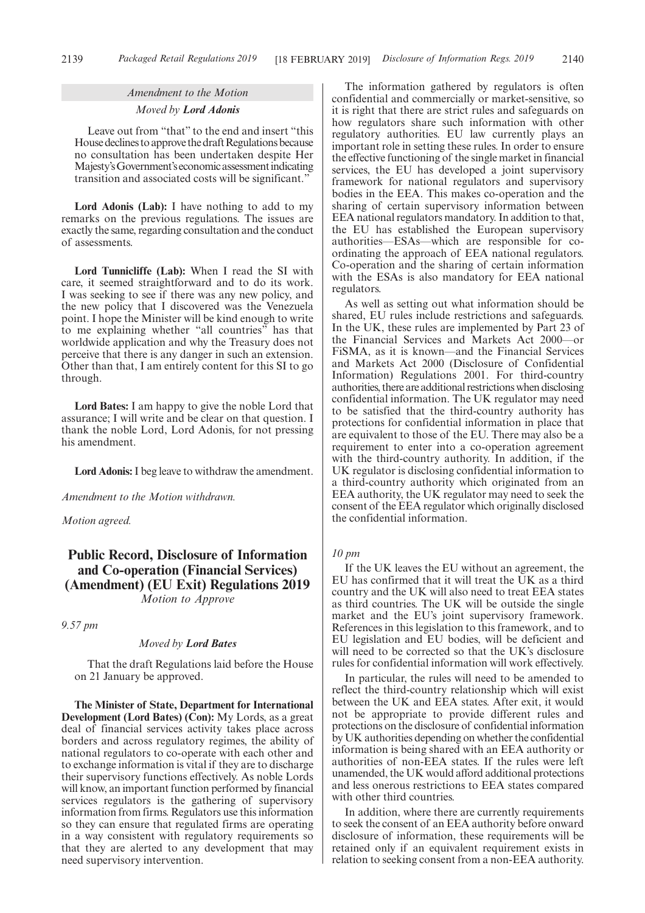### *Amendment to the Motion Moved by Lord Adonis*

Leave out from "that" to the end and insert "this House declines to approve the draft Regulations because no consultation has been undertaken despite Her Majesty'sGovernment'seconomicassessmentindicating transition and associated costs will be significant."

**Lord Adonis (Lab):** I have nothing to add to my remarks on the previous regulations. The issues are exactly the same, regarding consultation and the conduct of assessments.

**Lord Tunnicliffe (Lab):** When I read the SI with care, it seemed straightforward and to do its work. I was seeking to see if there was any new policy, and the new policy that I discovered was the Venezuela point. I hope the Minister will be kind enough to write to me explaining whether "all countries" has that worldwide application and why the Treasury does not perceive that there is any danger in such an extension. Other than that, I am entirely content for this SI to go through.

**Lord Bates:** I am happy to give the noble Lord that assurance; I will write and be clear on that question. I thank the noble Lord, Lord Adonis, for not pressing his amendment.

**Lord Adonis:**I beg leave to withdraw the amendment.

*Amendment to the Motion withdrawn.*

*Motion agreed.*

### **Public Record, Disclosure of Information and Co-operation (Financial Services) (Amendment) (EU Exit) Regulations 2019** *Motion to Approve*

*9.57 pm*

#### *Moved by Lord Bates*

That the draft Regulations laid before the House on 21 January be approved.

**The Minister of State, Department for International Development (Lord Bates) (Con):** My Lords, as a great deal of financial services activity takes place across borders and across regulatory regimes, the ability of national regulators to co-operate with each other and to exchange information is vital if they are to discharge their supervisory functions effectively. As noble Lords will know, an important function performed by financial services regulators is the gathering of supervisory information from firms. Regulators use this information so they can ensure that regulated firms are operating in a way consistent with regulatory requirements so that they are alerted to any development that may need supervisory intervention.

The information gathered by regulators is often confidential and commercially or market-sensitive, so it is right that there are strict rules and safeguards on how regulators share such information with other regulatory authorities. EU law currently plays an important role in setting these rules. In order to ensure the effective functioning of the single market in financial services, the EU has developed a joint supervisory framework for national regulators and supervisory bodies in the EEA. This makes co-operation and the sharing of certain supervisory information between EEA national regulators mandatory. In addition to that, the EU has established the European supervisory authorities—ESAs—which are responsible for coordinating the approach of EEA national regulators. Co-operation and the sharing of certain information with the ESAs is also mandatory for EEA national regulators.

As well as setting out what information should be shared, EU rules include restrictions and safeguards. In the UK, these rules are implemented by Part 23 of the Financial Services and Markets Act 2000—or FiSMA, as it is known—and the Financial Services and Markets Act 2000 (Disclosure of Confidential Information) Regulations 2001. For third-country authorities, there are additional restrictions when disclosing confidential information. The UK regulator may need to be satisfied that the third-country authority has protections for confidential information in place that are equivalent to those of the EU. There may also be a requirement to enter into a co-operation agreement with the third-country authority. In addition, if the UK regulator is disclosing confidential information to a third-country authority which originated from an EEA authority, the UK regulator may need to seek the consent of the EEA regulator which originally disclosed the confidential information.

### *10 pm*

If the UK leaves the EU without an agreement, the EU has confirmed that it will treat the UK as a third country and the UK will also need to treat EEA states as third countries. The UK will be outside the single market and the EU's joint supervisory framework. References in this legislation to this framework, and to EU legislation and EU bodies, will be deficient and will need to be corrected so that the UK's disclosure rules for confidential information will work effectively.

In particular, the rules will need to be amended to reflect the third-country relationship which will exist between the UK and EEA states. After exit, it would not be appropriate to provide different rules and protections on the disclosure of confidential information by UK authorities depending on whether the confidential information is being shared with an EEA authority or authorities of non-EEA states. If the rules were left unamended, the UK would afford additional protections and less onerous restrictions to EEA states compared with other third countries.

In addition, where there are currently requirements to seek the consent of an EEA authority before onward disclosure of information, these requirements will be retained only if an equivalent requirement exists in relation to seeking consent from a non-EEA authority.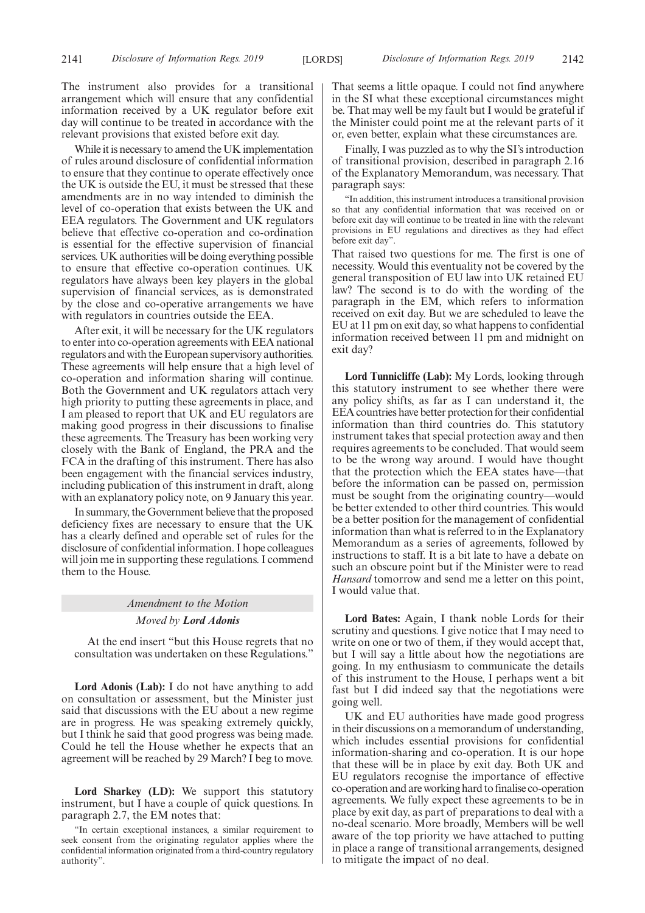The instrument also provides for a transitional arrangement which will ensure that any confidential information received by a UK regulator before exit day will continue to be treated in accordance with the relevant provisions that existed before exit day.

While it is necessary to amend the UK implementation of rules around disclosure of confidential information to ensure that they continue to operate effectively once the UK is outside the EU, it must be stressed that these amendments are in no way intended to diminish the level of co-operation that exists between the UK and EEA regulators. The Government and UK regulators believe that effective co-operation and co-ordination is essential for the effective supervision of financial services. UK authorities will be doing everything possible to ensure that effective co-operation continues. UK regulators have always been key players in the global supervision of financial services, as is demonstrated by the close and co-operative arrangements we have with regulators in countries outside the EEA.

After exit, it will be necessary for the UK regulators to enter into co-operation agreements with EEA national regulators and with the European supervisory authorities. These agreements will help ensure that a high level of co-operation and information sharing will continue. Both the Government and UK regulators attach very high priority to putting these agreements in place, and I am pleased to report that UK and EU regulators are making good progress in their discussions to finalise these agreements. The Treasury has been working very closely with the Bank of England, the PRA and the FCA in the drafting of this instrument. There has also been engagement with the financial services industry, including publication of this instrument in draft, along with an explanatory policy note, on 9 January this year.

In summary, the Government believe that the proposed deficiency fixes are necessary to ensure that the UK has a clearly defined and operable set of rules for the disclosure of confidential information. I hope colleagues will join me in supporting these regulations. I commend them to the House.

### *Amendment to the Motion Moved by Lord Adonis*

At the end insert "but this House regrets that no consultation was undertaken on these Regulations."

**Lord Adonis (Lab):** I do not have anything to add on consultation or assessment, but the Minister just said that discussions with the EU about a new regime are in progress. He was speaking extremely quickly, but I think he said that good progress was being made. Could he tell the House whether he expects that an agreement will be reached by 29 March? I beg to move.

**Lord Sharkey (LD):** We support this statutory instrument, but I have a couple of quick questions. In paragraph 2.7, the EM notes that:

That seems a little opaque. I could not find anywhere in the SI what these exceptional circumstances might be. That may well be my fault but I would be grateful if the Minister could point me at the relevant parts of it or, even better, explain what these circumstances are.

Finally, I was puzzled as to why the SI's introduction of transitional provision, described in paragraph 2.16 of the Explanatory Memorandum, was necessary. That paragraph says:

"In addition, this instrument introduces a transitional provision so that any confidential information that was received on or before exit day will continue to be treated in line with the relevant provisions in EU regulations and directives as they had effect before exit day".

That raised two questions for me. The first is one of necessity. Would this eventuality not be covered by the general transposition of EU law into UK retained EU law? The second is to do with the wording of the paragraph in the EM, which refers to information received on exit day. But we are scheduled to leave the EU at 11 pm on exit day, so what happens to confidential information received between 11 pm and midnight on exit day?

**Lord Tunnicliffe (Lab):** My Lords, looking through this statutory instrument to see whether there were any policy shifts, as far as I can understand it, the EEA countries have better protection for their confidential information than third countries do. This statutory instrument takes that special protection away and then requires agreements to be concluded. That would seem to be the wrong way around. I would have thought that the protection which the EEA states have—that before the information can be passed on, permission must be sought from the originating country—would be better extended to other third countries. This would be a better position for the management of confidential information than what is referred to in the Explanatory Memorandum as a series of agreements, followed by instructions to staff. It is a bit late to have a debate on such an obscure point but if the Minister were to read *Hansard* tomorrow and send me a letter on this point, I would value that.

**Lord Bates:** Again, I thank noble Lords for their scrutiny and questions. I give notice that I may need to write on one or two of them, if they would accept that, but I will say a little about how the negotiations are going. In my enthusiasm to communicate the details of this instrument to the House, I perhaps went a bit fast but I did indeed say that the negotiations were going well.

UK and EU authorities have made good progress in their discussions on a memorandum of understanding, which includes essential provisions for confidential information-sharing and co-operation. It is our hope that these will be in place by exit day. Both UK and EU regulators recognise the importance of effective co-operation and are working hard to finalise co-operation agreements. We fully expect these agreements to be in place by exit day, as part of preparations to deal with a no-deal scenario. More broadly, Members will be well aware of the top priority we have attached to putting in place a range of transitional arrangements, designed to mitigate the impact of no deal.

<sup>&</sup>quot;In certain exceptional instances, a similar requirement to seek consent from the originating regulator applies where the confidential information originated from a third-country regulatory authority".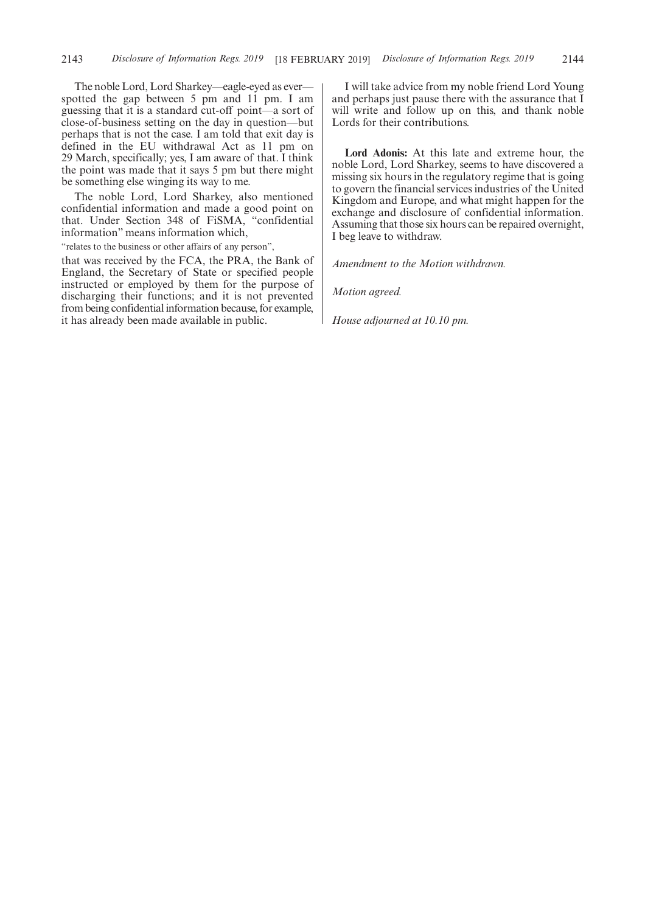The noble Lord, Lord Sharkey—eagle-eyed as ever spotted the gap between 5 pm and 11 pm. I am guessing that it is a standard cut-off point—a sort of close-of-business setting on the day in question—but perhaps that is not the case. I am told that exit day is defined in the EU withdrawal Act as 11 pm on 29 March, specifically; yes, I am aware of that. I think the point was made that it says 5 pm but there might be something else winging its way to me.

The noble Lord, Lord Sharkey, also mentioned confidential information and made a good point on that. Under Section 348 of FiSMA, "confidential information" means information which,

"relates to the business or other affairs of any person",

that was received by the FCA, the PRA, the Bank of England, the Secretary of State or specified people instructed or employed by them for the purpose of discharging their functions; and it is not prevented from being confidential information because, for example, it has already been made available in public.

I will take advice from my noble friend Lord Young and perhaps just pause there with the assurance that I will write and follow up on this, and thank noble Lords for their contributions.

**Lord Adonis:** At this late and extreme hour, the noble Lord, Lord Sharkey, seems to have discovered a missing six hours in the regulatory regime that is going to govern the financial services industries of the United Kingdom and Europe, and what might happen for the exchange and disclosure of confidential information. Assuming that those six hours can be repaired overnight, I beg leave to withdraw.

*Amendment to the Motion withdrawn.*

*Motion agreed.*

*House adjourned at 10.10 pm.*